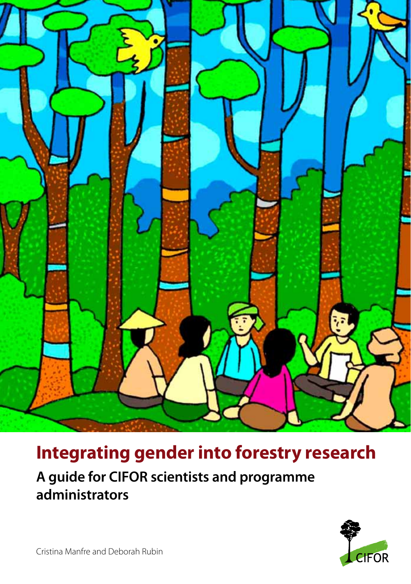

## **Integrating gender into forestry research**

**A guide for CIFOR scientists and programme administrators**

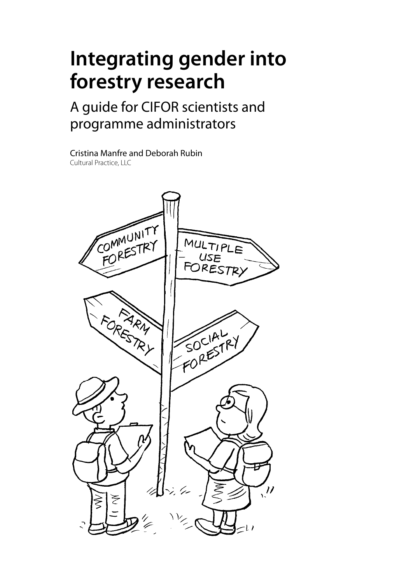# **Integrating gender into forestry research**

A guide for CIFOR scientists and programme administrators

Cristina Manfre and Deborah Rubin Cultural Practice, LLC

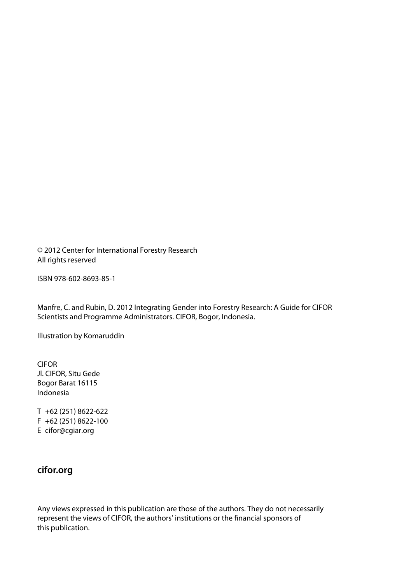© 2012 Center for International Forestry Research All rights reserved

ISBN 978-602-8693-85-1

Manfre, C. and Rubin, D. 2012 Integrating Gender into Forestry Research: A Guide for CIFOR Scientists and Programme Administrators. CIFOR, Bogor, Indonesia.

Illustration by Komaruddin

CIFOR Jl. CIFOR, Situ Gede Bogor Barat 16115 Indonesia

T +62 (251) 8622-622 F +62 (251) 8622-100 E cifor@cgiar.org

### **cifor.org**

Any views expressed in this publication are those of the authors. They do not necessarily represent the views of CIFOR, the authors' institutions or the financial sponsors of this publication.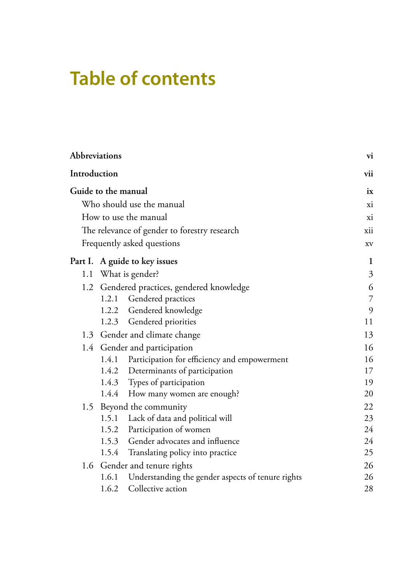## **Table of contents**

| Abbreviations<br>vi          |                                                   |                                                                                                                                                                                                                                                                                                                                                                                                                                                                                                                                                                                                                     |  |
|------------------------------|---------------------------------------------------|---------------------------------------------------------------------------------------------------------------------------------------------------------------------------------------------------------------------------------------------------------------------------------------------------------------------------------------------------------------------------------------------------------------------------------------------------------------------------------------------------------------------------------------------------------------------------------------------------------------------|--|
| Introduction                 |                                                   | vii                                                                                                                                                                                                                                                                                                                                                                                                                                                                                                                                                                                                                 |  |
| Guide to the manual          |                                                   |                                                                                                                                                                                                                                                                                                                                                                                                                                                                                                                                                                                                                     |  |
| Who should use the manual    |                                                   |                                                                                                                                                                                                                                                                                                                                                                                                                                                                                                                                                                                                                     |  |
|                              |                                                   | xi                                                                                                                                                                                                                                                                                                                                                                                                                                                                                                                                                                                                                  |  |
|                              |                                                   | xii                                                                                                                                                                                                                                                                                                                                                                                                                                                                                                                                                                                                                 |  |
|                              |                                                   | XV                                                                                                                                                                                                                                                                                                                                                                                                                                                                                                                                                                                                                  |  |
|                              |                                                   | $\mathbf{1}$                                                                                                                                                                                                                                                                                                                                                                                                                                                                                                                                                                                                        |  |
|                              |                                                   | $\mathfrak{Z}$                                                                                                                                                                                                                                                                                                                                                                                                                                                                                                                                                                                                      |  |
|                              |                                                   | 6                                                                                                                                                                                                                                                                                                                                                                                                                                                                                                                                                                                                                   |  |
|                              |                                                   | $\overline{7}$                                                                                                                                                                                                                                                                                                                                                                                                                                                                                                                                                                                                      |  |
|                              |                                                   | 9                                                                                                                                                                                                                                                                                                                                                                                                                                                                                                                                                                                                                   |  |
|                              |                                                   | 11                                                                                                                                                                                                                                                                                                                                                                                                                                                                                                                                                                                                                  |  |
|                              |                                                   | 13                                                                                                                                                                                                                                                                                                                                                                                                                                                                                                                                                                                                                  |  |
| 1.4 Gender and participation |                                                   | 16                                                                                                                                                                                                                                                                                                                                                                                                                                                                                                                                                                                                                  |  |
| 1.4.1                        | Participation for efficiency and empowerment      | 16                                                                                                                                                                                                                                                                                                                                                                                                                                                                                                                                                                                                                  |  |
|                              |                                                   | 17                                                                                                                                                                                                                                                                                                                                                                                                                                                                                                                                                                                                                  |  |
|                              |                                                   | 19                                                                                                                                                                                                                                                                                                                                                                                                                                                                                                                                                                                                                  |  |
|                              |                                                   | 20                                                                                                                                                                                                                                                                                                                                                                                                                                                                                                                                                                                                                  |  |
| 1.5                          |                                                   | 22                                                                                                                                                                                                                                                                                                                                                                                                                                                                                                                                                                                                                  |  |
|                              |                                                   | 23                                                                                                                                                                                                                                                                                                                                                                                                                                                                                                                                                                                                                  |  |
|                              |                                                   | 24                                                                                                                                                                                                                                                                                                                                                                                                                                                                                                                                                                                                                  |  |
|                              |                                                   | 24                                                                                                                                                                                                                                                                                                                                                                                                                                                                                                                                                                                                                  |  |
| 1.5.4                        | Translating policy into practice                  | 25                                                                                                                                                                                                                                                                                                                                                                                                                                                                                                                                                                                                                  |  |
|                              |                                                   | 26                                                                                                                                                                                                                                                                                                                                                                                                                                                                                                                                                                                                                  |  |
| 1.6.1                        | Understanding the gender aspects of tenure rights | 26                                                                                                                                                                                                                                                                                                                                                                                                                                                                                                                                                                                                                  |  |
| 1.6.2                        | Collective action                                 | 28                                                                                                                                                                                                                                                                                                                                                                                                                                                                                                                                                                                                                  |  |
|                              |                                                   | How to use the manual<br>The relevance of gender to forestry research<br>Frequently asked questions<br>Part I. A guide to key issues<br>1.1 What is gender?<br>1.2 Gendered practices, gendered knowledge<br>1.2.1 Gendered practices<br>1.2.2 Gendered knowledge<br>1.2.3 Gendered priorities<br>1.3 Gender and climate change<br>1.4.2 Determinants of participation<br>1.4.3 Types of participation<br>1.4.4 How many women are enough?<br>Beyond the community<br>1.5.1 Lack of data and political will<br>1.5.2 Participation of women<br>1.5.3 Gender advocates and influence<br>1.6 Gender and tenure rights |  |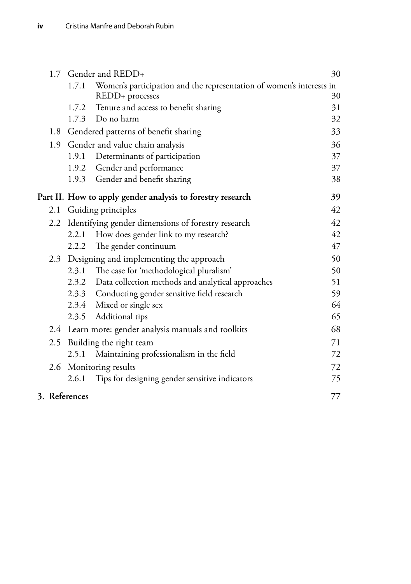|                                             | 1.7 Gender and REDD+    |                                                                      | 30 |
|---------------------------------------------|-------------------------|----------------------------------------------------------------------|----|
|                                             | 1.7.1                   | Women's participation and the representation of women's interests in |    |
|                                             |                         | REDD+ processes                                                      | 30 |
|                                             |                         | 1.7.2 Tenure and access to benefit sharing                           | 31 |
|                                             | 1.7.3                   | Do no harm                                                           | 32 |
|                                             |                         | 1.8 Gendered patterns of benefit sharing                             | 33 |
| 1.9 Gender and value chain analysis         |                         | 36                                                                   |    |
|                                             | 1.9.1                   | Determinants of participation                                        | 37 |
|                                             | 1.9.2                   | Gender and performance                                               | 37 |
|                                             |                         | 1.9.3 Gender and benefit sharing                                     | 38 |
|                                             |                         | Part II. How to apply gender analysis to forestry research           | 39 |
|                                             |                         | 2.1 Guiding principles                                               | 42 |
|                                             |                         | 2.2 Identifying gender dimensions of forestry research               | 42 |
|                                             | 2.2.1                   | How does gender link to my research?                                 | 42 |
|                                             | 2.2.2                   | The gender continuum                                                 | 47 |
| 2.3 Designing and implementing the approach |                         | 50                                                                   |    |
|                                             |                         | 2.3.1 The case for 'methodological pluralism'                        | 50 |
|                                             |                         | 2.3.2 Data collection methods and analytical approaches              | 51 |
|                                             |                         | 2.3.3 Conducting gender sensitive field research                     | 59 |
|                                             |                         | 2.3.4 Mixed or single sex                                            | 64 |
|                                             | 2.3.5                   | Additional tips                                                      | 65 |
|                                             |                         | 2.4 Learn more: gender analysis manuals and toolkits                 | 68 |
| 2.5                                         | Building the right team |                                                                      | 71 |
|                                             | 2.5.1                   | Maintaining professionalism in the field                             | 72 |
|                                             |                         | 2.6 Monitoring results                                               | 72 |
|                                             | 2.6.1                   | Tips for designing gender sensitive indicators                       | 75 |
|                                             | 3. References           |                                                                      | 77 |
|                                             |                         |                                                                      |    |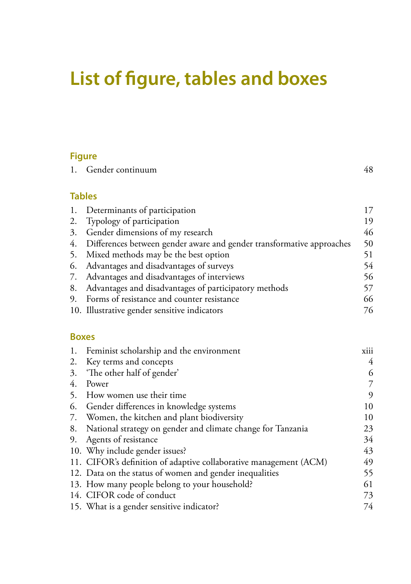# **List of figure, tables and boxes**

## **[Figure](#page-67-0)**

| 1. | Gender continuum                                                         | 48 |
|----|--------------------------------------------------------------------------|----|
|    | <b>Tables</b>                                                            |    |
|    | 1. Determinants of participation                                         | 17 |
|    | 2. Typology of participation                                             | 19 |
|    | 3. Gender dimensions of my research                                      | 46 |
|    | 4. Differences between gender aware and gender transformative approaches | 50 |
|    | 5. Mixed methods may be the best option                                  | 51 |
|    | 6. Advantages and disadvantages of surveys                               | 54 |
|    | 7. Advantages and disadvantages of interviews                            | 56 |
|    | 8. Advantages and disadvantages of participatory methods                 | 57 |
|    | 9. Forms of resistance and counter resistance                            | 66 |
|    | 10. Illustrative gender sensitive indicators                             | 76 |

#### **[Boxes](#page-14-0)**

| 1. | Feminist scholarship and the environment                          | xiii |
|----|-------------------------------------------------------------------|------|
| 2. | Key terms and concepts                                            | 4    |
| 3. | "The other half of gender"                                        | 6    |
| 4. | Power                                                             | 7    |
| 5. | How women use their time                                          | 9    |
| 6. | Gender differences in knowledge systems                           | 10   |
| 7. | Women, the kitchen and plant biodiversity                         | 10   |
| 8. | National strategy on gender and climate change for Tanzania       | 23   |
| 9. | Agents of resistance                                              | 34   |
|    | 10. Why include gender issues?                                    | 43   |
|    | 11. CIFOR's definition of adaptive collaborative management (ACM) | 49   |
|    | 12. Data on the status of women and gender inequalities           | 55   |
|    | 13. How many people belong to your household?                     | 61   |
|    | 14. CIFOR code of conduct                                         | 73   |
|    | 15. What is a gender sensitive indicator?                         | 74   |
|    |                                                                   |      |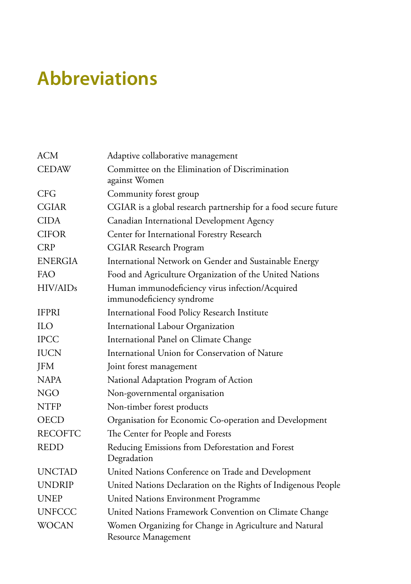## <span id="page-7-0"></span>**Abbreviations**

| <b>ACM</b>     | Adaptive collaborative management                                             |
|----------------|-------------------------------------------------------------------------------|
| <b>CEDAW</b>   | Committee on the Elimination of Discrimination<br>against Women               |
| <b>CFG</b>     | Community forest group                                                        |
| <b>CGIAR</b>   | CGIAR is a global research partnership for a food secure future               |
| <b>CIDA</b>    | Canadian International Development Agency                                     |
| <b>CIFOR</b>   | Center for International Forestry Research                                    |
| <b>CRP</b>     | <b>CGIAR Research Program</b>                                                 |
| <b>ENERGIA</b> | International Network on Gender and Sustainable Energy                        |
| FAO            | Food and Agriculture Organization of the United Nations                       |
| HIV/AIDs       | Human immunodeficiency virus infection/Acquired<br>immunodeficiency syndrome  |
| <b>IFPRI</b>   | International Food Policy Research Institute                                  |
| <b>ILO</b>     | International Labour Organization                                             |
| <b>IPCC</b>    | International Panel on Climate Change                                         |
| <b>IUCN</b>    | International Union for Conservation of Nature                                |
| <b>JFM</b>     | Joint forest management                                                       |
| <b>NAPA</b>    | National Adaptation Program of Action                                         |
| <b>NGO</b>     | Non-governmental organisation                                                 |
| <b>NTFP</b>    | Non-timber forest products                                                    |
| <b>OECD</b>    | Organisation for Economic Co-operation and Development                        |
| <b>RECOFTC</b> | The Center for People and Forests                                             |
| <b>REDD</b>    | Reducing Emissions from Deforestation and Forest<br>Degradation               |
| <b>UNCTAD</b>  | United Nations Conference on Trade and Development                            |
| <b>UNDRIP</b>  | United Nations Declaration on the Rights of Indigenous People                 |
| <b>UNEP</b>    | United Nations Environment Programme                                          |
| <b>UNFCCC</b>  | United Nations Framework Convention on Climate Change                         |
| <b>WOCAN</b>   | Women Organizing for Change in Agriculture and Natural<br>Resource Management |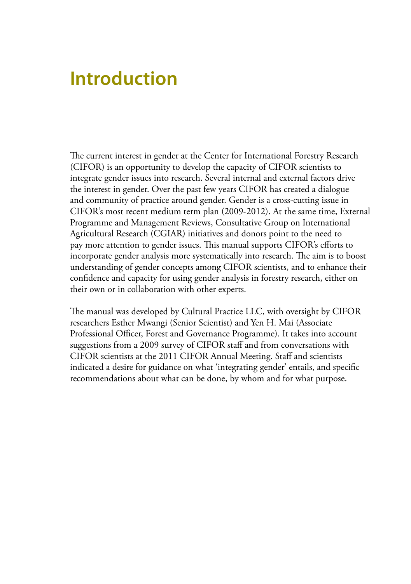## <span id="page-8-0"></span>**Introduction**

The current interest in gender at the Center for International Forestry Research (CIFOR) is an opportunity to develop the capacity of CIFOR scientists to integrate gender issues into research. Several internal and external factors drive the interest in gender. Over the past few years CIFOR has created a dialogue and community of practice around gender. Gender is a cross-cutting issue in CIFOR's most recent medium term plan (2009-2012). At the same time, External Programme and Management Reviews, Consultative Group on International Agricultural Research (CGIAR) initiatives and donors point to the need to pay more attention to gender issues. This manual supports CIFOR's efforts to incorporate gender analysis more systematically into research. The aim is to boost understanding of gender concepts among CIFOR scientists, and to enhance their confidence and capacity for using gender analysis in forestry research, either on their own or in collaboration with other experts.

The manual was developed by Cultural Practice LLC, with oversight by CIFOR researchers Esther Mwangi (Senior Scientist) and Yen H. Mai (Associate Professional Officer, Forest and Governance Programme). It takes into account suggestions from a 2009 survey of CIFOR staff and from conversations with CIFOR scientists at the 2011 CIFOR Annual Meeting. Staff and scientists indicated a desire for guidance on what 'integrating gender' entails, and specific recommendations about what can be done, by whom and for what purpose.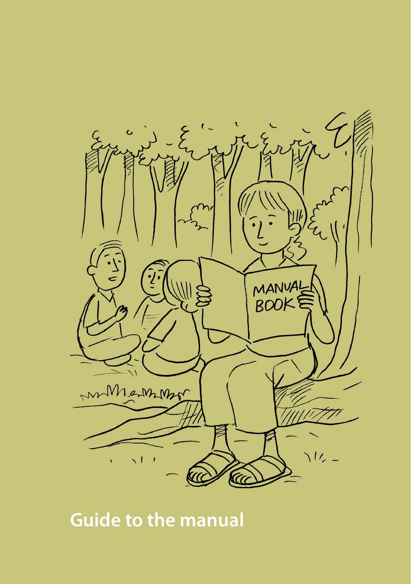<span id="page-10-0"></span>

**Guide to the manual**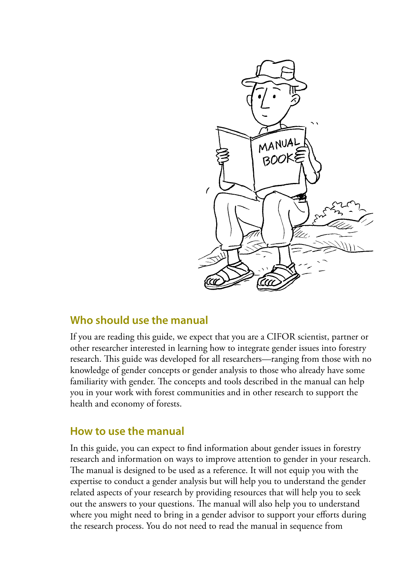<span id="page-12-0"></span>

## **Who should use the manual**

If you are reading this guide, we expect that you are a CIFOR scientist, partner or other researcher interested in learning how to integrate gender issues into forestry research. This guide was developed for all researchers—ranging from those with no knowledge of gender concepts or gender analysis to those who already have some familiarity with gender. The concepts and tools described in the manual can help you in your work with forest communities and in other research to support the health and economy of forests.

### **How to use the manual**

In this guide, you can expect to find information about gender issues in forestry research and information on ways to improve attention to gender in your research. The manual is designed to be used as a reference. It will not equip you with the expertise to conduct a gender analysis but will help you to understand the gender related aspects of your research by providing resources that will help you to seek out the answers to your questions. The manual will also help you to understand where you might need to bring in a gender advisor to support your efforts during the research process. You do not need to read the manual in sequence from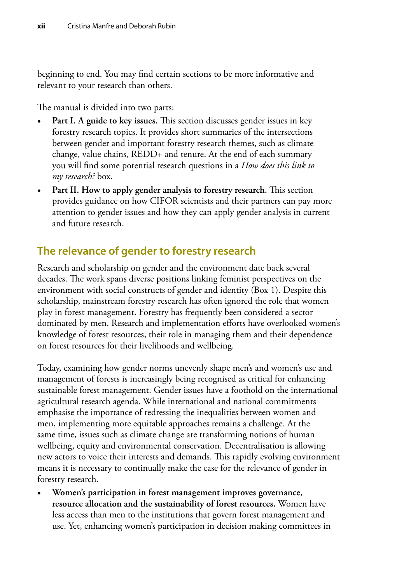<span id="page-13-0"></span>beginning to end. You may find certain sections to be more informative and relevant to your research than others.

The manual is divided into two parts:

- **Part I. A guide to key issues.** This section discusses gender issues in key forestry research topics. It provides short summaries of the intersections between gender and important forestry research themes, such as climate change, value chains, REDD+ and tenure. At the end of each summary you will find some potential research questions in a *How does this link to my research?* box.
- **Part II. How to apply gender analysis to forestry research.** This section provides guidance on how CIFOR scientists and their partners can pay more attention to gender issues and how they can apply gender analysis in current and future research.

## **The relevance of gender to forestry research**

Research and scholarship on gender and the environment date back several decades. The work spans diverse positions linking feminist perspectives on the environment with social constructs of gender and identity (Box 1). Despite this scholarship, mainstream forestry research has often ignored the role that women play in forest management. Forestry has frequently been considered a sector dominated by men. Research and implementation efforts have overlooked women's knowledge of forest resources, their role in managing them and their dependence on forest resources for their livelihoods and wellbeing.

Today, examining how gender norms unevenly shape men's and women's use and management of forests is increasingly being recognised as critical for enhancing sustainable forest management. Gender issues have a foothold on the international agricultural research agenda. While international and national commitments emphasise the importance of redressing the inequalities between women and men, implementing more equitable approaches remains a challenge. At the same time, issues such as climate change are transforming notions of human wellbeing, equity and environmental conservation. Decentralisation is allowing new actors to voice their interests and demands. This rapidly evolving environment means it is necessary to continually make the case for the relevance of gender in forestry research.

• **Women's participation in forest management improves governance, resource allocation and the sustainability of forest resources.** Women have less access than men to the institutions that govern forest management and use. Yet, enhancing women's participation in decision making committees in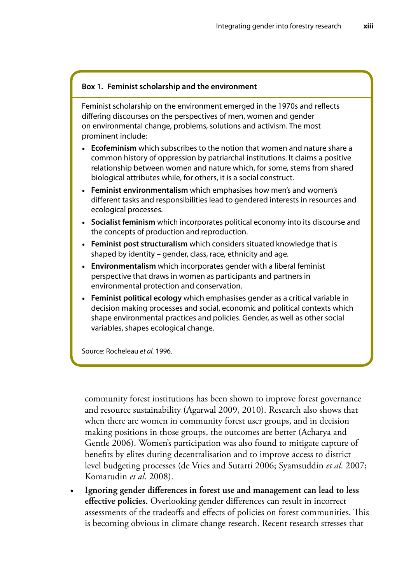#### <span id="page-14-0"></span>**Box 1. Feminist scholarship and the environment**

Feminist scholarship on the environment emerged in the 1970s and reflects differing discourses on the perspectives of men, women and gender on environmental change, problems, solutions and activism. The most prominent include:

- **Ecofeminism** which subscribes to the notion that women and nature share a common history of oppression by patriarchal institutions. It claims a positive relationship between women and nature which, for some, stems from shared biological attributes while, for others, it is a social construct.
- **Feminist environmentalism** which emphasises how men's and women's different tasks and responsibilities lead to gendered interests in resources and ecological processes.
- **Socialist feminism** which incorporates political economy into its discourse and the concepts of production and reproduction.
- **Feminist post structuralism** which considers situated knowledge that is shaped by identity – gender, class, race, ethnicity and age.
- **Environmentalism** which incorporates gender with a liberal feminist perspective that draws in women as participants and partners in environmental protection and conservation.
- **Feminist political ecology** which emphasises gender as a critical variable in decision making processes and social, economic and political contexts which shape environmental practices and policies. Gender, as well as other social variables, shapes ecological change.

Source: Rocheleau *et al.* 1996.

community forest institutions has been shown to improve forest governance and resource sustainability (Agarwal 2009, 2010). Research also shows that when there are women in community forest user groups, and in decision making positions in those groups, the outcomes are better (Acharya and Gentle 2006). Women's participation was also found to mitigate capture of benefits by elites during decentralisation and to improve access to district level budgeting processes (de Vries and Sutarti 2006; Syamsuddin *et al*. 2007; Komarudin *et al*. 2008).

• **Ignoring gender differences in forest use and management can lead to less effective policies.** Overlooking gender differences can result in incorrect assessments of the tradeoffs and effects of policies on forest communities. This is becoming obvious in climate change research. Recent research stresses that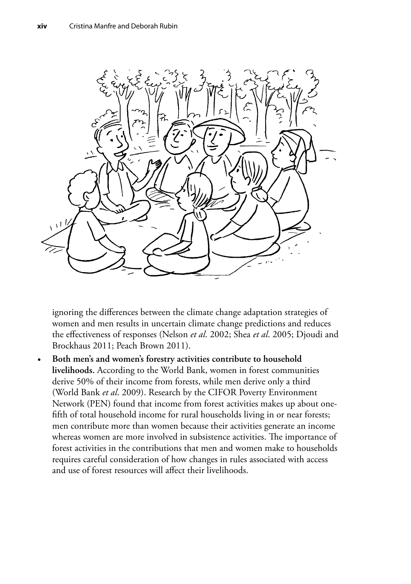

ignoring the differences between the climate change adaptation strategies of women and men results in uncertain climate change predictions and reduces the effectiveness of responses (Nelson *et al*. 2002; Shea *et al*. 2005; Djoudi and Brockhaus 2011; Peach Brown 2011).

• **Both men's and women's forestry activities contribute to household livelihoods.** According to the World Bank, women in forest communities derive 50% of their income from forests, while men derive only a third (World Bank *et al*. 2009). Research by the CIFOR Poverty Environment Network (PEN) found that income from forest activities makes up about onefifth of total household income for rural households living in or near forests; men contribute more than women because their activities generate an income whereas women are more involved in subsistence activities. The importance of forest activities in the contributions that men and women make to households requires careful consideration of how changes in rules associated with access and use of forest resources will affect their livelihoods.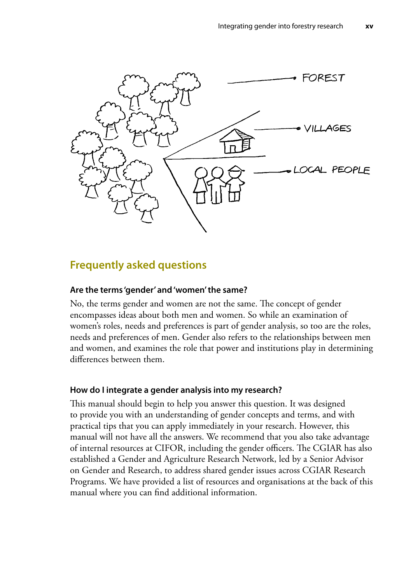<span id="page-16-0"></span>

## **Frequently asked questions**

#### **Are the terms 'gender' and 'women' the same?**

No, the terms gender and women are not the same. The concept of gender encompasses ideas about both men and women. So while an examination of women's roles, needs and preferences is part of gender analysis, so too are the roles, needs and preferences of men. Gender also refers to the relationships between men and women, and examines the role that power and institutions play in determining differences between them.

#### **How do I integrate a gender analysis into my research?**

This manual should begin to help you answer this question. It was designed to provide you with an understanding of gender concepts and terms, and with practical tips that you can apply immediately in your research. However, this manual will not have all the answers. We recommend that you also take advantage of internal resources at CIFOR, including the gender officers. The CGIAR has also established a Gender and Agriculture Research Network, led by a Senior Advisor on Gender and Research, to address shared gender issues across CGIAR Research Programs. We have provided a list of resources and organisations at the back of this manual where you can find additional information.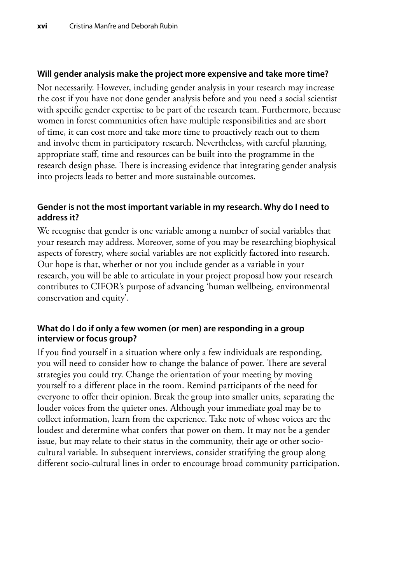#### **Will gender analysis make the project more expensive and take more time?**

Not necessarily. However, including gender analysis in your research may increase the cost if you have not done gender analysis before and you need a social scientist with specific gender expertise to be part of the research team. Furthermore, because women in forest communities often have multiple responsibilities and are short of time, it can cost more and take more time to proactively reach out to them and involve them in participatory research. Nevertheless, with careful planning, appropriate staff, time and resources can be built into the programme in the research design phase. There is increasing evidence that integrating gender analysis into projects leads to better and more sustainable outcomes.

#### **Gender is not the most important variable in my research. Why do I need to address it?**

We recognise that gender is one variable among a number of social variables that your research may address. Moreover, some of you may be researching biophysical aspects of forestry, where social variables are not explicitly factored into research. Our hope is that, whether or not you include gender as a variable in your research, you will be able to articulate in your project proposal how your research contributes to CIFOR's purpose of advancing 'human wellbeing, environmental conservation and equity'.

### **What do I do if only a few women (or men) are responding in a group interview or focus group?**

If you find yourself in a situation where only a few individuals are responding, you will need to consider how to change the balance of power. There are several strategies you could try. Change the orientation of your meeting by moving yourself to a different place in the room. Remind participants of the need for everyone to offer their opinion. Break the group into smaller units, separating the louder voices from the quieter ones. Although your immediate goal may be to collect information, learn from the experience. Take note of whose voices are the loudest and determine what confers that power on them. It may not be a gender issue, but may relate to their status in the community, their age or other sociocultural variable. In subsequent interviews, consider stratifying the group along different socio-cultural lines in order to encourage broad community participation.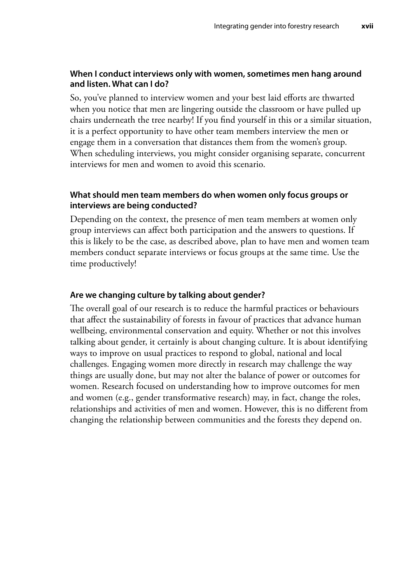#### **When I conduct interviews only with women, sometimes men hang around and listen. What can I do?**

So, you've planned to interview women and your best laid efforts are thwarted when you notice that men are lingering outside the classroom or have pulled up chairs underneath the tree nearby! If you find yourself in this or a similar situation, it is a perfect opportunity to have other team members interview the men or engage them in a conversation that distances them from the women's group. When scheduling interviews, you might consider organising separate, concurrent interviews for men and women to avoid this scenario.

#### **What should men team members do when women only focus groups or interviews are being conducted?**

Depending on the context, the presence of men team members at women only group interviews can affect both participation and the answers to questions. If this is likely to be the case, as described above, plan to have men and women team members conduct separate interviews or focus groups at the same time. Use the time productively!

#### **Are we changing culture by talking about gender?**

The overall goal of our research is to reduce the harmful practices or behaviours that affect the sustainability of forests in favour of practices that advance human wellbeing, environmental conservation and equity. Whether or not this involves talking about gender, it certainly is about changing culture. It is about identifying ways to improve on usual practices to respond to global, national and local challenges. Engaging women more directly in research may challenge the way things are usually done, but may not alter the balance of power or outcomes for women. Research focused on understanding how to improve outcomes for men and women (e.g., gender transformative research) may, in fact, change the roles, relationships and activities of men and women. However, this is no different from changing the relationship between communities and the forests they depend on.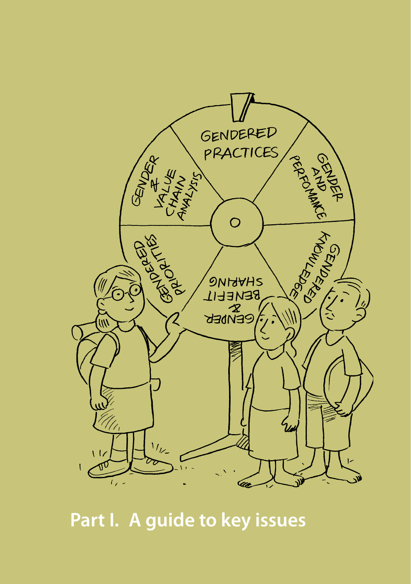<span id="page-20-0"></span>

## **Part I. A guide to key issues**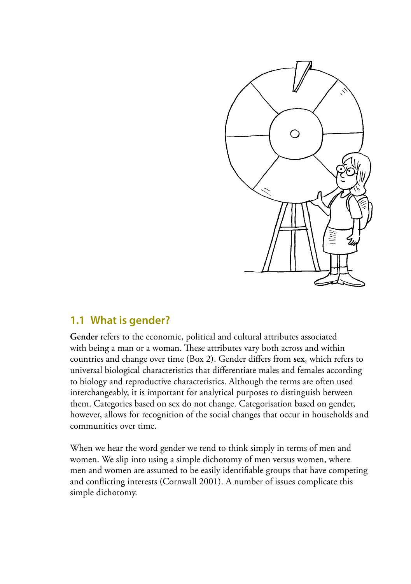<span id="page-22-0"></span>

### **1.1 What is gender?**

**Gender** refers to the economic, political and cultural attributes associated with being a man or a woman. These attributes vary both across and within countries and change over time (Box 2). Gender differs from **sex**, which refers to universal biological characteristics that differentiate males and females according to biology and reproductive characteristics. Although the terms are often used interchangeably, it is important for analytical purposes to distinguish between them. Categories based on sex do not change. Categorisation based on gender, however, allows for recognition of the social changes that occur in households and communities over time.

When we hear the word gender we tend to think simply in terms of men and women. We slip into using a simple dichotomy of men versus women, where men and women are assumed to be easily identifiable groups that have competing and conflicting interests (Cornwall 2001). A number of issues complicate this simple dichotomy.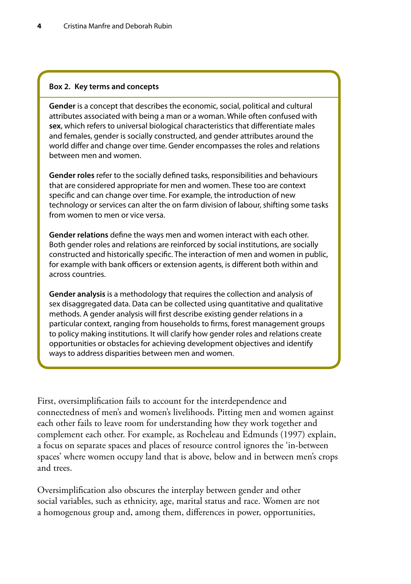#### <span id="page-23-0"></span>**Box 2. Key terms and concepts**

**Gender** is a concept that describes the economic, social, political and cultural attributes associated with being a man or a woman. While often confused with **sex**, which refers to universal biological characteristics that differentiate males and females, gender is socially constructed, and gender attributes around the world differ and change over time. Gender encompasses the roles and relations between men and women.

**Gender roles** refer to the socially defined tasks, responsibilities and behaviours that are considered appropriate for men and women. These too are context specific and can change over time. For example, the introduction of new technology or services can alter the on farm division of labour, shifting some tasks from women to men or vice versa.

**Gender relations** define the ways men and women interact with each other. Both gender roles and relations are reinforced by social institutions, are socially constructed and historically specific. The interaction of men and women in public, for example with bank officers or extension agents, is different both within and across countries.

**Gender analysis** is a methodology that requires the collection and analysis of sex disaggregated data. Data can be collected using quantitative and qualitative methods. A gender analysis will first describe existing gender relations in a particular context, ranging from households to firms, forest management groups to policy making institutions. It will clarify how gender roles and relations create opportunities or obstacles for achieving development objectives and identify ways to address disparities between men and women.

First, oversimplification fails to account for the interdependence and connectedness of men's and women's livelihoods. Pitting men and women against each other fails to leave room for understanding how they work together and complement each other. For example, as Rocheleau and Edmunds (1997) explain, a focus on separate spaces and places of resource control ignores the 'in-between spaces' where women occupy land that is above, below and in between men's crops and trees.

Oversimplification also obscures the interplay between gender and other social variables, such as ethnicity, age, marital status and race. Women are not a homogenous group and, among them, differences in power, opportunities,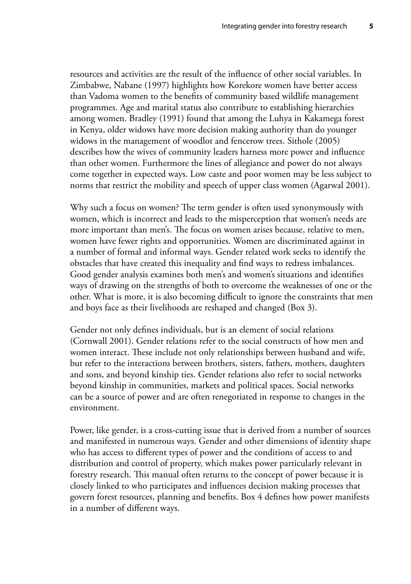resources and activities are the result of the influence of other social variables. In Zimbabwe, Nabane (1997) highlights how Korekore women have better access than Vadoma women to the benefits of community based wildlife management programmes. Age and marital status also contribute to establishing hierarchies among women. Bradley (1991) found that among the Luhya in Kakamega forest in Kenya, older widows have more decision making authority than do younger widows in the management of woodlot and fencerow trees. Sithole (2005) describes how the wives of community leaders harness more power and influence than other women. Furthermore the lines of allegiance and power do not always come together in expected ways. Low caste and poor women may be less subject to norms that restrict the mobility and speech of upper class women (Agarwal 2001).

Why such a focus on women? The term gender is often used synonymously with women, which is incorrect and leads to the misperception that women's needs are more important than men's. The focus on women arises because, relative to men, women have fewer rights and opportunities. Women are discriminated against in a number of formal and informal ways. Gender related work seeks to identify the obstacles that have created this inequality and find ways to redress imbalances. Good gender analysis examines both men's and women's situations and identifies ways of drawing on the strengths of both to overcome the weaknesses of one or the other. What is more, it is also becoming difficult to ignore the constraints that men and boys face as their livelihoods are reshaped and changed (Box 3).

Gender not only defines individuals, but is an element of social relations (Cornwall 2001). Gender relations refer to the social constructs of how men and women interact. These include not only relationships between husband and wife, but refer to the interactions between brothers, sisters, fathers, mothers, daughters and sons, and beyond kinship ties. Gender relations also refer to social networks beyond kinship in communities, markets and political spaces. Social networks can be a source of power and are often renegotiated in response to changes in the environment.

Power, like gender, is a cross-cutting issue that is derived from a number of sources and manifested in numerous ways. Gender and other dimensions of identity shape who has access to different types of power and the conditions of access to and distribution and control of property, which makes power particularly relevant in forestry research. This manual often returns to the concept of power because it is closely linked to who participates and influences decision making processes that govern forest resources, planning and benefits. Box 4 defines how power manifests in a number of different ways.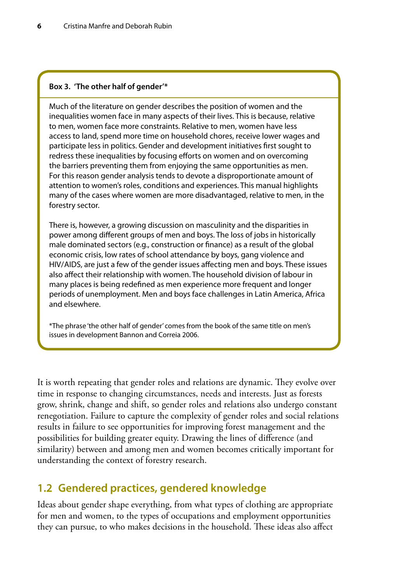#### <span id="page-25-0"></span>**Box 3. 'The other half of gender'\***

Much of the literature on gender describes the position of women and the inequalities women face in many aspects of their lives. This is because, relative to men, women face more constraints. Relative to men, women have less access to land, spend more time on household chores, receive lower wages and participate less in politics. Gender and development initiatives first sought to redress these inequalities by focusing efforts on women and on overcoming the barriers preventing them from enjoying the same opportunities as men. For this reason gender analysis tends to devote a disproportionate amount of attention to women's roles, conditions and experiences. This manual highlights many of the cases where women are more disadvantaged, relative to men, in the forestry sector.

There is, however, a growing discussion on masculinity and the disparities in power among different groups of men and boys. The loss of jobs in historically male dominated sectors (e.g., construction or finance) as a result of the global economic crisis, low rates of school attendance by boys, gang violence and HIV/AIDS, are just a few of the gender issues affecting men and boys. These issues also affect their relationship with women. The household division of labour in many places is being redefined as men experience more frequent and longer periods of unemployment. Men and boys face challenges in Latin America, Africa and elsewhere.

\*The phrase 'the other half of gender' comes from the book of the same title on men's issues in development Bannon and Correia 2006.

It is worth repeating that gender roles and relations are dynamic. They evolve over time in response to changing circumstances, needs and interests. Just as forests grow, shrink, change and shift, so gender roles and relations also undergo constant renegotiation. Failure to capture the complexity of gender roles and social relations results in failure to see opportunities for improving forest management and the possibilities for building greater equity. Drawing the lines of difference (and similarity) between and among men and women becomes critically important for understanding the context of forestry research.

### **1.2 Gendered practices, gendered knowledge**

Ideas about gender shape everything, from what types of clothing are appropriate for men and women, to the types of occupations and employment opportunities they can pursue, to who makes decisions in the household. These ideas also affect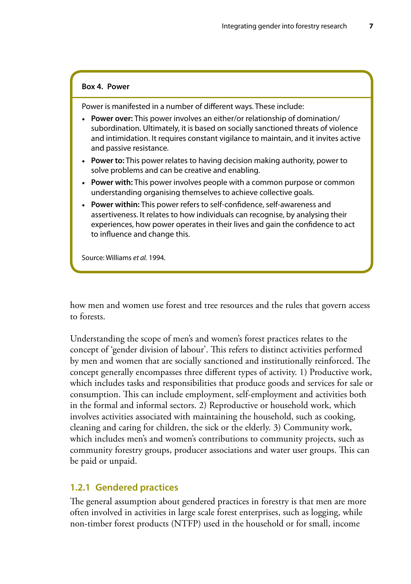#### <span id="page-26-0"></span>**Box 4. Power**

Power is manifested in a number of different ways. These include:

- **Power over:** This power involves an either/or relationship of domination/ subordination. Ultimately, it is based on socially sanctioned threats of violence and intimidation. It requires constant vigilance to maintain, and it invites active and passive resistance.
- **Power to:** This power relates to having decision making authority, power to solve problems and can be creative and enabling.
- **Power with:** This power involves people with a common purpose or common understanding organising themselves to achieve collective goals.
- **Power within:** This power refers to self-confidence, self-awareness and assertiveness. It relates to how individuals can recognise, by analysing their experiences, how power operates in their lives and gain the confidence to act to influence and change this.

Source: Williams *et al.* 1994.

how men and women use forest and tree resources and the rules that govern access to forests.

Understanding the scope of men's and women's forest practices relates to the concept of 'gender division of labour'. This refers to distinct activities performed by men and women that are socially sanctioned and institutionally reinforced. The concept generally encompasses three different types of activity. 1) Productive work, which includes tasks and responsibilities that produce goods and services for sale or consumption. This can include employment, self-employment and activities both in the formal and informal sectors. 2) Reproductive or household work, which involves activities associated with maintaining the household, such as cooking, cleaning and caring for children, the sick or the elderly. 3) Community work, which includes men's and women's contributions to community projects, such as community forestry groups, producer associations and water user groups. This can be paid or unpaid.

#### **1.2.1 Gendered practices**

The general assumption about gendered practices in forestry is that men are more often involved in activities in large scale forest enterprises, such as logging, while non-timber forest products (NTFP) used in the household or for small, income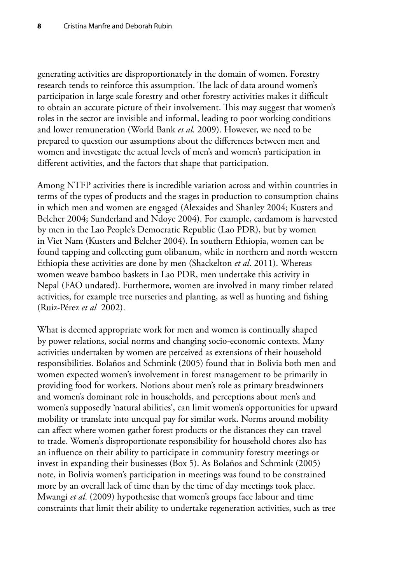generating activities are disproportionately in the domain of women. Forestry research tends to reinforce this assumption. The lack of data around women's participation in large scale forestry and other forestry activities makes it difficult to obtain an accurate picture of their involvement. This may suggest that women's roles in the sector are invisible and informal, leading to poor working conditions and lower remuneration (World Bank *et al*. 2009). However, we need to be prepared to question our assumptions about the differences between men and women and investigate the actual levels of men's and women's participation in different activities, and the factors that shape that participation.

Among NTFP activities there is incredible variation across and within countries in terms of the types of products and the stages in production to consumption chains in which men and women are engaged (Alexaides and Shanley 2004; Kusters and Belcher 2004; Sunderland and Ndoye 2004). For example, cardamom is harvested by men in the Lao People's Democratic Republic (Lao PDR), but by women in Viet Nam (Kusters and Belcher 2004). In southern Ethiopia, women can be found tapping and collecting gum olibanum, while in northern and north western Ethiopia these activities are done by men (Shackelton *et al*. 2011). Whereas women weave bamboo baskets in Lao PDR, men undertake this activity in Nepal (FAO undated). Furthermore, women are involved in many timber related activities, for example tree nurseries and planting, as well as hunting and fishing (Ruiz-Pérez *et al* 2002).

What is deemed appropriate work for men and women is continually shaped by power relations, social norms and changing socio-economic contexts. Many activities undertaken by women are perceived as extensions of their household responsibilities. Bolaños and Schmink (2005) found that in Bolivia both men and women expected women's involvement in forest management to be primarily in providing food for workers. Notions about men's role as primary breadwinners and women's dominant role in households, and perceptions about men's and women's supposedly 'natural abilities', can limit women's opportunities for upward mobility or translate into unequal pay for similar work. Norms around mobility can affect where women gather forest products or the distances they can travel to trade. Women's disproportionate responsibility for household chores also has an influence on their ability to participate in community forestry meetings or invest in expanding their businesses (Box 5). As Bolaños and Schmink (2005) note, in Bolivia women's participation in meetings was found to be constrained more by an overall lack of time than by the time of day meetings took place. Mwangi *et al*. (2009) hypothesise that women's groups face labour and time constraints that limit their ability to undertake regeneration activities, such as tree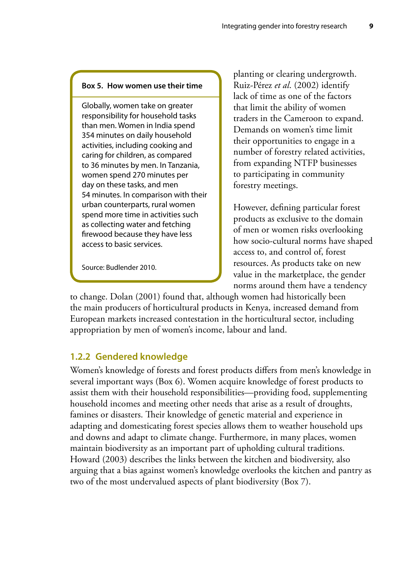#### <span id="page-28-0"></span>**Box 5. How women use their time**

Globally, women take on greater responsibility for household tasks than men. Women in India spend 354 minutes on daily household activities, including cooking and caring for children, as compared to 36 minutes by men. In Tanzania, women spend 270 minutes per day on these tasks, and men 54 minutes. In comparison with their urban counterparts, rural women spend more time in activities such as collecting water and fetching firewood because they have less access to basic services.

Source: Budlender 2010.

planting or clearing undergrowth. Ruiz-Pérez *et al*. (2002) identify lack of time as one of the factors that limit the ability of women traders in the Cameroon to expand. Demands on women's time limit their opportunities to engage in a number of forestry related activities, from expanding NTFP businesses to participating in community forestry meetings.

However, defining particular forest products as exclusive to the domain of men or women risks overlooking how socio-cultural norms have shaped access to, and control of, forest resources. As products take on new value in the marketplace, the gender norms around them have a tendency

to change. Dolan (2001) found that, although women had historically been the main producers of horticultural products in Kenya, increased demand from European markets increased contestation in the horticultural sector, including appropriation by men of women's income, labour and land.

#### **1.2.2 Gendered knowledge**

Women's knowledge of forests and forest products differs from men's knowledge in several important ways (Box 6). Women acquire knowledge of forest products to assist them with their household responsibilities—providing food, supplementing household incomes and meeting other needs that arise as a result of droughts, famines or disasters. Their knowledge of genetic material and experience in adapting and domesticating forest species allows them to weather household ups and downs and adapt to climate change. Furthermore, in many places, women maintain biodiversity as an important part of upholding cultural traditions. Howard (2003) describes the links between the kitchen and biodiversity, also arguing that a bias against women's knowledge overlooks the kitchen and pantry as two of the most undervalued aspects of plant biodiversity (Box 7).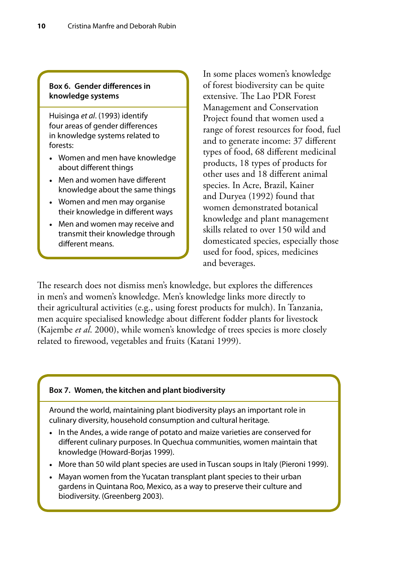#### <span id="page-29-0"></span>**Box 6. Gender differences in knowledge systems**

Huisinga *et al*. (1993) identify four areas of gender differences in knowledge systems related to forests:

- Women and men have knowledge about different things
- Men and women have different knowledge about the same things
- Women and men may organise their knowledge in different ways
- Men and women may receive and transmit their knowledge through different means.

In some places women's knowledge of forest biodiversity can be quite extensive. The Lao PDR Forest Management and Conservation Project found that women used a range of forest resources for food, fuel and to generate income: 37 different types of food, 68 different medicinal products, 18 types of products for other uses and 18 different animal species. In Acre, Brazil, Kainer and Duryea (1992) found that women demonstrated botanical knowledge and plant management skills related to over 150 wild and domesticated species, especially those used for food, spices, medicines and beverages.

The research does not dismiss men's knowledge, but explores the differences in men's and women's knowledge. Men's knowledge links more directly to their agricultural activities (e.g., using forest products for mulch). In Tanzania, men acquire specialised knowledge about different fodder plants for livestock (Kajembe *et al*. 2000), while women's knowledge of trees species is more closely related to firewood, vegetables and fruits (Katani 1999).

#### **Box 7. Women, the kitchen and plant biodiversity**

Around the world, maintaining plant biodiversity plays an important role in culinary diversity, household consumption and cultural heritage.

- In the Andes, a wide range of potato and maize varieties are conserved for different culinary purposes. In Quechua communities, women maintain that knowledge (Howard-Borjas 1999).
- More than 50 wild plant species are used in Tuscan soups in Italy (Pieroni 1999).
- Mayan women from the Yucatan transplant plant species to their urban gardens in Quintana Roo, Mexico, as a way to preserve their culture and biodiversity. (Greenberg 2003).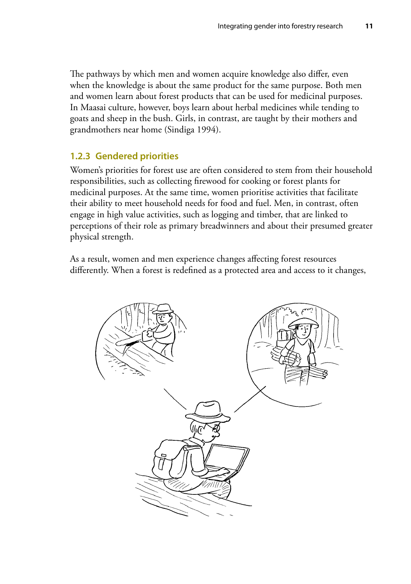<span id="page-30-0"></span>The pathways by which men and women acquire knowledge also differ, even when the knowledge is about the same product for the same purpose. Both men and women learn about forest products that can be used for medicinal purposes. In Maasai culture, however, boys learn about herbal medicines while tending to goats and sheep in the bush. Girls, in contrast, are taught by their mothers and grandmothers near home (Sindiga 1994).

#### **1.2.3 Gendered priorities**

Women's priorities for forest use are often considered to stem from their household responsibilities, such as collecting firewood for cooking or forest plants for medicinal purposes. At the same time, women prioritise activities that facilitate their ability to meet household needs for food and fuel. Men, in contrast, often engage in high value activities, such as logging and timber, that are linked to perceptions of their role as primary breadwinners and about their presumed greater physical strength.

As a result, women and men experience changes affecting forest resources differently. When a forest is redefined as a protected area and access to it changes,

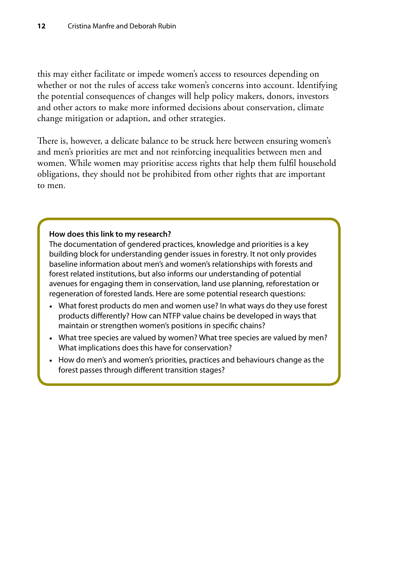this may either facilitate or impede women's access to resources depending on whether or not the rules of access take women's concerns into account. Identifying the potential consequences of changes will help policy makers, donors, investors and other actors to make more informed decisions about conservation, climate change mitigation or adaption, and other strategies.

There is, however, a delicate balance to be struck here between ensuring women's and men's priorities are met and not reinforcing inequalities between men and women. While women may prioritise access rights that help them fulfil household obligations, they should not be prohibited from other rights that are important to men.

#### **How does this link to my research?**

The documentation of gendered practices, knowledge and priorities is a key building block for understanding gender issues in forestry. It not only provides baseline information about men's and women's relationships with forests and forest related institutions, but also informs our understanding of potential avenues for engaging them in conservation, land use planning, reforestation or regeneration of forested lands. Here are some potential research questions:

- What forest products do men and women use? In what ways do they use forest products differently? How can NTFP value chains be developed in ways that maintain or strengthen women's positions in specific chains?
- What tree species are valued by women? What tree species are valued by men? What implications does this have for conservation?
- How do men's and women's priorities, practices and behaviours change as the forest passes through different transition stages?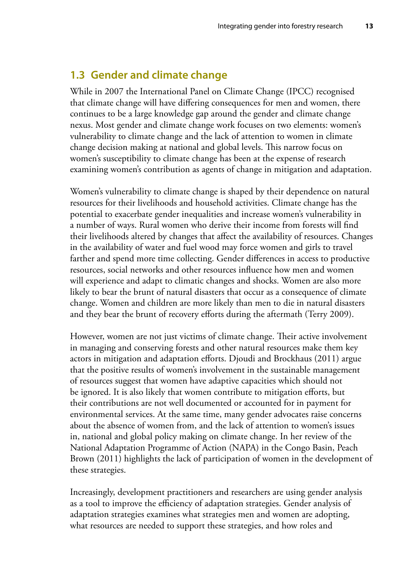## <span id="page-32-0"></span>**1.3 Gender and climate change**

While in 2007 the International Panel on Climate Change (IPCC) recognised that climate change will have differing consequences for men and women, there continues to be a large knowledge gap around the gender and climate change nexus. Most gender and climate change work focuses on two elements: women's vulnerability to climate change and the lack of attention to women in climate change decision making at national and global levels. This narrow focus on women's susceptibility to climate change has been at the expense of research examining women's contribution as agents of change in mitigation and adaptation.

Women's vulnerability to climate change is shaped by their dependence on natural resources for their livelihoods and household activities. Climate change has the potential to exacerbate gender inequalities and increase women's vulnerability in a number of ways. Rural women who derive their income from forests will find their livelihoods altered by changes that affect the availability of resources. Changes in the availability of water and fuel wood may force women and girls to travel farther and spend more time collecting. Gender differences in access to productive resources, social networks and other resources influence how men and women will experience and adapt to climatic changes and shocks. Women are also more likely to bear the brunt of natural disasters that occur as a consequence of climate change. Women and children are more likely than men to die in natural disasters and they bear the brunt of recovery efforts during the aftermath (Terry 2009).

However, women are not just victims of climate change. Their active involvement in managing and conserving forests and other natural resources make them key actors in mitigation and adaptation efforts. Djoudi and Brockhaus (2011) argue that the positive results of women's involvement in the sustainable management of resources suggest that women have adaptive capacities which should not be ignored. It is also likely that women contribute to mitigation efforts, but their contributions are not well documented or accounted for in payment for environmental services. At the same time, many gender advocates raise concerns about the absence of women from, and the lack of attention to women's issues in, national and global policy making on climate change. In her review of the National Adaptation Programme of Action (NAPA) in the Congo Basin, Peach Brown (2011) highlights the lack of participation of women in the development of these strategies.

Increasingly, development practitioners and researchers are using gender analysis as a tool to improve the efficiency of adaptation strategies. Gender analysis of adaptation strategies examines what strategies men and women are adopting, what resources are needed to support these strategies, and how roles and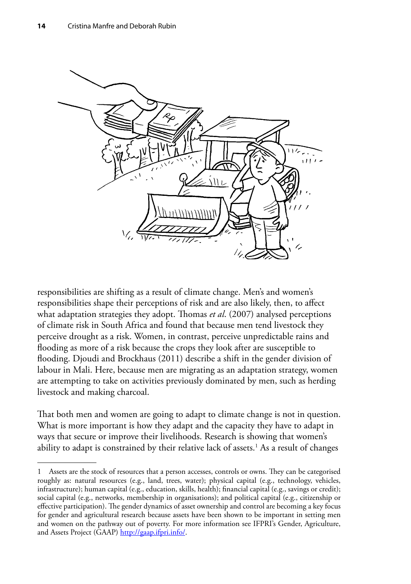

responsibilities are shifting as a result of climate change. Men's and women's responsibilities shape their perceptions of risk and are also likely, then, to affect what adaptation strategies they adopt. Thomas *et al*. (2007) analysed perceptions of climate risk in South Africa and found that because men tend livestock they perceive drought as a risk. Women, in contrast, perceive unpredictable rains and flooding as more of a risk because the crops they look after are susceptible to flooding. Djoudi and Brockhaus (2011) describe a shift in the gender division of labour in Mali. Here, because men are migrating as an adaptation strategy, women are attempting to take on activities previously dominated by men, such as herding livestock and making charcoal.

That both men and women are going to adapt to climate change is not in question. What is more important is how they adapt and the capacity they have to adapt in ways that secure or improve their livelihoods. Research is showing that women's ability to adapt is constrained by their relative lack of assets. 1 As a result of changes

<sup>1</sup> Assets are the stock of resources that a person accesses, controls or owns. They can be categorised roughly as: natural resources (e.g., land, trees, water); physical capital (e.g., technology, vehicles, infrastructure); human capital (e.g., education, skills, health); financial capital (e.g., savings or credit); social capital (e.g., networks, membership in organisations); and political capital (e.g., citizenship or effective participation). The gender dynamics of asset ownership and control are becoming a key focus for gender and agricultural research because assets have been shown to be important in setting men and women on the pathway out of poverty. For more information see IFPRI's Gender, Agriculture, and Assets Project (GAAP) <http://gaap.ifpri.info/>.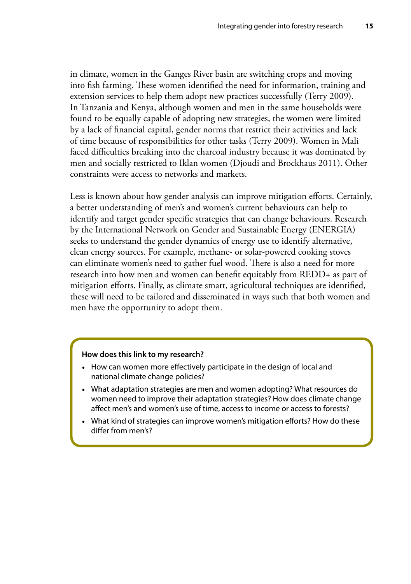in climate, women in the Ganges River basin are switching crops and moving into fish farming. These women identified the need for information, training and extension services to help them adopt new practices successfully (Terry 2009). In Tanzania and Kenya, although women and men in the same households were found to be equally capable of adopting new strategies, the women were limited by a lack of financial capital, gender norms that restrict their activities and lack of time because of responsibilities for other tasks (Terry 2009). Women in Mali faced difficulties breaking into the charcoal industry because it was dominated by men and socially restricted to Iklan women (Djoudi and Brockhaus 2011). Other constraints were access to networks and markets.

Less is known about how gender analysis can improve mitigation efforts. Certainly, a better understanding of men's and women's current behaviours can help to identify and target gender specific strategies that can change behaviours. Research by the International Network on Gender and Sustainable Energy (ENERGIA) seeks to understand the gender dynamics of energy use to identify alternative, clean energy sources. For example, methane- or solar-powered cooking stoves can eliminate women's need to gather fuel wood. There is also a need for more research into how men and women can benefit equitably from REDD+ as part of mitigation efforts. Finally, as climate smart, agricultural techniques are identified, these will need to be tailored and disseminated in ways such that both women and men have the opportunity to adopt them.

#### **How does this link to my research?**

- How can women more effectively participate in the design of local and national climate change policies?
- What adaptation strategies are men and women adopting? What resources do women need to improve their adaptation strategies? How does climate change affect men's and women's use of time, access to income or access to forests?
- What kind of strategies can improve women's mitigation efforts? How do these differ from men's?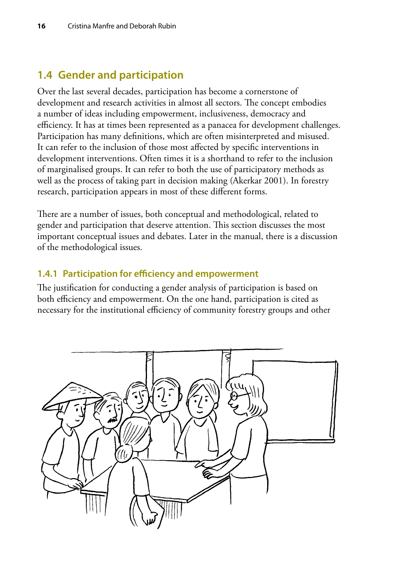## <span id="page-35-0"></span>**1.4 Gender and participation**

Over the last several decades, participation has become a cornerstone of development and research activities in almost all sectors. The concept embodies a number of ideas including empowerment, inclusiveness, democracy and efficiency. It has at times been represented as a panacea for development challenges. Participation has many definitions, which are often misinterpreted and misused. It can refer to the inclusion of those most affected by specific interventions in development interventions. Often times it is a shorthand to refer to the inclusion of marginalised groups. It can refer to both the use of participatory methods as well as the process of taking part in decision making (Akerkar 2001). In forestry research, participation appears in most of these different forms.

There are a number of issues, both conceptual and methodological, related to gender and participation that deserve attention. This section discusses the most important conceptual issues and debates. Later in the manual, there is a discussion of the methodological issues.

### **1.4.1 Participation for efficiency and empowerment**

The justification for conducting a gender analysis of participation is based on both efficiency and empowerment. On the one hand, participation is cited as necessary for the institutional efficiency of community forestry groups and other

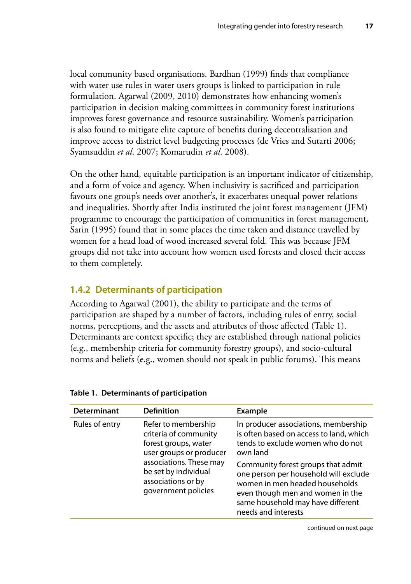local community based organisations. Bardhan (1999) finds that compliance with water use rules in water users groups is linked to participation in rule formulation. Agarwal (2009, 2010) demonstrates how enhancing women's participation in decision making committees in community forest institutions improves forest governance and resource sustainability. Women's participation is also found to mitigate elite capture of benefits during decentralisation and improve access to district level budgeting processes (de Vries and Sutarti 2006; Syamsuddin *et al*. 2007; Komarudin *et al*. 2008).

On the other hand, equitable participation is an important indicator of citizenship, and a form of voice and agency. When inclusivity is sacrificed and participation favours one group's needs over another's, it exacerbates unequal power relations and inequalities. Shortly after India instituted the joint forest management (JFM) programme to encourage the participation of communities in forest management, Sarin (1995) found that in some places the time taken and distance travelled by women for a head load of wood increased several fold. This was because JFM groups did not take into account how women used forests and closed their access to them completely.

## **1.4.2 Determinants of participation**

According to Agarwal (2001), the ability to participate and the terms of participation are shaped by a number of factors, including rules of entry, social norms, perceptions, and the assets and attributes of those affected (Table 1). Determinants are context specific; they are established through national policies (e.g., membership criteria for community forestry groups), and socio-cultural norms and beliefs (e.g., women should not speak in public forums). This means

| <b>Determinant</b><br><b>Definition</b>                                                                                                                                                                           | <b>Example</b>                                                                                                                                                                                                                                                                                                                                    |
|-------------------------------------------------------------------------------------------------------------------------------------------------------------------------------------------------------------------|---------------------------------------------------------------------------------------------------------------------------------------------------------------------------------------------------------------------------------------------------------------------------------------------------------------------------------------------------|
| Rules of entry<br>Refer to membership<br>criteria of community<br>forest groups, water<br>user groups or producer<br>associations. These may<br>be set by individual<br>associations or by<br>government policies | In producer associations, membership<br>is often based on access to land, which<br>tends to exclude women who do not<br>own land<br>Community forest groups that admit<br>one person per household will exclude<br>women in men headed households<br>even though men and women in the<br>same household may have different<br>needs and interests |

### **Table 1. Determinants of participation**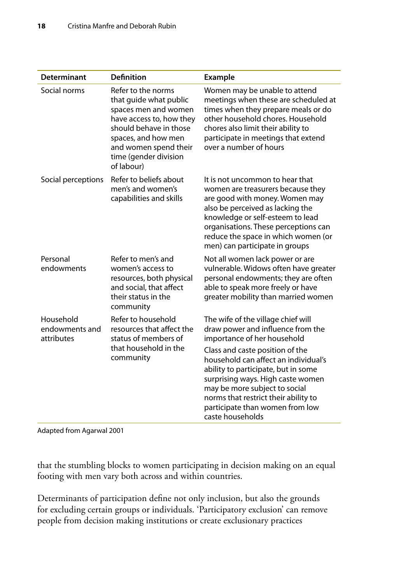| <b>Determinant</b>                        | <b>Definition</b>                                                                                                                                                                                                 | <b>Example</b>                                                                                                                                                                                                                                                                                                                                                                                |
|-------------------------------------------|-------------------------------------------------------------------------------------------------------------------------------------------------------------------------------------------------------------------|-----------------------------------------------------------------------------------------------------------------------------------------------------------------------------------------------------------------------------------------------------------------------------------------------------------------------------------------------------------------------------------------------|
| Social norms                              | Refer to the norms<br>that guide what public<br>spaces men and women<br>have access to, how they<br>should behave in those<br>spaces, and how men<br>and women spend their<br>time (gender division<br>of labour) | Women may be unable to attend<br>meetings when these are scheduled at<br>times when they prepare meals or do<br>other household chores. Household<br>chores also limit their ability to<br>participate in meetings that extend<br>over a number of hours                                                                                                                                      |
| Social perceptions                        | Refer to beliefs about<br>men's and women's<br>capabilities and skills                                                                                                                                            | It is not uncommon to hear that<br>women are treasurers because they<br>are good with money. Women may<br>also be perceived as lacking the<br>knowledge or self-esteem to lead<br>organisations. These perceptions can<br>reduce the space in which women (or<br>men) can participate in groups                                                                                               |
| Personal<br>endowments                    | Refer to men's and<br>women's access to<br>resources, both physical<br>and social, that affect<br>their status in the<br>community                                                                                | Not all women lack power or are<br>vulnerable. Widows often have greater<br>personal endowments; they are often<br>able to speak more freely or have<br>greater mobility than married women                                                                                                                                                                                                   |
| Household<br>endowments and<br>attributes | Refer to household<br>resources that affect the<br>status of members of<br>that household in the<br>community                                                                                                     | The wife of the village chief will<br>draw power and influence from the<br>importance of her household<br>Class and caste position of the<br>household can affect an individual's<br>ability to participate, but in some<br>surprising ways. High caste women<br>may be more subject to social<br>norms that restrict their ability to<br>participate than women from low<br>caste households |

Adapted from Agarwal 2001

that the stumbling blocks to women participating in decision making on an equal footing with men vary both across and within countries.

Determinants of participation define not only inclusion, but also the grounds for excluding certain groups or individuals. 'Participatory exclusion' can remove people from decision making institutions or create exclusionary practices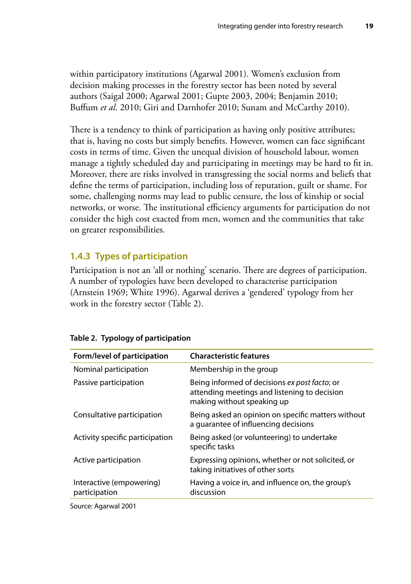within participatory institutions (Agarwal 2001). Women's exclusion from decision making processes in the forestry sector has been noted by several authors (Saigal 2000; Agarwal 2001; Gupte 2003, 2004; Benjamin 2010; Buffum *et al*. 2010; Giri and Darnhofer 2010; Sunam and McCarthy 2010).

There is a tendency to think of participation as having only positive attributes; that is, having no costs but simply benefits. However, women can face significant costs in terms of time. Given the unequal division of household labour, women manage a tightly scheduled day and participating in meetings may be hard to fit in. Moreover, there are risks involved in transgressing the social norms and beliefs that define the terms of participation, including loss of reputation, guilt or shame. For some, challenging norms may lead to public censure, the loss of kinship or social networks, or worse. The institutional efficiency arguments for participation do not consider the high cost exacted from men, women and the communities that take on greater responsibilities.

## **1.4.3 Types of participation**

Participation is not an 'all or nothing' scenario. There are degrees of participation. A number of typologies have been developed to characterise participation (Arnstein 1969; White 1996). Agarwal derives a 'gendered' typology from her work in the forestry sector (Table 2).

| Form/level of participation               | <b>Characteristic features</b>                                                                                              |
|-------------------------------------------|-----------------------------------------------------------------------------------------------------------------------------|
| Nominal participation                     | Membership in the group                                                                                                     |
| Passive participation                     | Being informed of decisions ex post facto; or<br>attending meetings and listening to decision<br>making without speaking up |
| Consultative participation                | Being asked an opinion on specific matters without<br>a guarantee of influencing decisions                                  |
| Activity specific participation           | Being asked (or volunteering) to undertake<br>specific tasks                                                                |
| Active participation                      | Expressing opinions, whether or not solicited, or<br>taking initiatives of other sorts                                      |
| Interactive (empowering)<br>participation | Having a voice in, and influence on, the group's<br>discussion                                                              |
|                                           |                                                                                                                             |

### **Table 2. Typology of participation**

Source: Agarwal 2001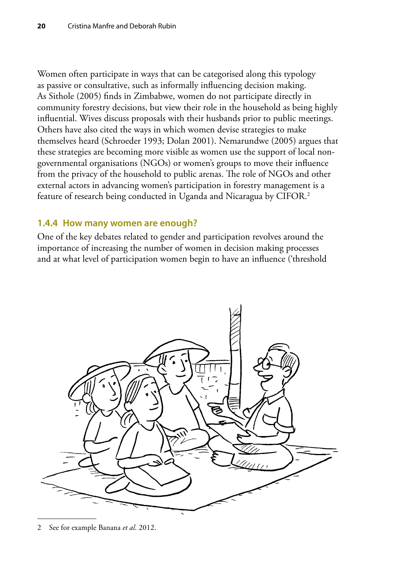Women often participate in ways that can be categorised along this typology as passive or consultative, such as informally influencing decision making. As Sithole (2005) finds in Zimbabwe, women do not participate directly in community forestry decisions, but view their role in the household as being highly influential. Wives discuss proposals with their husbands prior to public meetings. Others have also cited the ways in which women devise strategies to make themselves heard (Schroeder 1993; Dolan 2001). Nemarundwe (2005) argues that these strategies are becoming more visible as women use the support of local nongovernmental organisations (NGOs) or women's groups to move their influence from the privacy of the household to public arenas. The role of NGOs and other external actors in advancing women's participation in forestry management is a feature of research being conducted in Uganda and Nicaragua by CIFOR.2

## **1.4.4 How many women are enough?**

One of the key debates related to gender and participation revolves around the importance of increasing the number of women in decision making processes and at what level of participation women begin to have an influence ('threshold



<sup>2</sup> See for example Banana *et al*. 2012.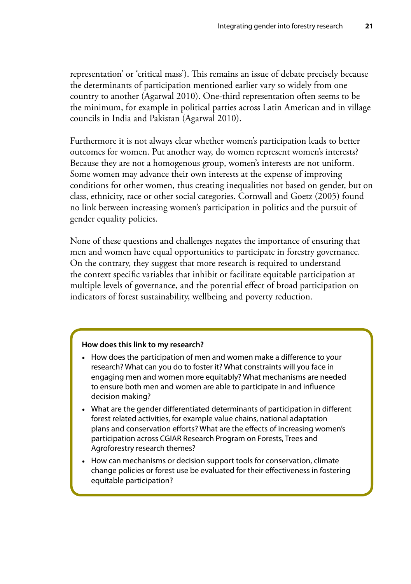representation' or 'critical mass'). This remains an issue of debate precisely because the determinants of participation mentioned earlier vary so widely from one country to another (Agarwal 2010). One-third representation often seems to be the minimum, for example in political parties across Latin American and in village councils in India and Pakistan (Agarwal 2010).

Furthermore it is not always clear whether women's participation leads to better outcomes for women. Put another way, do women represent women's interests? Because they are not a homogenous group, women's interests are not uniform. Some women may advance their own interests at the expense of improving conditions for other women, thus creating inequalities not based on gender, but on class, ethnicity, race or other social categories. Cornwall and Goetz (2005) found no link between increasing women's participation in politics and the pursuit of gender equality policies.

None of these questions and challenges negates the importance of ensuring that men and women have equal opportunities to participate in forestry governance. On the contrary, they suggest that more research is required to understand the context specific variables that inhibit or facilitate equitable participation at multiple levels of governance, and the potential effect of broad participation on indicators of forest sustainability, wellbeing and poverty reduction.

#### **How does this link to my research?**

- How does the participation of men and women make a difference to your research? What can you do to foster it? What constraints will you face in engaging men and women more equitably? What mechanisms are needed to ensure both men and women are able to participate in and influence decision making?
- What are the gender differentiated determinants of participation in different forest related activities, for example value chains, national adaptation plans and conservation efforts? What are the effects of increasing women's participation across CGIAR Research Program on Forests, Trees and Agroforestry research themes?
- How can mechanisms or decision support tools for conservation, climate change policies or forest use be evaluated for their effectiveness in fostering equitable participation?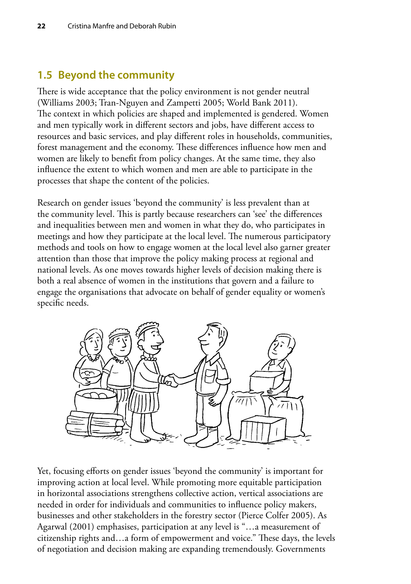# **1.5 Beyond the community**

There is wide acceptance that the policy environment is not gender neutral (Williams 2003; Tran-Nguyen and Zampetti 2005; World Bank 2011). The context in which policies are shaped and implemented is gendered. Women and men typically work in different sectors and jobs, have different access to resources and basic services, and play different roles in households, communities, forest management and the economy. These differences influence how men and women are likely to benefit from policy changes. At the same time, they also influence the extent to which women and men are able to participate in the processes that shape the content of the policies.

Research on gender issues 'beyond the community' is less prevalent than at the community level. This is partly because researchers can 'see' the differences and inequalities between men and women in what they do, who participates in meetings and how they participate at the local level. The numerous participatory methods and tools on how to engage women at the local level also garner greater attention than those that improve the policy making process at regional and national levels. As one moves towards higher levels of decision making there is both a real absence of women in the institutions that govern and a failure to engage the organisations that advocate on behalf of gender equality or women's specific needs.



Yet, focusing efforts on gender issues 'beyond the community' is important for improving action at local level. While promoting more equitable participation in horizontal associations strengthens collective action, vertical associations are needed in order for individuals and communities to influence policy makers, businesses and other stakeholders in the forestry sector (Pierce Colfer 2005). As Agarwal (2001) emphasises, participation at any level is "…a measurement of citizenship rights and…a form of empowerment and voice." These days, the levels of negotiation and decision making are expanding tremendously. Governments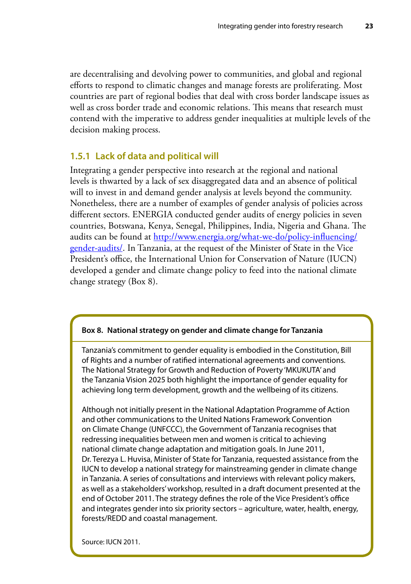are decentralising and devolving power to communities, and global and regional efforts to respond to climatic changes and manage forests are proliferating. Most countries are part of regional bodies that deal with cross border landscape issues as well as cross border trade and economic relations. This means that research must contend with the imperative to address gender inequalities at multiple levels of the decision making process.

### **1.5.1 Lack of data and political will**

Integrating a gender perspective into research at the regional and national levels is thwarted by a lack of sex disaggregated data and an absence of political will to invest in and demand gender analysis at levels beyond the community. Nonetheless, there are a number of examples of gender analysis of policies across different sectors. ENERGIA conducted gender audits of energy policies in seven countries, Botswana, Kenya, Senegal, Philippines, India, Nigeria and Ghana. The audits can be found at http://www.energia.org/what-we-do/policy-influencing/ gender-audits/. In Tanzania, at the request of the Minister of State in the Vice President's office, the International Union for Conservation of Nature (IUCN) developed a gender and climate change policy to feed into the national climate change strategy (Box 8).

#### **Box 8. National strategy on gender and climate change for Tanzania**

Tanzania's commitment to gender equality is embodied in the Constitution, Bill of Rights and a number of ratified international agreements and conventions. The National Strategy for Growth and Reduction of Poverty 'MKUKUTA' and the Tanzania Vision 2025 both highlight the importance of gender equality for achieving long term development, growth and the wellbeing of its citizens.

Although not initially present in the National Adaptation Programme of Action and other communications to the United Nations Framework Convention on Climate Change (UNFCCC), the Government of Tanzania recognises that redressing inequalities between men and women is critical to achieving national climate change adaptation and mitigation goals. In June 2011, Dr. Terezya L. Huvisa, Minister of State for Tanzania, requested assistance from the IUCN to develop a national strategy for mainstreaming gender in climate change in Tanzania. A series of consultations and interviews with relevant policy makers, as well as a stakeholders' workshop, resulted in a draft document presented at the end of October 2011. The strategy defines the role of the Vice President's office and integrates gender into six priority sectors – agriculture, water, health, energy, forests/REDD and coastal management.

Source: IUCN 2011.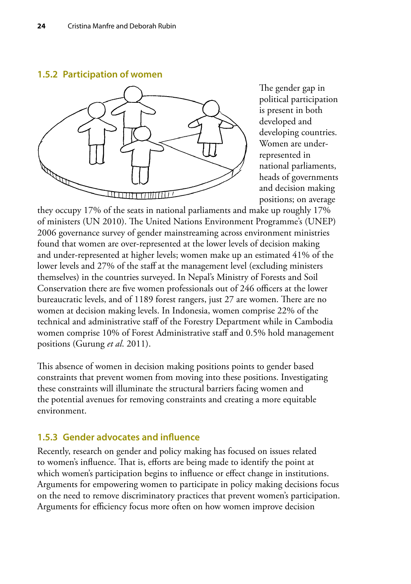### **1.5.2 Participation of women**



The gender gap in political participation is present in both developed and developing countries. Women are underrepresented in national parliaments, heads of governments and decision making positions; on average

they occupy 17% of the seats in national parliaments and make up roughly 17% of ministers (UN 2010). The United Nations Environment Programme's (UNEP) 2006 governance survey of gender mainstreaming across environment ministries found that women are over-represented at the lower levels of decision making and under-represented at higher levels; women make up an estimated 41% of the lower levels and 27% of the staff at the management level (excluding ministers themselves) in the countries surveyed. In Nepal's Ministry of Forests and Soil Conservation there are five women professionals out of 246 officers at the lower bureaucratic levels, and of 1189 forest rangers, just 27 are women. There are no women at decision making levels. In Indonesia, women comprise 22% of the technical and administrative staff of the Forestry Department while in Cambodia women comprise 10% of Forest Administrative staff and 0.5% hold management positions (Gurung *et al*. 2011).

This absence of women in decision making positions points to gender based constraints that prevent women from moving into these positions. Investigating these constraints will illuminate the structural barriers facing women and the potential avenues for removing constraints and creating a more equitable environment.

## **1.5.3 Gender advocates and influence**

Recently, research on gender and policy making has focused on issues related to women's influence. That is, efforts are being made to identify the point at which women's participation begins to influence or effect change in institutions. Arguments for empowering women to participate in policy making decisions focus on the need to remove discriminatory practices that prevent women's participation. Arguments for efficiency focus more often on how women improve decision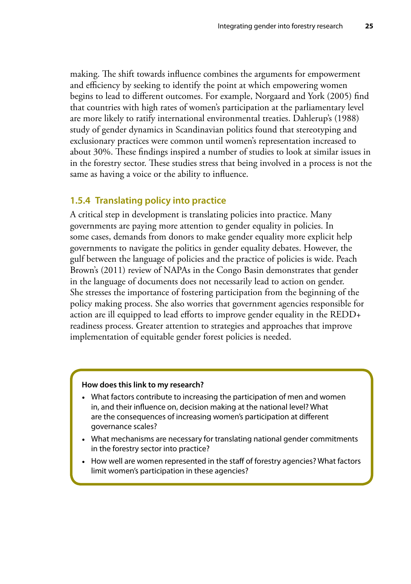making. The shift towards influence combines the arguments for empowerment and efficiency by seeking to identify the point at which empowering women begins to lead to different outcomes. For example, Norgaard and York (2005) find that countries with high rates of women's participation at the parliamentary level are more likely to ratify international environmental treaties. Dahlerup's (1988) study of gender dynamics in Scandinavian politics found that stereotyping and exclusionary practices were common until women's representation increased to about 30%. These findings inspired a number of studies to look at similar issues in in the forestry sector. These studies stress that being involved in a process is not the same as having a voice or the ability to influence.

### **1.5.4 Translating policy into practice**

A critical step in development is translating policies into practice. Many governments are paying more attention to gender equality in policies. In some cases, demands from donors to make gender equality more explicit help governments to navigate the politics in gender equality debates. However, the gulf between the language of policies and the practice of policies is wide. Peach Brown's (2011) review of NAPAs in the Congo Basin demonstrates that gender in the language of documents does not necessarily lead to action on gender. She stresses the importance of fostering participation from the beginning of the policy making process. She also worries that government agencies responsible for action are ill equipped to lead efforts to improve gender equality in the REDD+ readiness process. Greater attention to strategies and approaches that improve implementation of equitable gender forest policies is needed.

#### **How does this link to my research?**

- What factors contribute to increasing the participation of men and women in, and their influence on, decision making at the national level? What are the consequences of increasing women's participation at different governance scales?
- What mechanisms are necessary for translating national gender commitments in the forestry sector into practice?
- How well are women represented in the staff of forestry agencies? What factors limit women's participation in these agencies?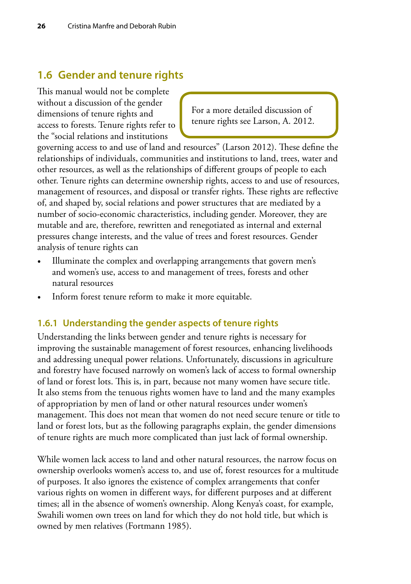## **1.6 Gender and tenure rights**

This manual would not be complete without a discussion of the gender dimensions of tenure rights and access to forests. Tenure rights refer to the "social relations and institutions

For a more detailed discussion of tenure rights see Larson, A. 2012.

governing access to and use of land and resources" (Larson 2012). These define the relationships of individuals, communities and institutions to land, trees, water and other resources, as well as the relationships of different groups of people to each other. Tenure rights can determine ownership rights, access to and use of resources, management of resources, and disposal or transfer rights. These rights are reflective of, and shaped by, social relations and power structures that are mediated by a number of socio-economic characteristics, including gender. Moreover, they are mutable and are, therefore, rewritten and renegotiated as internal and external pressures change interests, and the value of trees and forest resources. Gender analysis of tenure rights can

- Illuminate the complex and overlapping arrangements that govern men's and women's use, access to and management of trees, forests and other natural resources
- Inform forest tenure reform to make it more equitable.

## **1.6.1 Understanding the gender aspects of tenure rights**

Understanding the links between gender and tenure rights is necessary for improving the sustainable management of forest resources, enhancing livelihoods and addressing unequal power relations. Unfortunately, discussions in agriculture and forestry have focused narrowly on women's lack of access to formal ownership of land or forest lots. This is, in part, because not many women have secure title. It also stems from the tenuous rights women have to land and the many examples of appropriation by men of land or other natural resources under women's management. This does not mean that women do not need secure tenure or title to land or forest lots, but as the following paragraphs explain, the gender dimensions of tenure rights are much more complicated than just lack of formal ownership.

While women lack access to land and other natural resources, the narrow focus on ownership overlooks women's access to, and use of, forest resources for a multitude of purposes. It also ignores the existence of complex arrangements that confer various rights on women in different ways, for different purposes and at different times; all in the absence of women's ownership. Along Kenya's coast, for example, Swahili women own trees on land for which they do not hold title, but which is owned by men relatives (Fortmann 1985).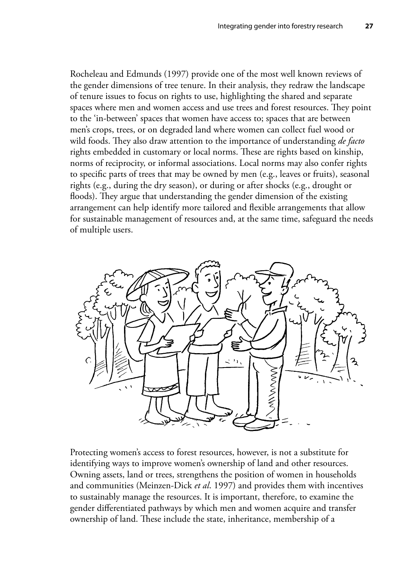Rocheleau and Edmunds (1997) provide one of the most well known reviews of the gender dimensions of tree tenure. In their analysis, they redraw the landscape of tenure issues to focus on rights to use, highlighting the shared and separate spaces where men and women access and use trees and forest resources. They point to the 'in-between' spaces that women have access to; spaces that are between men's crops, trees, or on degraded land where women can collect fuel wood or wild foods. They also draw attention to the importance of understanding *de facto*  rights embedded in customary or local norms. These are rights based on kinship, norms of reciprocity, or informal associations. Local norms may also confer rights to specific parts of trees that may be owned by men (e.g., leaves or fruits), seasonal rights (e.g., during the dry season), or during or after shocks (e.g., drought or floods). They argue that understanding the gender dimension of the existing arrangement can help identify more tailored and flexible arrangements that allow for sustainable management of resources and, at the same time, safeguard the needs of multiple users.



Protecting women's access to forest resources, however, is not a substitute for identifying ways to improve women's ownership of land and other resources. Owning assets, land or trees, strengthens the position of women in households and communities (Meinzen-Dick *et al*. 1997) and provides them with incentives to sustainably manage the resources. It is important, therefore, to examine the gender differentiated pathways by which men and women acquire and transfer ownership of land. These include the state, inheritance, membership of a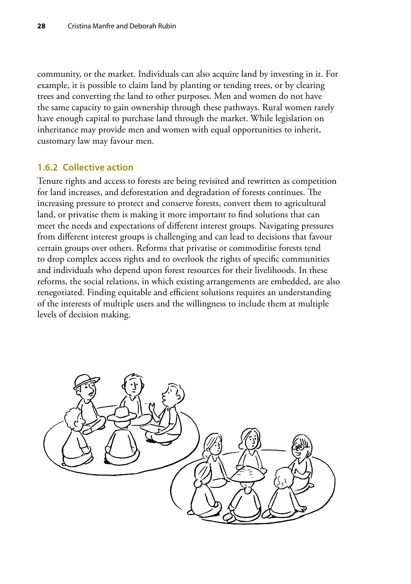community, or the market. Individuals can also acquire land by investing in it. For example, it is possible to claim land by planting or tending trees, or by clearing trees and converting the land to other purposes. Men and women do not have the same capacity to gain ownership through these pathways. Rural women rarely have enough capital to purchase land through the market. While legislation on inheritance may provide men and women with equal opportunities to inherit, customary law may favour men.

## **1.6.2 Collective action**

Tenure rights and access to forests are being revisited and rewritten as competition for land increases, and deforestation and degradation of forests continues. The increasing pressure to protect and conserve forests, convert them to agricultural land, or privatise them is making it more important to find solutions that can meet the needs and expectations of different interest groups. Navigating pressures from different interest groups is challenging and can lead to decisions that favour certain groups over others. Reforms that privatise or commoditise forests tend to drop complex access rights and to overlook the rights of specific communities and individuals who depend upon forest resources for their livelihoods. In these reforms, the social relations, in which existing arrangements are embedded, are also renegotiated. Finding equitable and efficient solutions requires an understanding of the interests of multiple users and the willingness to include them at multiple levels of decision making.

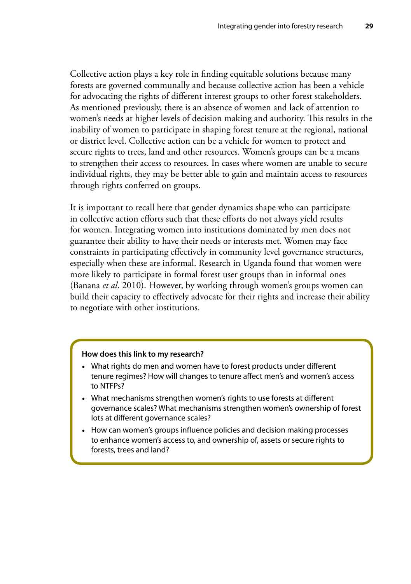Collective action plays a key role in finding equitable solutions because many forests are governed communally and because collective action has been a vehicle for advocating the rights of different interest groups to other forest stakeholders. As mentioned previously, there is an absence of women and lack of attention to women's needs at higher levels of decision making and authority. This results in the inability of women to participate in shaping forest tenure at the regional, national or district level. Collective action can be a vehicle for women to protect and secure rights to trees, land and other resources. Women's groups can be a means to strengthen their access to resources. In cases where women are unable to secure individual rights, they may be better able to gain and maintain access to resources through rights conferred on groups.

It is important to recall here that gender dynamics shape who can participate in collective action efforts such that these efforts do not always yield results for women. Integrating women into institutions dominated by men does not guarantee their ability to have their needs or interests met. Women may face constraints in participating effectively in community level governance structures, especially when these are informal. Research in Uganda found that women were more likely to participate in formal forest user groups than in informal ones (Banana *et al*. 2010). However, by working through women's groups women can build their capacity to effectively advocate for their rights and increase their ability to negotiate with other institutions.

#### **How does this link to my research?**

- What rights do men and women have to forest products under different tenure regimes? How will changes to tenure affect men's and women's access to NTFPs?
- What mechanisms strengthen women's rights to use forests at different governance scales? What mechanisms strengthen women's ownership of forest lots at different governance scales?
- How can women's groups influence policies and decision making processes to enhance women's access to, and ownership of, assets or secure rights to forests, trees and land?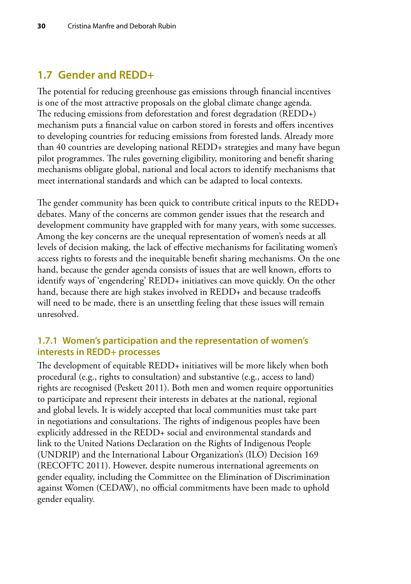## **1.7 Gender and REDD+**

The potential for reducing greenhouse gas emissions through financial incentives is one of the most attractive proposals on the global climate change agenda. The reducing emissions from deforestation and forest degradation (REDD+) mechanism puts a financial value on carbon stored in forests and offers incentives to developing countries for reducing emissions from forested lands. Already more than 40 countries are developing national REDD+ strategies and many have begun pilot programmes. The rules governing eligibility, monitoring and benefit sharing mechanisms obligate global, national and local actors to identify mechanisms that meet international standards and which can be adapted to local contexts.

The gender community has been quick to contribute critical inputs to the REDD+ debates. Many of the concerns are common gender issues that the research and development community have grappled with for many years, with some successes. Among the key concerns are the unequal representation of women's needs at all levels of decision making, the lack of effective mechanisms for facilitating women's access rights to forests and the inequitable benefit sharing mechanisms. On the one hand, because the gender agenda consists of issues that are well known, efforts to identify ways of 'engendering' REDD+ initiatives can move quickly. On the other hand, because there are high stakes involved in REDD+ and because tradeoffs will need to be made, there is an unsettling feeling that these issues will remain unresolved.

## **1.7.1 Women's participation and the representation of women's interests in REDD+ processes**

The development of equitable REDD+ initiatives will be more likely when both procedural (e.g., rights to consultation) and substantive (e.g., access to land) rights are recognised (Peskett 2011). Both men and women require opportunities to participate and represent their interests in debates at the national, regional and global levels. It is widely accepted that local communities must take part in negotiations and consultations. The rights of indigenous peoples have been explicitly addressed in the REDD+ social and environmental standards and link to the United Nations Declaration on the Rights of Indigenous People (UNDRIP) and the International Labour Organization's (ILO) Decision 169 (RECOFTC 2011). However, despite numerous international agreements on gender equality, including the Committee on the Elimination of Discrimination against Women (CEDAW), no official commitments have been made to uphold gender equality.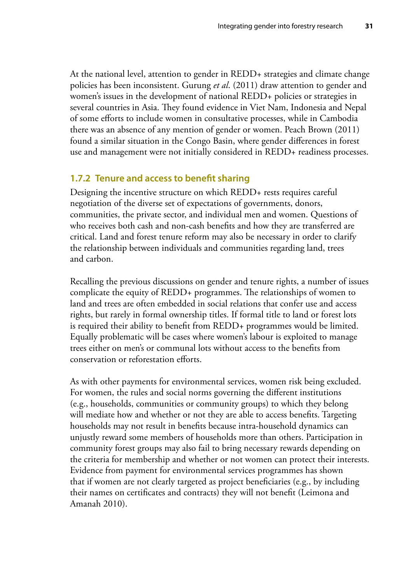At the national level, attention to gender in REDD+ strategies and climate change policies has been inconsistent. Gurung *et al*. (2011) draw attention to gender and women's issues in the development of national REDD+ policies or strategies in several countries in Asia. They found evidence in Viet Nam, Indonesia and Nepal of some efforts to include women in consultative processes, while in Cambodia there was an absence of any mention of gender or women. Peach Brown (2011) found a similar situation in the Congo Basin, where gender differences in forest use and management were not initially considered in REDD+ readiness processes.

## **1.7.2 Tenure and access to benefit sharing**

Designing the incentive structure on which REDD+ rests requires careful negotiation of the diverse set of expectations of governments, donors, communities, the private sector, and individual men and women. Questions of who receives both cash and non-cash benefits and how they are transferred are critical. Land and forest tenure reform may also be necessary in order to clarify the relationship between individuals and communities regarding land, trees and carbon.

Recalling the previous discussions on gender and tenure rights, a number of issues complicate the equity of REDD+ programmes. The relationships of women to land and trees are often embedded in social relations that confer use and access rights, but rarely in formal ownership titles. If formal title to land or forest lots is required their ability to benefit from REDD+ programmes would be limited. Equally problematic will be cases where women's labour is exploited to manage trees either on men's or communal lots without access to the benefits from conservation or reforestation efforts.

As with other payments for environmental services, women risk being excluded. For women, the rules and social norms governing the different institutions (e.g., households, communities or community groups) to which they belong will mediate how and whether or not they are able to access benefits. Targeting households may not result in benefits because intra-household dynamics can unjustly reward some members of households more than others. Participation in community forest groups may also fail to bring necessary rewards depending on the criteria for membership and whether or not women can protect their interests. Evidence from payment for environmental services programmes has shown that if women are not clearly targeted as project beneficiaries (e.g., by including their names on certificates and contracts) they will not benefit (Leimona and Amanah 2010).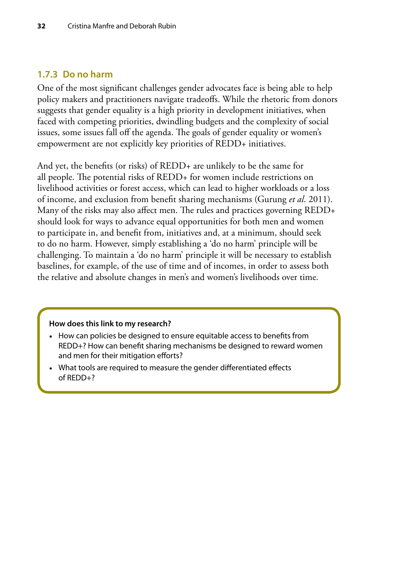## **1.7.3 Do no harm**

One of the most significant challenges gender advocates face is being able to help policy makers and practitioners navigate tradeoffs. While the rhetoric from donors suggests that gender equality is a high priority in development initiatives, when faced with competing priorities, dwindling budgets and the complexity of social issues, some issues fall off the agenda. The goals of gender equality or women's empowerment are not explicitly key priorities of REDD+ initiatives.

And yet, the benefits (or risks) of REDD+ are unlikely to be the same for all people. The potential risks of REDD+ for women include restrictions on livelihood activities or forest access, which can lead to higher workloads or a loss of income, and exclusion from benefit sharing mechanisms (Gurung *et al*. 2011). Many of the risks may also affect men. The rules and practices governing REDD+ should look for ways to advance equal opportunities for both men and women to participate in, and benefit from, initiatives and, at a minimum, should seek to do no harm. However, simply establishing a 'do no harm' principle will be challenging. To maintain a 'do no harm' principle it will be necessary to establish baselines, for example, of the use of time and of incomes, in order to assess both the relative and absolute changes in men's and women's livelihoods over time.

#### **How does this link to my research?**

- How can policies be designed to ensure equitable access to benefits from REDD+? How can benefit sharing mechanisms be designed to reward women and men for their mitigation efforts?
- What tools are required to measure the gender differentiated effects of REDD+?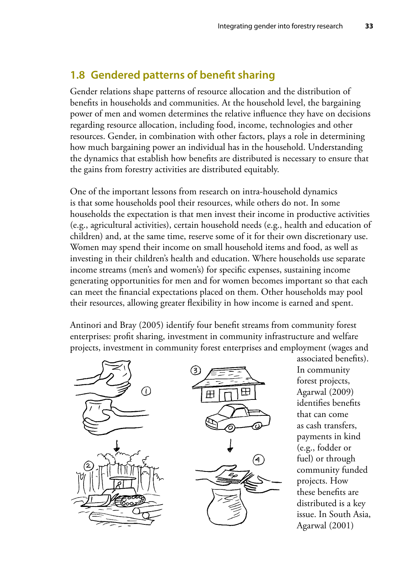# **1.8 Gendered patterns of benefit sharing**

Gender relations shape patterns of resource allocation and the distribution of benefits in households and communities. At the household level, the bargaining power of men and women determines the relative influence they have on decisions regarding resource allocation, including food, income, technologies and other resources. Gender, in combination with other factors, plays a role in determining how much bargaining power an individual has in the household. Understanding the dynamics that establish how benefits are distributed is necessary to ensure that the gains from forestry activities are distributed equitably.

One of the important lessons from research on intra-household dynamics is that some households pool their resources, while others do not. In some households the expectation is that men invest their income in productive activities (e.g., agricultural activities), certain household needs (e.g., health and education of children) and, at the same time, reserve some of it for their own discretionary use. Women may spend their income on small household items and food, as well as investing in their children's health and education. Where households use separate income streams (men's and women's) for specific expenses, sustaining income generating opportunities for men and for women becomes important so that each can meet the financial expectations placed on them. Other households may pool their resources, allowing greater flexibility in how income is earned and spent.

Antinori and Bray (2005) identify four benefit streams from community forest enterprises: profit sharing, investment in community infrastructure and welfare projects, investment in community forest enterprises and employment (wages and



associated benefits). In community forest projects, Agarwal (2009) identifies benefits that can come as cash transfers, payments in kind (e.g., fodder or fuel) or through community funded projects. How these benefits are distributed is a key issue. In South Asia, Agarwal (2001)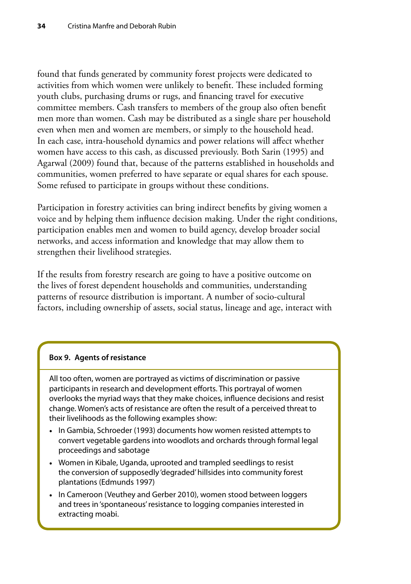found that funds generated by community forest projects were dedicated to activities from which women were unlikely to benefit. These included forming youth clubs, purchasing drums or rugs, and financing travel for executive committee members. Cash transfers to members of the group also often benefit men more than women. Cash may be distributed as a single share per household even when men and women are members, or simply to the household head. In each case, intra-household dynamics and power relations will affect whether women have access to this cash, as discussed previously. Both Sarin (1995) and Agarwal (2009) found that, because of the patterns established in households and communities, women preferred to have separate or equal shares for each spouse. Some refused to participate in groups without these conditions.

Participation in forestry activities can bring indirect benefits by giving women a voice and by helping them influence decision making. Under the right conditions, participation enables men and women to build agency, develop broader social networks, and access information and knowledge that may allow them to strengthen their livelihood strategies.

If the results from forestry research are going to have a positive outcome on the lives of forest dependent households and communities, understanding patterns of resource distribution is important. A number of socio-cultural factors, including ownership of assets, social status, lineage and age, interact with

### **Box 9. Agents of resistance**

All too often, women are portrayed as victims of discrimination or passive participants in research and development efforts. This portrayal of women overlooks the myriad ways that they make choices, influence decisions and resist change. Women's acts of resistance are often the result of a perceived threat to their livelihoods as the following examples show:

- In Gambia, Schroeder (1993) documents how women resisted attempts to convert vegetable gardens into woodlots and orchards through formal legal proceedings and sabotage
- Women in Kibale, Uganda, uprooted and trampled seedlings to resist the conversion of supposedly 'degraded' hillsides into community forest plantations (Edmunds 1997)
- In Cameroon (Veuthey and Gerber 2010), women stood between loggers and trees in 'spontaneous' resistance to logging companies interested in extracting moabi.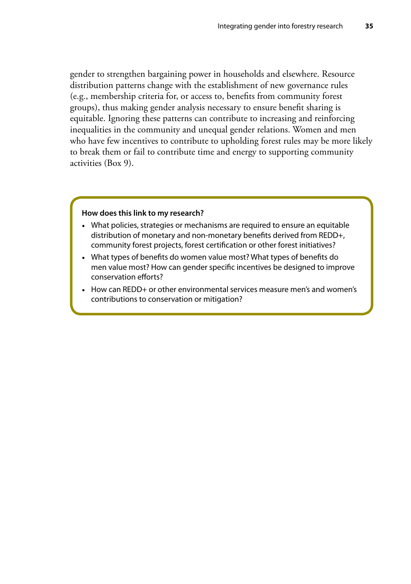gender to strengthen bargaining power in households and elsewhere. Resource distribution patterns change with the establishment of new governance rules (e.g., membership criteria for, or access to, benefits from community forest groups), thus making gender analysis necessary to ensure benefit sharing is equitable. Ignoring these patterns can contribute to increasing and reinforcing inequalities in the community and unequal gender relations. Women and men who have few incentives to contribute to upholding forest rules may be more likely to break them or fail to contribute time and energy to supporting community activities (Box 9).

#### **How does this link to my research?**

- What policies, strategies or mechanisms are required to ensure an equitable distribution of monetary and non-monetary benefits derived from REDD+, community forest projects, forest certification or other forest initiatives?
- What types of benefits do women value most? What types of benefits do men value most? How can gender specific incentives be designed to improve conservation efforts?
- How can REDD+ or other environmental services measure men's and women's contributions to conservation or mitigation?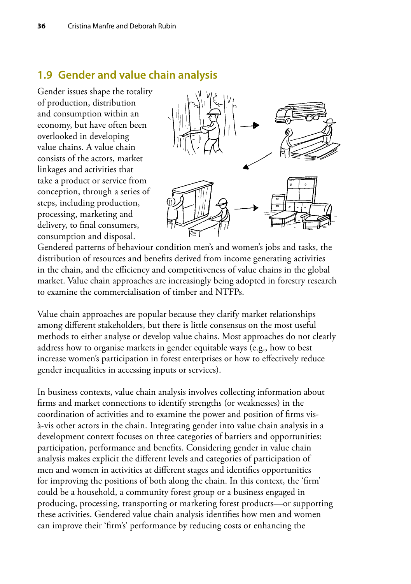## **1.9 Gender and value chain analysis**

Gender issues shape the totality of production, distribution and consumption within an economy, but have often been overlooked in developing value chains. A value chain consists of the actors, market linkages and activities that take a product or service from conception, through a series of steps, including production, processing, marketing and delivery, to final consumers, consumption and disposal.



Gendered patterns of behaviour condition men's and women's jobs and tasks, the distribution of resources and benefits derived from income generating activities in the chain, and the efficiency and competitiveness of value chains in the global market. Value chain approaches are increasingly being adopted in forestry research to examine the commercialisation of timber and NTFPs.

Value chain approaches are popular because they clarify market relationships among different stakeholders, but there is little consensus on the most useful methods to either analyse or develop value chains. Most approaches do not clearly address how to organise markets in gender equitable ways (e.g., how to best increase women's participation in forest enterprises or how to effectively reduce gender inequalities in accessing inputs or services).

In business contexts, value chain analysis involves collecting information about firms and market connections to identify strengths (or weaknesses) in the coordination of activities and to examine the power and position of firms visà-vis other actors in the chain. Integrating gender into value chain analysis in a development context focuses on three categories of barriers and opportunities: participation, performance and benefits. Considering gender in value chain analysis makes explicit the different levels and categories of participation of men and women in activities at different stages and identifies opportunities for improving the positions of both along the chain. In this context, the 'firm' could be a household, a community forest group or a business engaged in producing, processing, transporting or marketing forest products—or supporting these activities. Gendered value chain analysis identifies how men and women can improve their 'firm's' performance by reducing costs or enhancing the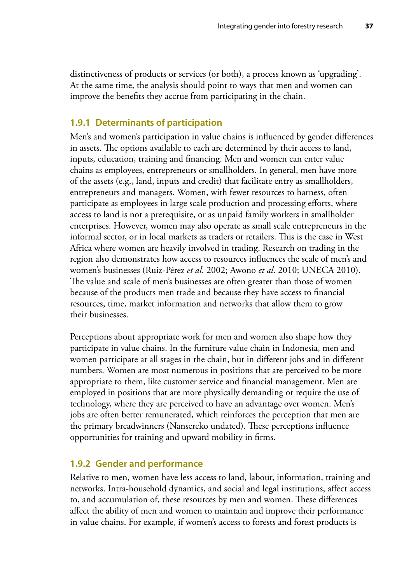distinctiveness of products or services (or both), a process known as 'upgrading'. At the same time, the analysis should point to ways that men and women can improve the benefits they accrue from participating in the chain.

## **1.9.1 Determinants of participation**

Men's and women's participation in value chains is influenced by gender differences in assets. The options available to each are determined by their access to land, inputs, education, training and financing. Men and women can enter value chains as employees, entrepreneurs or smallholders. In general, men have more of the assets (e.g., land, inputs and credit) that facilitate entry as smallholders, entrepreneurs and managers. Women, with fewer resources to harness, often participate as employees in large scale production and processing efforts, where access to land is not a prerequisite, or as unpaid family workers in smallholder enterprises. However, women may also operate as small scale entrepreneurs in the informal sector, or in local markets as traders or retailers. This is the case in West Africa where women are heavily involved in trading. Research on trading in the region also demonstrates how access to resources influences the scale of men's and women's businesses (Ruiz-Pérez *et al*. 2002; Awono *et al*. 2010; UNECA 2010). The value and scale of men's businesses are often greater than those of women because of the products men trade and because they have access to financial resources, time, market information and networks that allow them to grow their businesses.

Perceptions about appropriate work for men and women also shape how they participate in value chains. In the furniture value chain in Indonesia, men and women participate at all stages in the chain, but in different jobs and in different numbers. Women are most numerous in positions that are perceived to be more appropriate to them, like customer service and financial management. Men are employed in positions that are more physically demanding or require the use of technology, where they are perceived to have an advantage over women. Men's jobs are often better remunerated, which reinforces the perception that men are the primary breadwinners (Nansereko undated). These perceptions influence opportunities for training and upward mobility in firms.

## **1.9.2 Gender and performance**

Relative to men, women have less access to land, labour, information, training and networks. Intra-household dynamics, and social and legal institutions, affect access to, and accumulation of, these resources by men and women. These differences affect the ability of men and women to maintain and improve their performance in value chains. For example, if women's access to forests and forest products is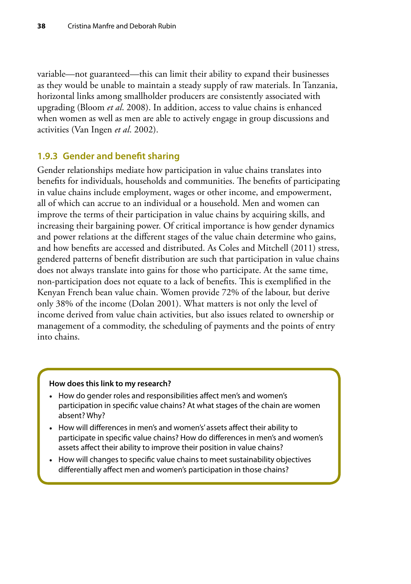variable—not guaranteed—this can limit their ability to expand their businesses as they would be unable to maintain a steady supply of raw materials. In Tanzania, horizontal links among smallholder producers are consistently associated with upgrading (Bloom *et al*. 2008). In addition, access to value chains is enhanced when women as well as men are able to actively engage in group discussions and activities (Van Ingen *et al*. 2002).

## **1.9.3 Gender and benefit sharing**

Gender relationships mediate how participation in value chains translates into benefits for individuals, households and communities. The benefits of participating in value chains include employment, wages or other income, and empowerment, all of which can accrue to an individual or a household. Men and women can improve the terms of their participation in value chains by acquiring skills, and increasing their bargaining power. Of critical importance is how gender dynamics and power relations at the different stages of the value chain determine who gains, and how benefits are accessed and distributed. As Coles and Mitchell (2011) stress, gendered patterns of benefit distribution are such that participation in value chains does not always translate into gains for those who participate. At the same time, non-participation does not equate to a lack of benefits. This is exemplified in the Kenyan French bean value chain. Women provide 72% of the labour, but derive only 38% of the income (Dolan 2001). What matters is not only the level of income derived from value chain activities, but also issues related to ownership or management of a commodity, the scheduling of payments and the points of entry into chains.

### **How does this link to my research?**

- How do gender roles and responsibilities affect men's and women's participation in specific value chains? At what stages of the chain are women absent? Why?
- How will differences in men's and women's' assets affect their ability to participate in specific value chains? How do differences in men's and women's assets affect their ability to improve their position in value chains?
- How will changes to specific value chains to meet sustainability objectives differentially affect men and women's participation in those chains?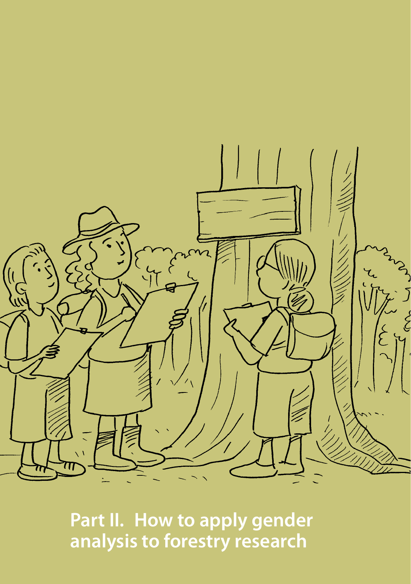

**Part II. How to apply gender analysis to forestry research**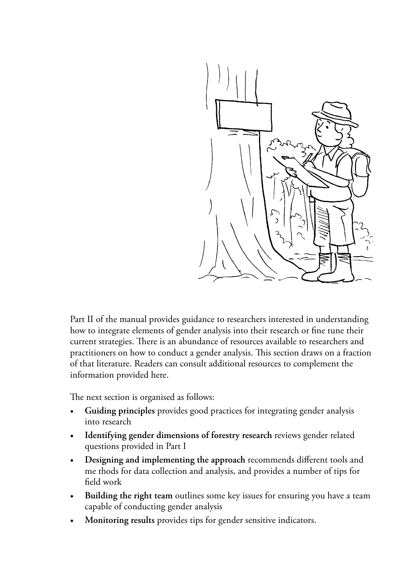

Part II of the manual provides guidance to researchers interested in understanding how to integrate elements of gender analysis into their research or fine tune their current strategies. There is an abundance of resources available to researchers and practitioners on how to conduct a gender analysis. This section draws on a fraction of that literature. Readers can consult additional resources to complement the information provided here.

The next section is organised as follows:

- **Guiding principles** provides good practices for integrating gender analysis into research
- **Identifying gender dimensions of forestry research** reviews gender related questions provided in Part I
- **Designing and implementing the approach** recommends different tools and me thods for data collection and analysis, and provides a number of tips for field work
- **Building the right team** outlines some key issues for ensuring you have a team capable of conducting gender analysis
- **Monitoring results** provides tips for gender sensitive indicators.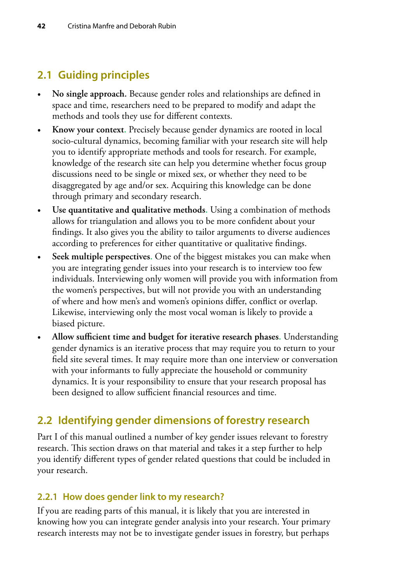# **2.1 Guiding principles**

- **No single approach.** Because gender roles and relationships are defined in space and time, researchers need to be prepared to modify and adapt the methods and tools they use for different contexts.
- **Know your context.** Precisely because gender dynamics are rooted in local socio-cultural dynamics, becoming familiar with your research site will help you to identify appropriate methods and tools for research. For example, knowledge of the research site can help you determine whether focus group discussions need to be single or mixed sex, or whether they need to be disaggregated by age and/or sex. Acquiring this knowledge can be done through primary and secondary research.
- **Use quantitative and qualitative methods.** Using a combination of methods allows for triangulation and allows you to be more confident about your findings. It also gives you the ability to tailor arguments to diverse audiences according to preferences for either quantitative or qualitative findings.
- **Seek multiple perspectives.** One of the biggest mistakes you can make when you are integrating gender issues into your research is to interview too few individuals. Interviewing only women will provide you with information from the women's perspectives, but will not provide you with an understanding of where and how men's and women's opinions differ, conflict or overlap. Likewise, interviewing only the most vocal woman is likely to provide a biased picture.
- **Allow sufficient time and budget for iterative research phases.** Understanding gender dynamics is an iterative process that may require you to return to your field site several times. It may require more than one interview or conversation with your informants to fully appreciate the household or community dynamics. It is your responsibility to ensure that your research proposal has been designed to allow sufficient financial resources and time.

# **2.2 Identifying gender dimensions of forestry research**

Part I of this manual outlined a number of key gender issues relevant to forestry research. This section draws on that material and takes it a step further to help you identify different types of gender related questions that could be included in your research.

## **2.2.1 How does gender link to my research?**

If you are reading parts of this manual, it is likely that you are interested in knowing how you can integrate gender analysis into your research. Your primary research interests may not be to investigate gender issues in forestry, but perhaps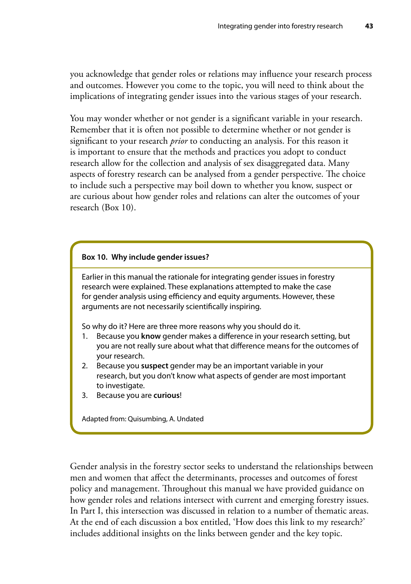you acknowledge that gender roles or relations may influence your research process and outcomes. However you come to the topic, you will need to think about the implications of integrating gender issues into the various stages of your research.

You may wonder whether or not gender is a significant variable in your research. Remember that it is often not possible to determine whether or not gender is significant to your research *prior* to conducting an analysis. For this reason it is important to ensure that the methods and practices you adopt to conduct research allow for the collection and analysis of sex disaggregated data. Many aspects of forestry research can be analysed from a gender perspective. The choice to include such a perspective may boil down to whether you know, suspect or are curious about how gender roles and relations can alter the outcomes of your research (Box 10).

#### **Box 10. Why include gender issues?**

Earlier in this manual the rationale for integrating gender issues in forestry research were explained. These explanations attempted to make the case for gender analysis using efficiency and equity arguments. However, these arguments are not necessarily scientifically inspiring.

So why do it? Here are three more reasons why you should do it.

- 1. Because you **know** gender makes a difference in your research setting, but you are not really sure about what that difference means for the outcomes of your research.
- 2. Because you **suspect** gender may be an important variable in your research, but you don't know what aspects of gender are most important to investigate.
- 3. Because you are **curious**!

Adapted from: Quisumbing, A. Undated

Gender analysis in the forestry sector seeks to understand the relationships between men and women that affect the determinants, processes and outcomes of forest policy and management. Throughout this manual we have provided guidance on how gender roles and relations intersect with current and emerging forestry issues. In Part I, this intersection was discussed in relation to a number of thematic areas. At the end of each discussion a box entitled, 'How does this link to my research?' includes additional insights on the links between gender and the key topic.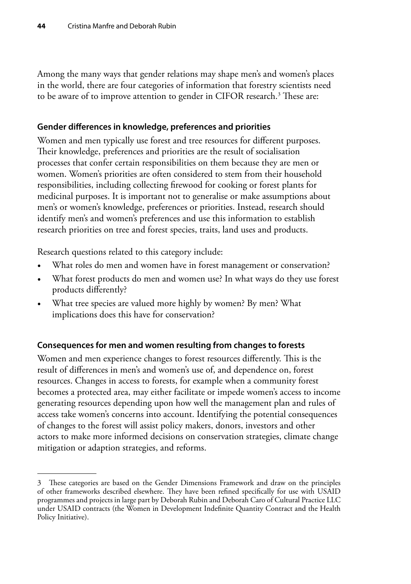Among the many ways that gender relations may shape men's and women's places in the world, there are four categories of information that forestry scientists need to be aware of to improve attention to gender in CIFOR research.<sup>3</sup> These are:

### **Gender differences in knowledge, preferences and priorities**

Women and men typically use forest and tree resources for different purposes. Their knowledge, preferences and priorities are the result of socialisation processes that confer certain responsibilities on them because they are men or women. Women's priorities are often considered to stem from their household responsibilities, including collecting firewood for cooking or forest plants for medicinal purposes. It is important not to generalise or make assumptions about men's or women's knowledge, preferences or priorities. Instead, research should identify men's and women's preferences and use this information to establish research priorities on tree and forest species, traits, land uses and products.

Research questions related to this category include:

- What roles do men and women have in forest management or conservation?
- What forest products do men and women use? In what ways do they use forest products differently?
- What tree species are valued more highly by women? By men? What implications does this have for conservation?

## **Consequences for men and women resulting from changes to forests**

Women and men experience changes to forest resources differently. This is the result of differences in men's and women's use of, and dependence on, forest resources. Changes in access to forests, for example when a community forest becomes a protected area, may either facilitate or impede women's access to income generating resources depending upon how well the management plan and rules of access take women's concerns into account. Identifying the potential consequences of changes to the forest will assist policy makers, donors, investors and other actors to make more informed decisions on conservation strategies, climate change mitigation or adaption strategies, and reforms.

<sup>3</sup> These categories are based on the Gender Dimensions Framework and draw on the principles of other frameworks described elsewhere. They have been refined specifically for use with USAID programmes and projects in large part by Deborah Rubin and Deborah Caro of Cultural Practice LLC under USAID contracts (the Women in Development Indefinite Quantity Contract and the Health Policy Initiative).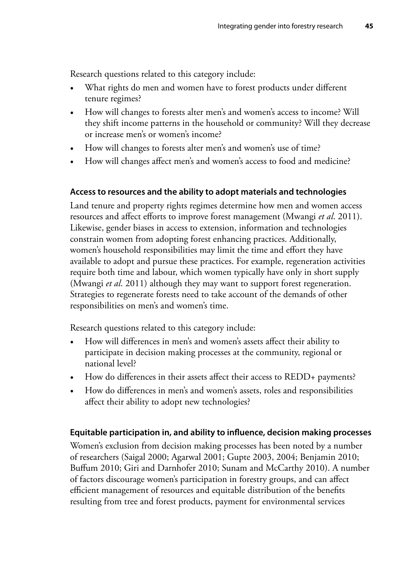Research questions related to this category include:

- What rights do men and women have to forest products under different tenure regimes?
- How will changes to forests alter men's and women's access to income? Will they shift income patterns in the household or community? Will they decrease or increase men's or women's income?
- How will changes to forests alter men's and women's use of time?
- How will changes affect men's and women's access to food and medicine?

### **Access to resources and the ability to adopt materials and technologies**

Land tenure and property rights regimes determine how men and women access resources and affect efforts to improve forest management (Mwangi *et al*. 2011). Likewise, gender biases in access to extension, information and technologies constrain women from adopting forest enhancing practices. Additionally, women's household responsibilities may limit the time and effort they have available to adopt and pursue these practices. For example, regeneration activities require both time and labour, which women typically have only in short supply (Mwangi *et al*. 2011) although they may want to support forest regeneration. Strategies to regenerate forests need to take account of the demands of other responsibilities on men's and women's time.

Research questions related to this category include:

- How will differences in men's and women's assets affect their ability to participate in decision making processes at the community, regional or national level?
- How do differences in their assets affect their access to REDD+ payments?
- How do differences in men's and women's assets, roles and responsibilities affect their ability to adopt new technologies?

### **Equitable participation in, and ability to influence, decision making processes**

Women's exclusion from decision making processes has been noted by a number of researchers (Saigal 2000; Agarwal 2001; Gupte 2003, 2004; Benjamin 2010; Buffum 2010; Giri and Darnhofer 2010; Sunam and McCarthy 2010). A number of factors discourage women's participation in forestry groups, and can affect efficient management of resources and equitable distribution of the benefits resulting from tree and forest products, payment for environmental services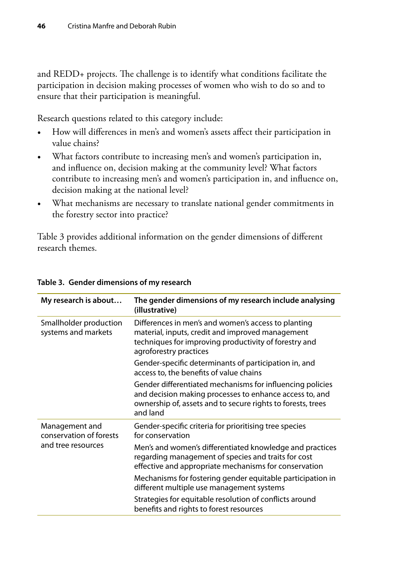and REDD+ projects. The challenge is to identify what conditions facilitate the participation in decision making processes of women who wish to do so and to ensure that their participation is meaningful.

Research questions related to this category include:

- How will differences in men's and women's assets affect their participation in value chains?
- What factors contribute to increasing men's and women's participation in, and influence on, decision making at the community level? What factors contribute to increasing men's and women's participation in, and influence on, decision making at the national level?
- What mechanisms are necessary to translate national gender commitments in the forestry sector into practice?

Table 3 provides additional information on the gender dimensions of different research themes.

| My research is about                                            | The gender dimensions of my research include analysing<br>(illustrative)                                                                                                                        |
|-----------------------------------------------------------------|-------------------------------------------------------------------------------------------------------------------------------------------------------------------------------------------------|
| Smallholder production<br>systems and markets                   | Differences in men's and women's access to planting<br>material, inputs, credit and improved management<br>techniques for improving productivity of forestry and<br>agroforestry practices      |
|                                                                 | Gender-specific determinants of participation in, and<br>access to, the benefits of value chains                                                                                                |
|                                                                 | Gender differentiated mechanisms for influencing policies<br>and decision making processes to enhance access to, and<br>ownership of, assets and to secure rights to forests, trees<br>and land |
| Management and<br>conservation of forests<br>and tree resources | Gender-specific criteria for prioritising tree species<br>for conservation                                                                                                                      |
|                                                                 | Men's and women's differentiated knowledge and practices<br>regarding management of species and traits for cost<br>effective and appropriate mechanisms for conservation                        |
|                                                                 | Mechanisms for fostering gender equitable participation in<br>different multiple use management systems                                                                                         |
|                                                                 | Strategies for equitable resolution of conflicts around<br>benefits and rights to forest resources                                                                                              |

### **Table 3. Gender dimensions of my research**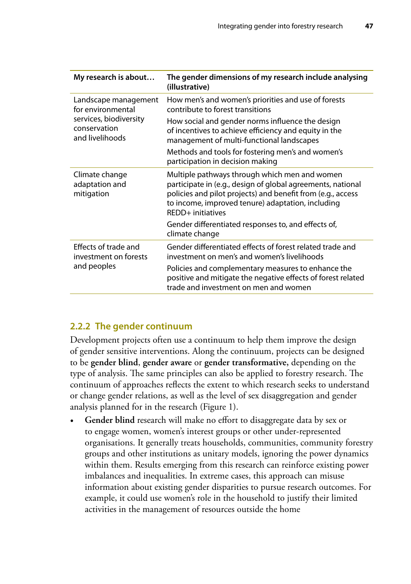| My research is about                                                                                   | The gender dimensions of my research include analysing<br>(illustrative)                                                                                                                                                                                      |
|--------------------------------------------------------------------------------------------------------|---------------------------------------------------------------------------------------------------------------------------------------------------------------------------------------------------------------------------------------------------------------|
| Landscape management<br>for environmental<br>services, biodiversity<br>conservation<br>and livelihoods | How men's and women's priorities and use of forests<br>contribute to forest transitions                                                                                                                                                                       |
|                                                                                                        | How social and gender norms influence the design<br>of incentives to achieve efficiency and equity in the<br>management of multi-functional landscapes                                                                                                        |
|                                                                                                        | Methods and tools for fostering men's and women's<br>participation in decision making                                                                                                                                                                         |
| Climate change<br>adaptation and<br>mitigation                                                         | Multiple pathways through which men and women<br>participate in (e.g., design of global agreements, national<br>policies and pilot projects) and benefit from (e.g., access<br>to income, improved tenure) adaptation, including<br><b>RFDD</b> + initiatives |
|                                                                                                        | Gender differentiated responses to, and effects of,<br>climate change                                                                                                                                                                                         |
| Effects of trade and<br>investment on forests<br>and peoples                                           | Gender differentiated effects of forest related trade and<br>investment on men's and women's livelihoods                                                                                                                                                      |
|                                                                                                        | Policies and complementary measures to enhance the<br>positive and mitigate the negative effects of forest related<br>trade and investment on men and women                                                                                                   |

## **2.2.2 The gender continuum**

Development projects often use a continuum to help them improve the design of gender sensitive interventions. Along the continuum, projects can be designed to be **gender blind**, **gender aware** or **gender transformative,** depending on the type of analysis. The same principles can also be applied to forestry research. The continuum of approaches reflects the extent to which research seeks to understand or change gender relations, as well as the level of sex disaggregation and gender analysis planned for in the research (Figure 1).

• **Gender blind** research will make no effort to disaggregate data by sex or to engage women, women's interest groups or other under-represented organisations. It generally treats households, communities, community forestry groups and other institutions as unitary models, ignoring the power dynamics within them. Results emerging from this research can reinforce existing power imbalances and inequalities. In extreme cases, this approach can misuse information about existing gender disparities to pursue research outcomes. For example, it could use women's role in the household to justify their limited activities in the management of resources outside the home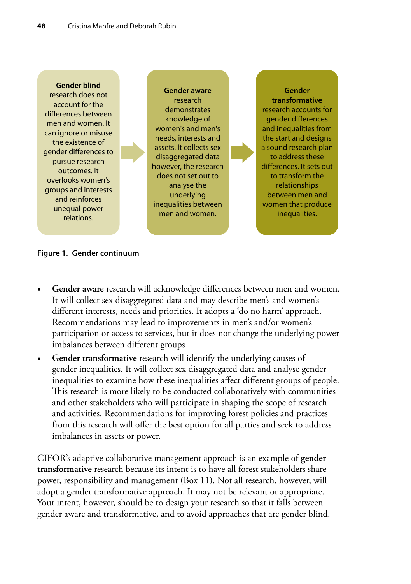**Gender blind** research does not account for the differences between men and women. It can ignore or misuse the existence of gender differences to pursue research outcomes. It overlooks women's groups and interests and reinforces unequal power relations.

**Gender aware** research demonstrates knowledge of women's and men's needs, interests and assets. It collects sex disaggregated data however, the research does not set out to analyse the underlying inequalities between men and women.

**Gender transformative** research accounts for gender differences and inequalities from the start and designs a sound research plan to address these differences. It sets out to transform the relationships between men and women that produce inequalities.

**Figure 1. Gender continuum**

- **Gender aware** research will acknowledge differences between men and women. It will collect sex disaggregated data and may describe men's and women's different interests, needs and priorities. It adopts a 'do no harm' approach. Recommendations may lead to improvements in men's and/or women's participation or access to services, but it does not change the underlying power imbalances between different groups
- **Gender transformative** research will identify the underlying causes of gender inequalities. It will collect sex disaggregated data and analyse gender inequalities to examine how these inequalities affect different groups of people. This research is more likely to be conducted collaboratively with communities and other stakeholders who will participate in shaping the scope of research and activities. Recommendations for improving forest policies and practices from this research will offer the best option for all parties and seek to address imbalances in assets or power.

CIFOR's adaptive collaborative management approach is an example of **gender transformative** research because its intent is to have all forest stakeholders share power, responsibility and management (Box 11). Not all research, however, will adopt a gender transformative approach. It may not be relevant or appropriate. Your intent, however, should be to design your research so that it falls between gender aware and transformative, and to avoid approaches that are gender blind.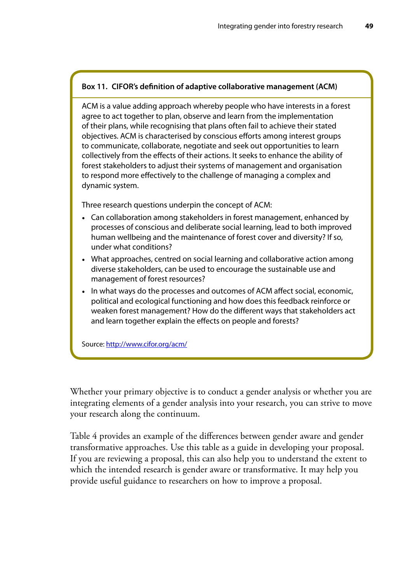#### **Box 11. CIFOR's definition of adaptive collaborative management (ACM)**

ACM is a value adding approach whereby people who have interests in a forest agree to act together to plan, observe and learn from the implementation of their plans, while recognising that plans often fail to achieve their stated objectives. ACM is characterised by conscious efforts among interest groups to communicate, collaborate, negotiate and seek out opportunities to learn collectively from the effects of their actions. It seeks to enhance the ability of forest stakeholders to adjust their systems of management and organisation to respond more effectively to the challenge of managing a complex and dynamic system.

Three research questions underpin the concept of ACM:

- Can collaboration among stakeholders in forest management, enhanced by processes of conscious and deliberate social learning, lead to both improved human wellbeing and the maintenance of forest cover and diversity? If so, under what conditions?
- What approaches, centred on social learning and collaborative action among diverse stakeholders, can be used to encourage the sustainable use and management of forest resources?
- In what ways do the processes and outcomes of ACM affect social, economic, political and ecological functioning and how does this feedback reinforce or weaken forest management? How do the different ways that stakeholders act and learn together explain the effects on people and forests?

Source: <http://www.cifor.org/acm/>

Whether your primary objective is to conduct a gender analysis or whether you are integrating elements of a gender analysis into your research, you can strive to move your research along the continuum.

Table 4 provides an example of the differences between gender aware and gender transformative approaches. Use this table as a guide in developing your proposal. If you are reviewing a proposal, this can also help you to understand the extent to which the intended research is gender aware or transformative. It may help you provide useful guidance to researchers on how to improve a proposal.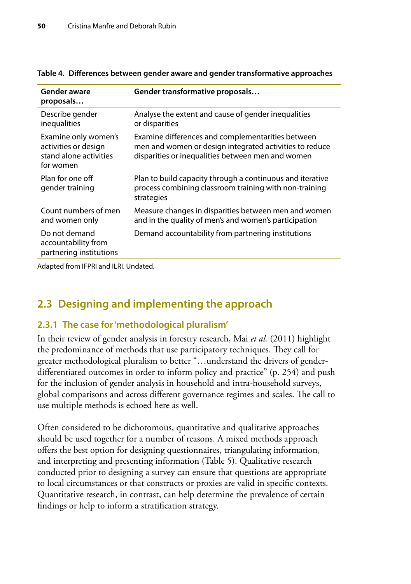| Gender aware<br>proposals                                                           | Gender transformative proposals                                                                                                                                   |
|-------------------------------------------------------------------------------------|-------------------------------------------------------------------------------------------------------------------------------------------------------------------|
| Describe gender<br>inequalities                                                     | Analyse the extent and cause of gender inequalities<br>or disparities                                                                                             |
| Examine only women's<br>activities or design<br>stand alone activities<br>for women | Examine differences and complementarities between<br>men and women or design integrated activities to reduce<br>disparities or inequalities between men and women |
| Plan for one off<br>gender training                                                 | Plan to build capacity through a continuous and iterative<br>process combining classroom training with non-training<br>strategies                                 |
| Count numbers of men<br>and women only                                              | Measure changes in disparities between men and women<br>and in the quality of men's and women's participation                                                     |
| Do not demand<br>accountability from<br>partnering institutions                     | Demand accountability from partnering institutions                                                                                                                |

### **Table 4. Differences between gender aware and gender transformative approaches**

Adapted from IFPRI and ILRI. Undated.

# **2.3 Designing and implementing the approach**

## **2.3.1 The case for 'methodological pluralism'**

In their review of gender analysis in forestry research, Mai *et al.* (2011) highlight the predominance of methods that use participatory techniques. They call for greater methodological pluralism to better "…understand the drivers of genderdifferentiated outcomes in order to inform policy and practice" (p. 254) and push for the inclusion of gender analysis in household and intra-household surveys, global comparisons and across different governance regimes and scales. The call to use multiple methods is echoed here as well.

Often considered to be dichotomous, quantitative and qualitative approaches should be used together for a number of reasons. A mixed methods approach offers the best option for designing questionnaires, triangulating information, and interpreting and presenting information (Table 5). Qualitative research conducted prior to designing a survey can ensure that questions are appropriate to local circumstances or that constructs or proxies are valid in specific contexts. Quantitative research, in contrast, can help determine the prevalence of certain findings or help to inform a stratification strategy.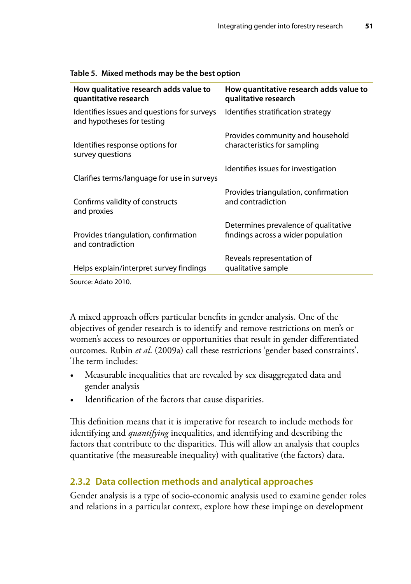| How qualitative research adds value to                                    | How quantitative research adds value to         |
|---------------------------------------------------------------------------|-------------------------------------------------|
| quantitative research                                                     | qualitative research                            |
| Identifies issues and questions for surveys<br>and hypotheses for testing | Identifies stratification strategy              |
| Identifies response options for                                           | Provides community and household                |
| survey questions                                                          | characteristics for sampling                    |
| Clarifies terms/language for use in surveys                               | Identifies issues for investigation             |
| Confirms validity of constructs                                           | Provides triangulation, confirmation            |
| and proxies                                                               | and contradiction                               |
| Provides triangulation, confirmation                                      | Determines prevalence of qualitative            |
| and contradiction                                                         | findings across a wider population              |
| Helps explain/interpret survey findings                                   | Reveals representation of<br>qualitative sample |
| Source: Adato 2010.                                                       |                                                 |

#### **Table 5. Mixed methods may be the best option**

A mixed approach offers particular benefits in gender analysis. One of the objectives of gender research is to identify and remove restrictions on men's or women's access to resources or opportunities that result in gender differentiated outcomes. Rubin *et al*. (2009a) call these restrictions 'gender based constraints'. The term includes:

- Measurable inequalities that are revealed by sex disaggregated data and gender analysis
- Identification of the factors that cause disparities.

This definition means that it is imperative for research to include methods for identifying and *quantifying* inequalities, and identifying and describing the factors that contribute to the disparities. This will allow an analysis that couples quantitative (the measureable inequality) with qualitative (the factors) data.

## **2.3.2 Data collection methods and analytical approaches**

Gender analysis is a type of socio-economic analysis used to examine gender roles and relations in a particular context, explore how these impinge on development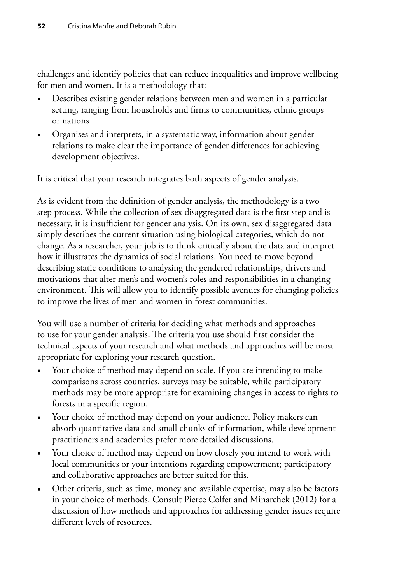challenges and identify policies that can reduce inequalities and improve wellbeing for men and women. It is a methodology that:

- Describes existing gender relations between men and women in a particular setting, ranging from households and firms to communities, ethnic groups or nations
- Organises and interprets, in a systematic way, information about gender relations to make clear the importance of gender differences for achieving development objectives.

It is critical that your research integrates both aspects of gender analysis.

As is evident from the definition of gender analysis, the methodology is a two step process. While the collection of sex disaggregated data is the first step and is necessary, it is insufficient for gender analysis. On its own, sex disaggregated data simply describes the current situation using biological categories, which do not change. As a researcher, your job is to think critically about the data and interpret how it illustrates the dynamics of social relations. You need to move beyond describing static conditions to analysing the gendered relationships, drivers and motivations that alter men's and women's roles and responsibilities in a changing environment. This will allow you to identify possible avenues for changing policies to improve the lives of men and women in forest communities.

You will use a number of criteria for deciding what methods and approaches to use for your gender analysis. The criteria you use should first consider the technical aspects of your research and what methods and approaches will be most appropriate for exploring your research question.

- Your choice of method may depend on scale. If you are intending to make comparisons across countries, surveys may be suitable, while participatory methods may be more appropriate for examining changes in access to rights to forests in a specific region.
- Your choice of method may depend on your audience. Policy makers can absorb quantitative data and small chunks of information, while development practitioners and academics prefer more detailed discussions.
- Your choice of method may depend on how closely you intend to work with local communities or your intentions regarding empowerment; participatory and collaborative approaches are better suited for this.
- Other criteria, such as time, money and available expertise, may also be factors in your choice of methods. Consult Pierce Colfer and Minarchek (2012) for a discussion of how methods and approaches for addressing gender issues require different levels of resources.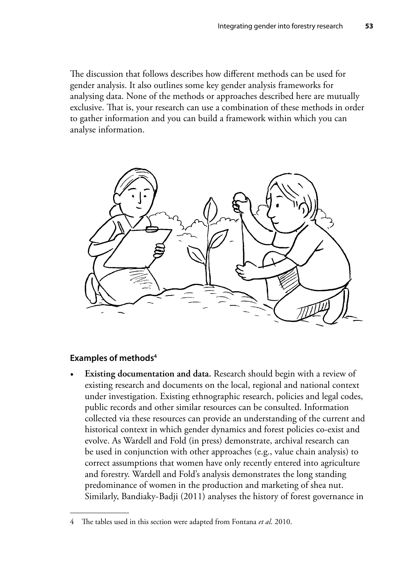The discussion that follows describes how different methods can be used for gender analysis. It also outlines some key gender analysis frameworks for analysing data. None of the methods or approaches described here are mutually exclusive. That is, your research can use a combination of these methods in order to gather information and you can build a framework within which you can analyse information.



#### **Examples of methods4**

**Existing documentation and data.** Research should begin with a review of existing research and documents on the local, regional and national context under investigation. Existing ethnographic research, policies and legal codes, public records and other similar resources can be consulted. Information collected via these resources can provide an understanding of the current and historical context in which gender dynamics and forest policies co-exist and evolve. As Wardell and Fold (in press) demonstrate, archival research can be used in conjunction with other approaches (e.g., value chain analysis) to correct assumptions that women have only recently entered into agriculture and forestry. Wardell and Fold's analysis demonstrates the long standing predominance of women in the production and marketing of shea nut. Similarly, Bandiaky-Badji (2011) analyses the history of forest governance in

<sup>4</sup> The tables used in this section were adapted from Fontana *et al*. 2010.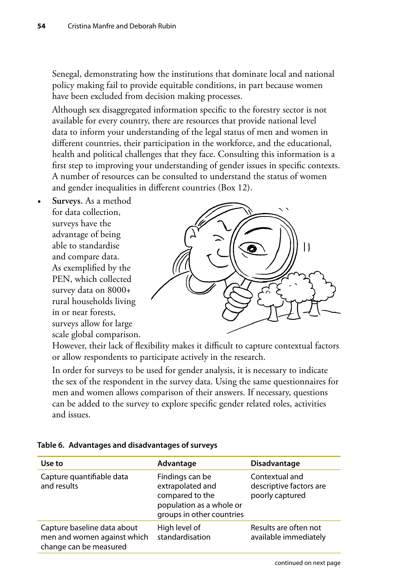Senegal, demonstrating how the institutions that dominate local and national policy making fail to provide equitable conditions, in part because women have been excluded from decision making processes.

Although sex disaggregated information specific to the forestry sector is not available for every country, there are resources that provide national level data to inform your understanding of the legal status of men and women in different countries, their participation in the workforce, and the educational, health and political challenges that they face. Consulting this information is a first step to improving your understanding of gender issues in specific contexts. A number of resources can be consulted to understand the status of women and gender inequalities in different countries (Box 12).

• **Surveys.** As a method for data collection, surveys have the advantage of being able to standardise and compare data. As exemplified by the PEN, which collected survey data on 8000+ rural households living in or near forests, surveys allow for large scale global comparison.



However, their lack of flexibility makes it difficult to capture contextual factors or allow respondents to participate actively in the research.

In order for surveys to be used for gender analysis, it is necessary to indicate the sex of the respondent in the survey data. Using the same questionnaires for men and women allows comparison of their answers. If necessary, questions can be added to the survey to explore specific gender related roles, activities and issues.

| Use to                                                                               | Advantage                                                                                                       | Disadvantage                                                 |
|--------------------------------------------------------------------------------------|-----------------------------------------------------------------------------------------------------------------|--------------------------------------------------------------|
| Capture quantifiable data<br>and results                                             | Findings can be<br>extrapolated and<br>compared to the<br>population as a whole or<br>groups in other countries | Contextual and<br>descriptive factors are<br>poorly captured |
| Capture baseline data about<br>men and women against which<br>change can be measured | High level of<br>standardisation                                                                                | Results are often not<br>available immediately               |

| Table 6. Advantages and disadvantages of surveys |  |
|--------------------------------------------------|--|
|                                                  |  |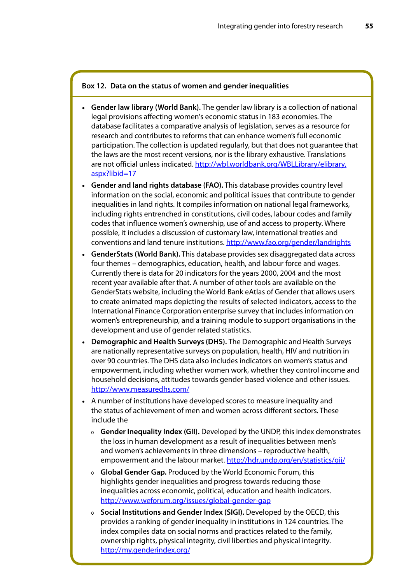#### **Box 12. Data on the status of women and gender inequalities**

- **Gender law library (World Bank).** The gender law library is a collection of national legal provisions affecting women's economic status in 183 economies. The database facilitates a comparative analysis of legislation, serves as a resource for research and contributes to reforms that can enhance women's full economic participation. The collection is updated regularly, but that does not guarantee that the laws are the most recent versions, nor is the library exhaustive. Translations are not official unless indicated. http://wbl.worldbank.org/WBLLibrary/elibrary. aspx?libid=17
- **Gender and land rights database (FAO).** This database provides country level information on the social, economic and political issues that contribute to gender inequalities in land rights. It compiles information on national legal frameworks, including rights entrenched in constitutions, civil codes, labour codes and family codes that influence women's ownership, use of and access to property. Where possible, it includes a discussion of customary law, international treaties and conventions and land tenure institutions. http://www.fao.org/gender/landrights
- **GenderStats (World Bank).** This database provides sex disaggregated data across four themes – demographics, education, health, and labour force and wages. Currently there is data for 20 indicators for the years 2000, 2004 and the most recent year available after that. A number of other tools are available on the GenderStats website, including the World Bank eAtlas of Gender that allows users to create animated maps depicting the results of selected indicators, access to the International Finance Corporation enterprise survey that includes information on women's entrepreneurship, and a training module to support organisations in the development and use of gender related statistics.
- **Demographic and Health Surveys (DHS).** The Demographic and Health Surveys are nationally representative surveys on population, health, HIV and nutrition in over 90 countries. The DHS data also includes indicators on women's status and empowerment, including whether women work, whether they control income and household decisions, attitudes towards gender based violence and other issues. http://www.measuredhs.com/
- A number of institutions have developed scores to measure inequality and the status of achievement of men and women across different sectors. These include the
	- Ř **Gender Inequality Index (GII).** Developed by the UNDP, this index demonstrates the loss in human development as a result of inequalities between men's and women's achievements in three dimensions – reproductive health, empowerment and the labour market. http:[/](http://hdr.undp.org/en/statistics/gii/)/hdr.undp.org/en/statistics/gii/
	- Ř **Global Gender Gap.** Produced by the World Economic Forum, this highlights gender inequalities and progress towards reducing those inequalities across economic, political, education and health indicators. [http://www.weforum.org/issues/global-gender-gap](http://<200A>www.<200A>weforum.<200A>org/<200A>issues/<200A>global-<200A>gender-gap)
	- Ř **Social Institutions and Gender Index (SIGI).** Developed by the OECD, this provides a ranking of gender inequality in institutions in 124 countries. The index compiles data on social norms and practices related to the family, ownership rights, physical integrity, civil liberties and physical integrity. <http://my.genderindex.org/>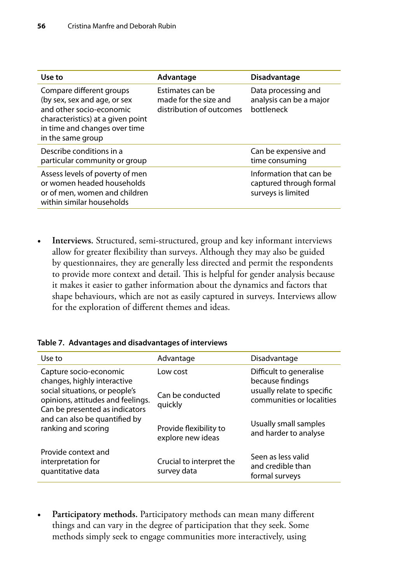| Use to                                                                                                                                                                          | Advantage                                                             | <b>Disadvantage</b>                                                      |
|---------------------------------------------------------------------------------------------------------------------------------------------------------------------------------|-----------------------------------------------------------------------|--------------------------------------------------------------------------|
| Compare different groups<br>(by sex, sex and age, or sex<br>and other socio-economic<br>characteristics) at a given point<br>in time and changes over time<br>in the same group | Estimates can be<br>made for the size and<br>distribution of outcomes | Data processing and<br>analysis can be a major<br>bottleneck             |
| Describe conditions in a<br>particular community or group                                                                                                                       |                                                                       | Can be expensive and<br>time consuming                                   |
| Assess levels of poverty of men<br>or women headed households<br>or of men, women and children<br>within similar households                                                     |                                                                       | Information that can be<br>captured through formal<br>surveys is limited |

• **Interviews.** Structured, semi-structured, group and key informant interviews allow for greater flexibility than surveys. Although they may also be guided by questionnaires, they are generally less directed and permit the respondents to provide more context and detail. This is helpful for gender analysis because it makes it easier to gather information about the dynamics and factors that shape behaviours, which are not as easily captured in surveys. Interviews allow for the exploration of different themes and ideas.

|  | Table 7. Advantages and disadvantages of interviews |  |  |
|--|-----------------------------------------------------|--|--|
|--|-----------------------------------------------------|--|--|

| Use to                                                                                                                                                                                                                 | Advantage                                   | Disadvantage                                                                                           |
|------------------------------------------------------------------------------------------------------------------------------------------------------------------------------------------------------------------------|---------------------------------------------|--------------------------------------------------------------------------------------------------------|
| Capture socio-economic<br>changes, highly interactive<br>social situations, or people's<br>opinions, attitudes and feelings.<br>Can be presented as indicators<br>and can also be quantified by<br>ranking and scoring | Low cost<br>Can be conducted<br>quickly     | Difficult to generalise<br>because findings<br>usually relate to specific<br>communities or localities |
|                                                                                                                                                                                                                        | Provide flexibility to<br>explore new ideas | Usually small samples<br>and harder to analyse                                                         |
| Provide context and<br>interpretation for<br>quantitative data                                                                                                                                                         | Crucial to interpret the<br>survey data     | Seen as less valid<br>and credible than<br>formal surveys                                              |

• **Participatory methods.** Participatory methods can mean many different things and can vary in the degree of participation that they seek. Some methods simply seek to engage communities more interactively, using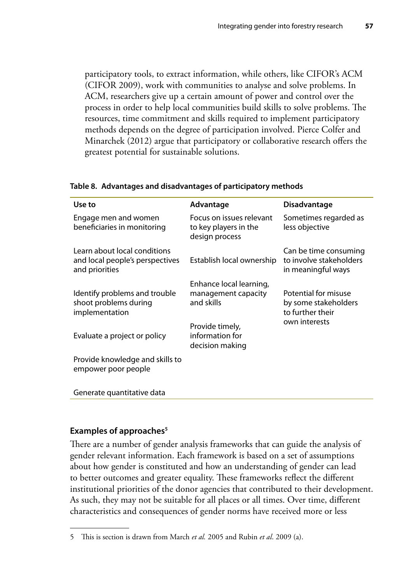participatory tools, to extract information, while others, like CIFOR's ACM (CIFOR 2009), work with communities to analyse and solve problems. In ACM, researchers give up a certain amount of power and control over the process in order to help local communities build skills to solve problems. The resources, time commitment and skills required to implement participatory methods depends on the degree of participation involved. Pierce Colfer and Minarchek (2012) argue that participatory or collaborative research offers the greatest potential for sustainable solutions.

| Use to                                                                            | Advantage                                                           | <b>Disadvantage</b>                                                               |
|-----------------------------------------------------------------------------------|---------------------------------------------------------------------|-----------------------------------------------------------------------------------|
| Engage men and women<br>beneficiaries in monitoring                               | Focus on issues relevant<br>to key players in the<br>design process | Sometimes regarded as<br>less objective                                           |
| Learn about local conditions<br>and local people's perspectives<br>and priorities | Establish local ownership                                           | Can be time consuming<br>to involve stakeholders<br>in meaningful ways            |
| Identify problems and trouble<br>shoot problems during<br>implementation          | Enhance local learning,<br>management capacity<br>and skills        | Potential for misuse<br>by some stakeholders<br>to further their<br>own interests |
| Evaluate a project or policy                                                      | Provide timely,<br>information for<br>decision making               |                                                                                   |
| Provide knowledge and skills to<br>empower poor people                            |                                                                     |                                                                                   |
| Generate quantitative data                                                        |                                                                     |                                                                                   |

#### **Table 8. Advantages and disadvantages of participatory methods**

#### Examples of approaches<sup>5</sup>

There are a number of gender analysis frameworks that can guide the analysis of gender relevant information. Each framework is based on a set of assumptions about how gender is constituted and how an understanding of gender can lead to better outcomes and greater equality. These frameworks reflect the different institutional priorities of the donor agencies that contributed to their development. As such, they may not be suitable for all places or all times. Over time, different characteristics and consequences of gender norms have received more or less

<sup>5</sup> This is section is drawn from March *et al.* 2005 and Rubin *et al*. 2009 (a).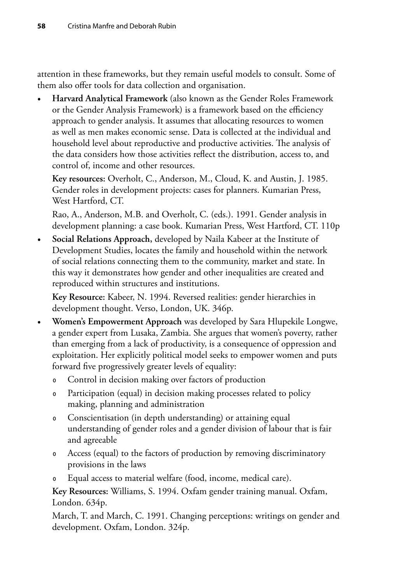attention in these frameworks, but they remain useful models to consult. Some of them also offer tools for data collection and organisation.

• **Harvard Analytical Framework** (also known as the Gender Roles Framework or the Gender Analysis Framework) is a framework based on the efficiency approach to gender analysis. It assumes that allocating resources to women as well as men makes economic sense. Data is collected at the individual and household level about reproductive and productive activities. The analysis of the data considers how those activities reflect the distribution, access to, and control of, income and other resources.

**Key resources:** Overholt, C., Anderson, M., Cloud, K. and Austin, J. 1985. Gender roles in development projects: cases for planners. Kumarian Press, West Hartford, CT.

Rao, A., Anderson, M.B. and Overholt, C. (eds.). 1991. Gender analysis in development planning: a case book. Kumarian Press, West Hartford, CT. 110p

• **Social Relations Approach,** developed by Naila Kabeer at the Institute of Development Studies, locates the family and household within the network of social relations connecting them to the community, market and state. In this way it demonstrates how gender and other inequalities are created and reproduced within structures and institutions.

**Key Resource:** Kabeer, N. 1994. Reversed realities: gender hierarchies in development thought. Verso, London, UK. 346p.

- **Women's Empowerment Approach** was developed by Sara Hlupekile Longwe, a gender expert from Lusaka, Zambia. She argues that women's poverty, rather than emerging from a lack of productivity, is a consequence of oppression and exploitation. Her explicitly political model seeks to empower women and puts forward five progressively greater levels of equality:
	- o Control in decision making over factors of production
	- Ř Participation (equal) in decision making processes related to policy making, planning and administration
	- **•** Conscientisation (in depth understanding) or attaining equal understanding of gender roles and a gender division of labour that is fair and agreeable
	- Ř Access (equal) to the factors of production by removing discriminatory provisions in the laws
	- Equal access to material welfare (food, income, medical care).

**Key Resources:** Williams, S. 1994. Oxfam gender training manual. Oxfam, London. 634p.

March, T. and March, C. 1991. Changing perceptions: writings on gender and development. Oxfam, London. 324p.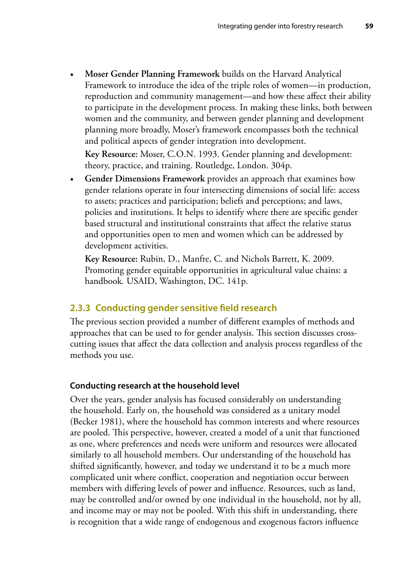• **Moser Gender Planning Framework** builds on the Harvard Analytical Framework to introduce the idea of the triple roles of women—in production, reproduction and community management—and how these affect their ability to participate in the development process. In making these links, both between women and the community, and between gender planning and development planning more broadly, Moser's framework encompasses both the technical and political aspects of gender integration into development.

**Key Resource:** Moser, C.O.N. 1993. Gender planning and development: theory, practice, and training. Routledge, London. 304p.

• **Gender Dimensions Framework** provides an approach that examines how gender relations operate in four intersecting dimensions of social life: access to assets; practices and participation; beliefs and perceptions; and laws, policies and institutions. It helps to identify where there are specific gender based structural and institutional constraints that affect the relative status and opportunities open to men and women which can be addressed by development activities.

**Key Resource:** Rubin, D., Manfre, C. and Nichols Barrett, K. 2009. Promoting gender equitable opportunities in agricultural value chains: a handbook*.* USAID, Washington, DC. 141p.

# **2.3.3 Conducting gender sensitive field research**

The previous section provided a number of different examples of methods and approaches that can be used to for gender analysis. This section discusses crosscutting issues that affect the data collection and analysis process regardless of the methods you use.

#### **Conducting research at the household level**

Over the years, gender analysis has focused considerably on understanding the household. Early on, the household was considered as a unitary model (Becker 1981), where the household has common interests and where resources are pooled. This perspective, however, created a model of a unit that functioned as one, where preferences and needs were uniform and resources were allocated similarly to all household members. Our understanding of the household has shifted significantly, however, and today we understand it to be a much more complicated unit where conflict, cooperation and negotiation occur between members with differing levels of power and influence. Resources, such as land, may be controlled and/or owned by one individual in the household, not by all, and income may or may not be pooled. With this shift in understanding, there is recognition that a wide range of endogenous and exogenous factors influence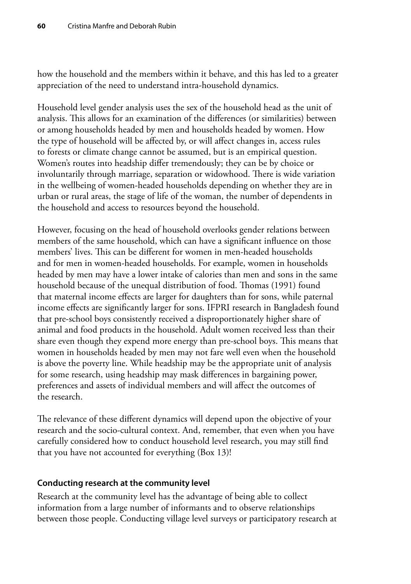how the household and the members within it behave, and this has led to a greater appreciation of the need to understand intra-household dynamics.

Household level gender analysis uses the sex of the household head as the unit of analysis. This allows for an examination of the differences (or similarities) between or among households headed by men and households headed by women. How the type of household will be affected by, or will affect changes in, access rules to forests or climate change cannot be assumed, but is an empirical question. Women's routes into headship differ tremendously; they can be by choice or involuntarily through marriage, separation or widowhood. There is wide variation in the wellbeing of women-headed households depending on whether they are in urban or rural areas, the stage of life of the woman, the number of dependents in the household and access to resources beyond the household.

However, focusing on the head of household overlooks gender relations between members of the same household, which can have a significant influence on those members' lives. This can be different for women in men-headed households and for men in women-headed households. For example, women in households headed by men may have a lower intake of calories than men and sons in the same household because of the unequal distribution of food. Thomas (1991) found that maternal income effects are larger for daughters than for sons, while paternal income effects are significantly larger for sons. IFPRI research in Bangladesh found that pre-school boys consistently received a disproportionately higher share of animal and food products in the household. Adult women received less than their share even though they expend more energy than pre-school boys. This means that women in households headed by men may not fare well even when the household is above the poverty line. While headship may be the appropriate unit of analysis for some research, using headship may mask differences in bargaining power, preferences and assets of individual members and will affect the outcomes of the research.

The relevance of these different dynamics will depend upon the objective of your research and the socio-cultural context. And, remember, that even when you have carefully considered how to conduct household level research, you may still find that you have not accounted for everything (Box 13)!

# **Conducting research at the community level**

Research at the community level has the advantage of being able to collect information from a large number of informants and to observe relationships between those people. Conducting village level surveys or participatory research at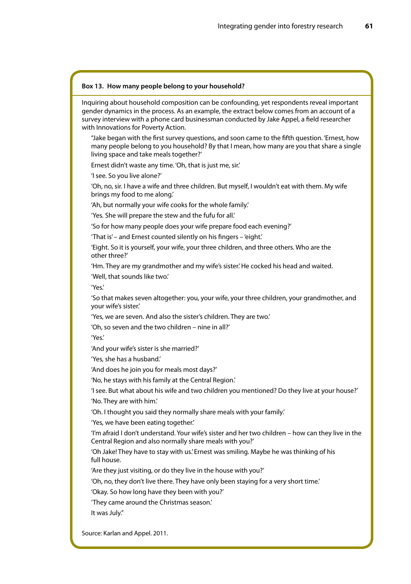#### **Box 13. How many people belong to your household?**

Inquiring about household composition can be confounding, yet respondents reveal important gender dynamics in the process. As an example, the extract below comes from an account of a survey interview with a phone card businessman conducted by Jake Appel, a field researcher with Innovations for Poverty Action.

"Jake began with the first survey questions, and soon came to the fifth question. 'Ernest, how many people belong to you household? By that I mean, how many are you that share a single living space and take meals together?'

Ernest didn't waste any time. 'Oh, that is just me, sir.'

'I see. So you live alone?'

'Oh, no, sir. I have a wife and three children. But myself, I wouldn't eat with them. My wife brings my food to me along.'

'Ah, but normally your wife cooks for the whole family.'

'Yes. She will prepare the stew and the fufu for all.'

'So for how many people does your wife prepare food each evening?'

'That is' - and Ernest counted silently on his fingers - 'eight.'

'Eight. So it is yourself, your wife, your three children, and three others. Who are the other three?'

'Hm. They are my grandmother and my wife's sister.' He cocked his head and waited. 'Well, that sounds like two.'

'Yes.'

'So that makes seven altogether: you, your wife, your three children, your grandmother, and your wife's sister.'

'Yes, we are seven. And also the sister's children. They are two.'

'Oh, so seven and the two children – nine in all?'

'Yes.'

'And your wife's sister is she married?'

'Yes, she has a husband.'

'And does he join you for meals most days?'

'No, he stays with his family at the Central Region.'

'I see. But what about his wife and two children you mentioned? Do they live at your house?' 'No. They are with him.'

'Oh. I thought you said they normally share meals with your family.'

'Yes, we have been eating together.'

'I'm afraid I don't understand. Your wife's sister and her two children – how can they live in the Central Region and also normally share meals with you?'

'Oh Jake! They have to stay with us.' Ernest was smiling. Maybe he was thinking of his full house.

'Are they just visiting, or do they live in the house with you?'

'Oh, no, they don't live there. They have only been staying for a very short time.'

'Okay. So how long have they been with you?'

'They came around the Christmas season.'

It was July."

Source: Karlan and Appel. 2011.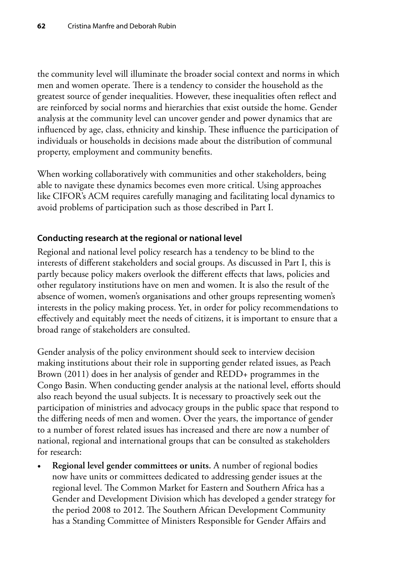the community level will illuminate the broader social context and norms in which men and women operate. There is a tendency to consider the household as the greatest source of gender inequalities. However, these inequalities often reflect and are reinforced by social norms and hierarchies that exist outside the home. Gender analysis at the community level can uncover gender and power dynamics that are influenced by age, class, ethnicity and kinship. These influence the participation of individuals or households in decisions made about the distribution of communal property, employment and community benefits.

When working collaboratively with communities and other stakeholders, being able to navigate these dynamics becomes even more critical. Using approaches like CIFOR's ACM requires carefully managing and facilitating local dynamics to avoid problems of participation such as those described in Part I.

#### **Conducting research at the regional or national level**

Regional and national level policy research has a tendency to be blind to the interests of different stakeholders and social groups. As discussed in Part I, this is partly because policy makers overlook the different effects that laws, policies and other regulatory institutions have on men and women. It is also the result of the absence of women, women's organisations and other groups representing women's interests in the policy making process. Yet, in order for policy recommendations to effectively and equitably meet the needs of citizens, it is important to ensure that a broad range of stakeholders are consulted.

Gender analysis of the policy environment should seek to interview decision making institutions about their role in supporting gender related issues, as Peach Brown (2011) does in her analysis of gender and REDD+ programmes in the Congo Basin. When conducting gender analysis at the national level, efforts should also reach beyond the usual subjects. It is necessary to proactively seek out the participation of ministries and advocacy groups in the public space that respond to the differing needs of men and women. Over the years, the importance of gender to a number of forest related issues has increased and there are now a number of national, regional and international groups that can be consulted as stakeholders for research:

• **Regional level gender committees or units.** A number of regional bodies now have units or committees dedicated to addressing gender issues at the regional level. The Common Market for Eastern and Southern Africa has a Gender and Development Division which has developed a gender strategy for the period 2008 to 2012. The Southern African Development Community has a Standing Committee of Ministers Responsible for Gender Affairs and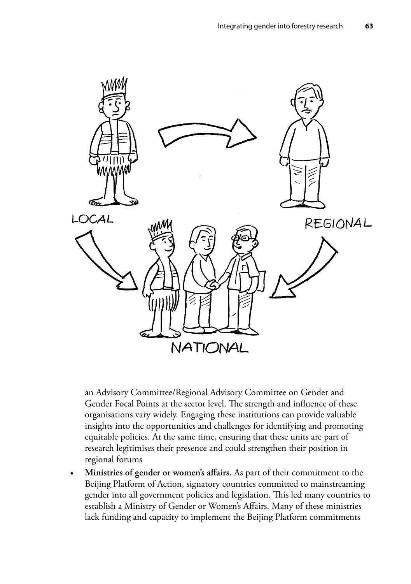

an Advisory Committee/Regional Advisory Committee on Gender and Gender Focal Points at the sector level. The strength and influence of these organisations vary widely. Engaging these institutions can provide valuable insights into the opportunities and challenges for identifying and promoting equitable policies. At the same time, ensuring that these units are part of research legitimises their presence and could strengthen their position in regional forums

• **Ministries of gender or women's affairs.** As part of their commitment to the Beijing Platform of Action, signatory countries committed to mainstreaming gender into all government policies and legislation. This led many countries to establish a Ministry of Gender or Women's Affairs. Many of these ministries lack funding and capacity to implement the Beijing Platform commitments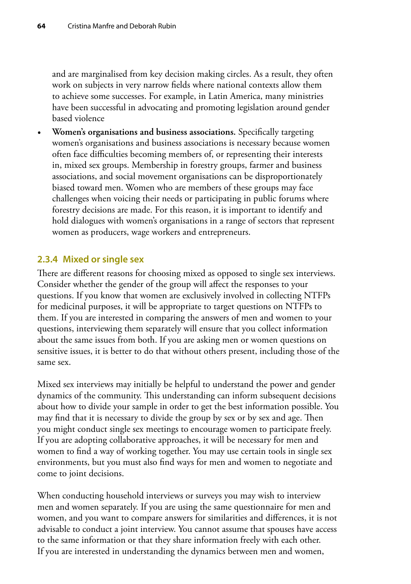and are marginalised from key decision making circles. As a result, they often work on subjects in very narrow fields where national contexts allow them to achieve some successes. For example, in Latin America, many ministries have been successful in advocating and promoting legislation around gender based violence

• **Women's organisations and business associations.** Specifically targeting women's organisations and business associations is necessary because women often face difficulties becoming members of, or representing their interests in, mixed sex groups. Membership in forestry groups, farmer and business associations, and social movement organisations can be disproportionately biased toward men. Women who are members of these groups may face challenges when voicing their needs or participating in public forums where forestry decisions are made. For this reason, it is important to identify and hold dialogues with women's organisations in a range of sectors that represent women as producers, wage workers and entrepreneurs.

# **2.3.4 Mixed or single sex**

There are different reasons for choosing mixed as opposed to single sex interviews. Consider whether the gender of the group will affect the responses to your questions. If you know that women are exclusively involved in collecting NTFPs for medicinal purposes, it will be appropriate to target questions on NTFPs to them. If you are interested in comparing the answers of men and women to your questions, interviewing them separately will ensure that you collect information about the same issues from both. If you are asking men or women questions on sensitive issues, it is better to do that without others present, including those of the same sex.

Mixed sex interviews may initially be helpful to understand the power and gender dynamics of the community. This understanding can inform subsequent decisions about how to divide your sample in order to get the best information possible. You may find that it is necessary to divide the group by sex or by sex and age. Then you might conduct single sex meetings to encourage women to participate freely. If you are adopting collaborative approaches, it will be necessary for men and women to find a way of working together. You may use certain tools in single sex environments, but you must also find ways for men and women to negotiate and come to joint decisions.

When conducting household interviews or surveys you may wish to interview men and women separately. If you are using the same questionnaire for men and women, and you want to compare answers for similarities and differences, it is not advisable to conduct a joint interview. You cannot assume that spouses have access to the same information or that they share information freely with each other. If you are interested in understanding the dynamics between men and women,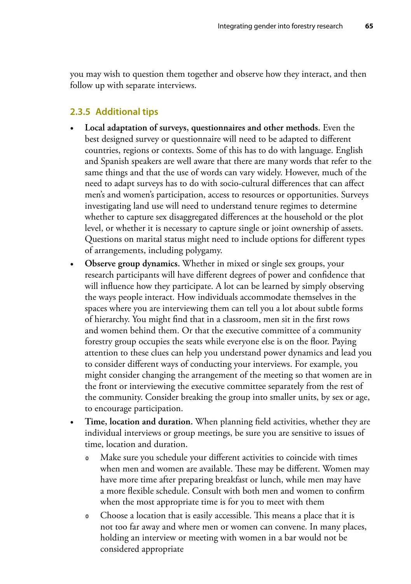you may wish to question them together and observe how they interact, and then follow up with separate interviews.

# **2.3.5 Additional tips**

- **Local adaptation of surveys, questionnaires and other methods.** Even the best designed survey or questionnaire will need to be adapted to different countries, regions or contexts. Some of this has to do with language. English and Spanish speakers are well aware that there are many words that refer to the same things and that the use of words can vary widely. However, much of the need to adapt surveys has to do with socio-cultural differences that can affect men's and women's participation, access to resources or opportunities. Surveys investigating land use will need to understand tenure regimes to determine whether to capture sex disaggregated differences at the household or the plot level, or whether it is necessary to capture single or joint ownership of assets. Questions on marital status might need to include options for different types of arrangements, including polygamy.
- **Observe group dynamics.** Whether in mixed or single sex groups, your research participants will have different degrees of power and confidence that will influence how they participate. A lot can be learned by simply observing the ways people interact. How individuals accommodate themselves in the spaces where you are interviewing them can tell you a lot about subtle forms of hierarchy. You might find that in a classroom, men sit in the first rows and women behind them. Or that the executive committee of a community forestry group occupies the seats while everyone else is on the floor. Paying attention to these clues can help you understand power dynamics and lead you to consider different ways of conducting your interviews. For example, you might consider changing the arrangement of the meeting so that women are in the front or interviewing the executive committee separately from the rest of the community. Consider breaking the group into smaller units, by sex or age, to encourage participation.
- **Time, location and duration.** When planning field activities, whether they are individual interviews or group meetings, be sure you are sensitive to issues of time, location and duration.
	- Ř Make sure you schedule your different activities to coincide with times when men and women are available. These may be different. Women may have more time after preparing breakfast or lunch, while men may have a more flexible schedule. Consult with both men and women to confirm when the most appropriate time is for you to meet with them
	- Ř Choose a location that is easily accessible. This means a place that it is not too far away and where men or women can convene. In many places, holding an interview or meeting with women in a bar would not be considered appropriate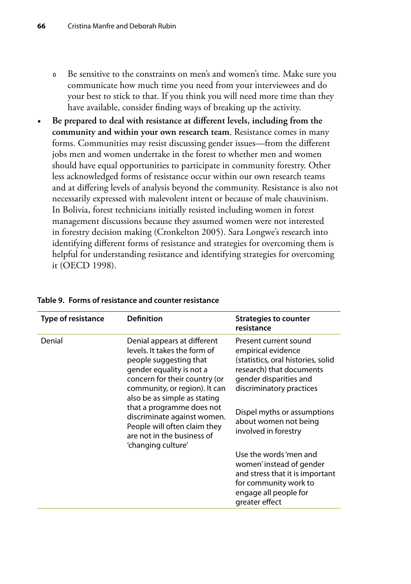- Ř Be sensitive to the constraints on men's and women's time. Make sure you communicate how much time you need from your interviewees and do your best to stick to that. If you think you will need more time than they have available, consider finding ways of breaking up the activity.
- **Be prepared to deal with resistance at different levels, including from the community and within your own research team**. Resistance comes in many forms. Communities may resist discussing gender issues—from the different jobs men and women undertake in the forest to whether men and women should have equal opportunities to participate in community forestry. Other less acknowledged forms of resistance occur within our own research teams and at differing levels of analysis beyond the community. Resistance is also not necessarily expressed with malevolent intent or because of male chauvinism. In Bolivia, forest technicians initially resisted including women in forest management discussions because they assumed women were not interested in forestry decision making (Cronkelton 2005). Sara Longwe's research into identifying different forms of resistance and strategies for overcoming them is helpful for understanding resistance and identifying strategies for overcoming it (OECD 1998).

| <b>Type of resistance</b> | <b>Definition</b>                                                                                                                                                                                                                                                                                                                             | <b>Strategies to counter</b><br>resistance                                                                                                                                                                                                          |
|---------------------------|-----------------------------------------------------------------------------------------------------------------------------------------------------------------------------------------------------------------------------------------------------------------------------------------------------------------------------------------------|-----------------------------------------------------------------------------------------------------------------------------------------------------------------------------------------------------------------------------------------------------|
| Denial                    | Denial appears at different<br>levels. It takes the form of<br>people suggesting that<br>gender equality is not a<br>concern for their country (or<br>community, or region). It can<br>also be as simple as stating<br>that a programme does not<br>discriminate against women.<br>People will often claim they<br>are not in the business of | Present current sound<br>empirical evidence<br>(statistics, oral histories, solid<br>research) that documents<br>gender disparities and<br>discriminatory practices<br>Dispel myths or assumptions<br>about women not being<br>involved in forestry |
|                           | 'changing culture'                                                                                                                                                                                                                                                                                                                            | Use the words 'men and<br>women' instead of gender<br>and stress that it is important<br>for community work to<br>engage all people for<br>greater effect                                                                                           |

#### **Table 9. Forms of resistance and counter resistance**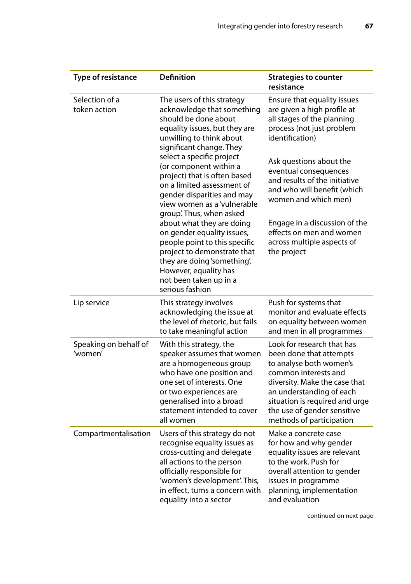| <b>Type of resistance</b>        | <b>Definition</b>                                                                                                                                                                                                                                                                                                                                                                                                                                                                                                                                                                                                       | <b>Strategies to counter</b><br>resistance                                                                                                                                                                                                                                                                                                                                                     |
|----------------------------------|-------------------------------------------------------------------------------------------------------------------------------------------------------------------------------------------------------------------------------------------------------------------------------------------------------------------------------------------------------------------------------------------------------------------------------------------------------------------------------------------------------------------------------------------------------------------------------------------------------------------------|------------------------------------------------------------------------------------------------------------------------------------------------------------------------------------------------------------------------------------------------------------------------------------------------------------------------------------------------------------------------------------------------|
| Selection of a<br>token action   | The users of this strategy<br>acknowledge that something<br>should be done about<br>equality issues, but they are<br>unwilling to think about<br>significant change. They<br>select a specific project<br>(or component within a<br>project) that is often based<br>on a limited assessment of<br>gender disparities and may<br>view women as a 'vulnerable<br>group'. Thus, when asked<br>about what they are doing<br>on gender equality issues,<br>people point to this specific<br>project to demonstrate that<br>they are doing 'something'.<br>However, equality has<br>not been taken up in a<br>serious fashion | Ensure that equality issues<br>are given a high profile at<br>all stages of the planning<br>process (not just problem<br>identification)<br>Ask questions about the<br>eventual consequences<br>and results of the initiative<br>and who will benefit (which<br>women and which men)<br>Engage in a discussion of the<br>effects on men and women<br>across multiple aspects of<br>the project |
| Lip service                      | This strategy involves<br>acknowledging the issue at<br>the level of rhetoric, but fails<br>to take meaningful action                                                                                                                                                                                                                                                                                                                                                                                                                                                                                                   | Push for systems that<br>monitor and evaluate effects<br>on equality between women<br>and men in all programmes                                                                                                                                                                                                                                                                                |
| Speaking on behalf of<br>'women' | With this strategy, the<br>speaker assumes that women<br>are a homogeneous group<br>who have one position and<br>one set of interests. One<br>or two experiences are<br>generalised into a broad<br>statement intended to cover<br>all women                                                                                                                                                                                                                                                                                                                                                                            | Look for research that has<br>been done that attempts<br>to analyse both women's<br>common interests and<br>diversity. Make the case that<br>an understanding of each<br>situation is required and urge<br>the use of gender sensitive<br>methods of participation                                                                                                                             |
| Compartmentalisation             | Users of this strategy do not<br>recognise equality issues as<br>cross-cutting and delegate<br>all actions to the person<br>officially responsible for<br>'women's development'. This,<br>in effect, turns a concern with<br>equality into a sector                                                                                                                                                                                                                                                                                                                                                                     | Make a concrete case<br>for how and why gender<br>equality issues are relevant<br>to the work. Push for<br>overall attention to gender<br>issues in programme<br>planning, implementation<br>and evaluation                                                                                                                                                                                    |

continued on next page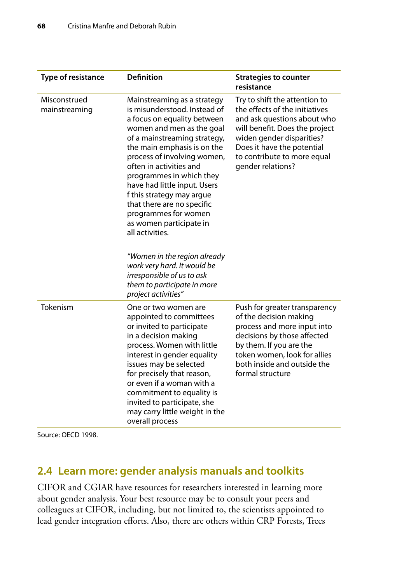| Type of resistance            | <b>Definition</b>                                                                                                                                                                                                                                                                                                                                                                                                                             | <b>Strategies to counter</b><br>resistance                                                                                                                                                                                                      |
|-------------------------------|-----------------------------------------------------------------------------------------------------------------------------------------------------------------------------------------------------------------------------------------------------------------------------------------------------------------------------------------------------------------------------------------------------------------------------------------------|-------------------------------------------------------------------------------------------------------------------------------------------------------------------------------------------------------------------------------------------------|
| Misconstrued<br>mainstreaming | Mainstreaming as a strategy<br>is misunderstood. Instead of<br>a focus on equality between<br>women and men as the goal<br>of a mainstreaming strategy,<br>the main emphasis is on the<br>process of involving women,<br>often in activities and<br>programmes in which they<br>have had little input. Users<br>f this strategy may argue<br>that there are no specific<br>programmes for women<br>as women participate in<br>all activities. | Try to shift the attention to<br>the effects of the initiatives<br>and ask questions about who<br>will benefit. Does the project<br>widen gender disparities?<br>Does it have the potential<br>to contribute to more equal<br>gender relations? |
|                               | "Women in the region already<br>work very hard. It would be<br>irresponsible of us to ask<br>them to participate in more<br>project activities"                                                                                                                                                                                                                                                                                               |                                                                                                                                                                                                                                                 |
| Tokenism                      | One or two women are<br>appointed to committees<br>or invited to participate<br>in a decision making<br>process. Women with little<br>interest in gender equality<br>issues may be selected<br>for precisely that reason,<br>or even if a woman with a<br>commitment to equality is<br>invited to participate, she<br>may carry little weight in the<br>overall process                                                                       | Push for greater transparency<br>of the decision making<br>process and more input into<br>decisions by those affected<br>by them. If you are the<br>token women, look for allies<br>both inside and outside the<br>formal structure             |

Source: OECD 1998.

# **2.4 Learn more: gender analysis manuals and toolkits**

CIFOR and CGIAR have resources for researchers interested in learning more about gender analysis. Your best resource may be to consult your peers and colleagues at CIFOR, including, but not limited to, the scientists appointed to lead gender integration efforts. Also, there are others within CRP Forests, Trees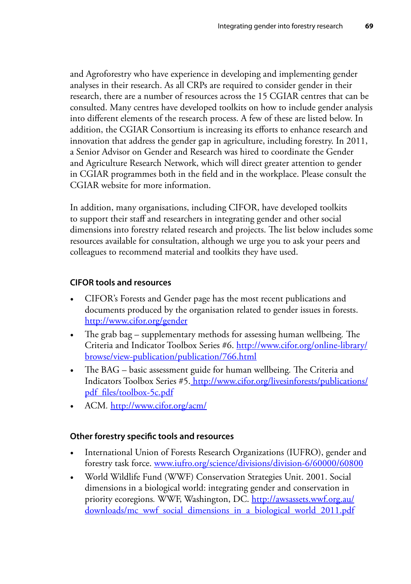and Agroforestry who have experience in developing and implementing gender analyses in their research. As all CRPs are required to consider gender in their research, there are a number of resources across the 15 CGIAR centres that can be consulted. Many centres have developed toolkits on how to include gender analysis into different elements of the research process. A few of these are listed below. In addition, the CGIAR Consortium is increasing its efforts to enhance research and innovation that address the gender gap in agriculture, including forestry. In 2011, a Senior Advisor on Gender and Research was hired to coordinate the Gender and Agriculture Research Network, which will direct greater attention to gender in CGIAR programmes both in the field and in the workplace. Please consult the CGIAR website for more information.

In addition, many organisations, including CIFOR, have developed toolkits to support their staff and researchers in integrating gender and other social dimensions into forestry related research and projects. The list below includes some resources available for consultation, although we urge you to ask your peers and colleagues to recommend material and toolkits they have used.

# **CIFOR tools and resources**

- CIFOR's Forests and Gender page has the most recent publications and documents produced by the organisation related to gender issues in forests. http://www.cifor.org/gender
- The grab bag supplementary methods for assessing human wellbeing*.* The Criteria and Indicator Toolbox Series #6. http:[//](http://www.cifor.org/online-library/browse/view-publication/publication/766.html)www.cifor.org/online-library/ browse/view-publication/publication/766.html
- The BAG basic assessment guide for human wellbeing*.* The Criteria and Indicators Toolbox Series #5. http://www.cifor.org/livesinforests/publications/ pdf\_files/toolbox-5c.pdf
- [•](http://www.cifor.org/acm/) ACM*.* http://www.cifor.org/acm[/](http://www.cifor.org/acm/)

# **Other forestry specific tools and resources**

- International Union of Forests Research Organizations (IUFRO), gender and forestry task force. www.iufro.org/science/divisions/division-6/60000/60800
- World Wildlife Fund (WWF) Conservation Strategies Unit. 2001. Social dimensions in a biological world: integrating gender and conservation in priority ecoregions*.* WWF, Washington, DC. [http://awsassets.wwf.org.au/](http://awsassets.wwf.org.au/downloads/mc_wwf_social_dimensions_in_a_biological_world_2011.pdf) [downloads/mc\\_wwf\\_social\\_dimensions\\_in\\_a\\_biological\\_world\\_2011.pdf](http://awsassets.wwf.org.au/downloads/mc_wwf_social_dimensions_in_a_biological_world_2011.pdf)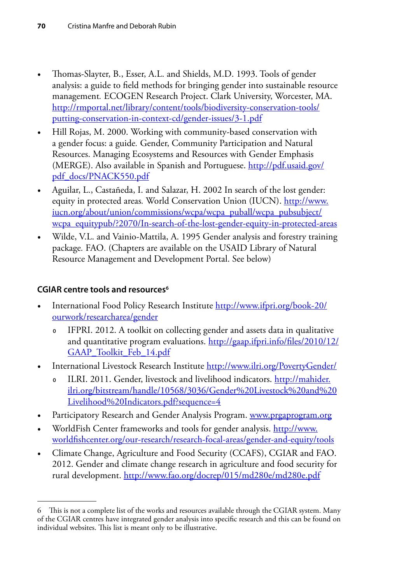- Thomas-Slayter, B., Esser, A.L. and Shields, M.D. 1993. Tools of gender analysis: a guide to field methods for bringing gender into sustainable resource management*.* ECOGEN Research Project. Clark University, Worcester, MA. http://rmportal.net/library/content/tools/biodiversity-conservation-tools/ putting-conservation-in-context-cd/gender-issues/3-1.pd[f](http://rmportal.net/library/content/tools/biodiversity-conservation-tools/putting-conservation-in-context-cd/gender-issues/3-1.pdf)
- Hill Rojas, M. 2000. Working with community-based conservation with a gender focus: a guide*.* Gender, Community Participation and Natural Resources. Managing Ecosystems and Resources with Gender Emphasis (MERGE). Also available in Spanish and Portuguese. http://pdf.usaid.gov/ pdf\_docs/PNACK550.pdf
- Aguilar, L., Castañeda, I. and Salazar, H. 2002 In search of the lost gender: equity in protected areas. World Conservation Union (IUCN). http://www. iucn.org/about/union/commissions/wcpa/wcpa\_puball/wcpa\_pubsubject/ wcpa\_equitypub/?2070/In-[s](http://www.iucn.org/about/union/commissions/wcpa/wcpa_puball/wcpa_pubsubject/wcpa_equitypub/?2070/In-search-of-the-lost-gender-equity-in-protected-areas)earch-of-the-lost-gender-equity-in-protected-areas
- Wilde, V.L. and Vainio-Mattila, A. 1995 Gender analysis and forestry training package*.* FAO. (Chapters are available on the USAID Library of Natural Resource Management and Development Portal. See below)

# **CGIAR centre tools and resources6**

- International Food Policy Research Institute [http://www.ifpri.org/book-20/](http://www.ifpri.org/book-20/ourwork/researcharea/gender) [ourwork/researcharea/gender](http://www.ifpri.org/book-20/ourwork/researcharea/gender)
	- Ř IFPRI. 2012. A toolkit on collecting gender and assets data in qualitative and quantitative program evaluations. http://gaap.ifpri.info/files/2010/12/ GAAP\_Toolkit\_Feb\_14.pd[f](http://gaap.ifpri.info/files/2010/12/GAAP_Toolkit_Feb_14.pdf)
- International Livestock Research Institute http://www.ilri.org/PovertyGender/
	- o ILRI. 2011. Gender, livestock and livelihood indicators. http://mahider. ilri.org/bitstream/handle/10568/3036/Gender%20Livestock%20and%20 Livelihood%20Indicators.pdf?sequence=[4](http://mahider.ilri.org/bitstream/handle/10568/3036/Gender%20Livestock%20and%20Livelihood%20Indicators.pdf?sequence=4)
- Participatory Research and Gender Analysis Program. www.prgaprogram.org
- WorldFish Center frameworks and tools for gender analysis. [http://www.](http://www.worldfishcenter.org/our-research/research-focal-areas/gender-and-equity/tools) [worldfishcenter.org/our-research/research-focal-areas/gender-and-equity/tools](http://www.worldfishcenter.org/our-research/research-focal-areas/gender-and-equity/tools)
- Climate Change, Agriculture and Food Security (CCAFS), CGIAR and FAO. 2012. Gender and climate change research in agriculture and food security for rural development. <http://www.fao.org/docrep/015/md280e/md280e.pdf>

<sup>6</sup> This is not a complete list of the works and resources available through the CGIAR system. Many of the CGIAR centres have integrated gender analysis into specific research and this can be found on individual websites. This list is meant only to be illustrative.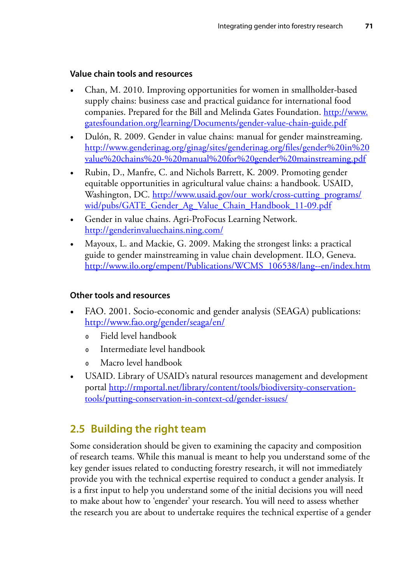#### **Value chain tools and resources**

- Chan, M. 2010. Improving opportunities for women in smallholder-based supply chains: business case and practical guidance for international food companies. Prepared for the Bill and Melinda Gates Foundation. http:/[/w](http://www.gatesfoundation.org/learning/Documents/gender-value-chain-guide.pdf)ww. gatesfoundation.org/learning/Documents/gender-value-chain-guide.pdf
- Dulón, R. 2009. Gender in value chains: manual for gender mainstreaming. http://www.genderinag.org/ginag/sites/genderinag.org/files/gender%20in%20 value%20chains%20-%20manual%20for%20gender%20mainstreaming.pd[f](http://www.genderinag.org/ginag/sites/genderinag.org/files/gender%20in%20value%20chains%20-%20manual%20for%20gender%20mainstreaming.pdf)
- Rubin, D., Manfre, C. and Nichols Barrett, K. 2009. Promoting gender equitable opportunities in agricultural value chains: a handbook. USAID, Washington, DC. [http://www.usaid.gov/our\\_work/cross-cutting\\_programs/](http://www.usaid.gov/our_work/cross-cutting_programs/wid/pubs/GATE_Gender_Ag_Value_Chain_Handbook_11-09.pdf) [wid/pubs/GATE\\_Gender\\_Ag\\_Value\\_Chain\\_Handbook\\_11-09.pdf](http://www.usaid.gov/our_work/cross-cutting_programs/wid/pubs/GATE_Gender_Ag_Value_Chain_Handbook_11-09.pdf)
- Gender in value chains. Agri-ProFocus Learning Network. <http://genderinvaluechains.ning.com/>
- Mayoux, L. and Mackie, G. 2009. Making the strongest links: a practical guide to gender mainstreaming in value chain development. ILO, Geneva. [http://www.ilo.org/empent/Publications/WCMS\\_106538/lang--en/index.htm](http://www.ilo.org/empent/Publications/WCMS_106538/lang--en/index.htm)

#### **Other tools and resources**

- FAO. 2001. Socio-economic and gender analysis (SEAGA) publications: [http://www.fao.org/gender/s](http://www.fao.org/gender/seaga/en/)eaga/en/
	- Ř Field level handbook
	- Ř Intermediate level handbook
	- o Macro level handbook
- USAID. Library of USAID's natural resources management and development po[r](http://rmportal.net/library/content/tools/biodiversity-conservation-tools/putting-conservation-in-context-cd/gender-issues/)tal http://rmportal.net/library/content/tools/biodiversity-conservationtools/putting-conservation-in-context-cd/gender-issues/

# **2.5 Building the right team**

Some consideration should be given to examining the capacity and composition of research teams. While this manual is meant to help you understand some of the key gender issues related to conducting forestry research, it will not immediately provide you with the technical expertise required to conduct a gender analysis. It is a first input to help you understand some of the initial decisions you will need to make about how to 'engender' your research. You will need to assess whether the research you are about to undertake requires the technical expertise of a gender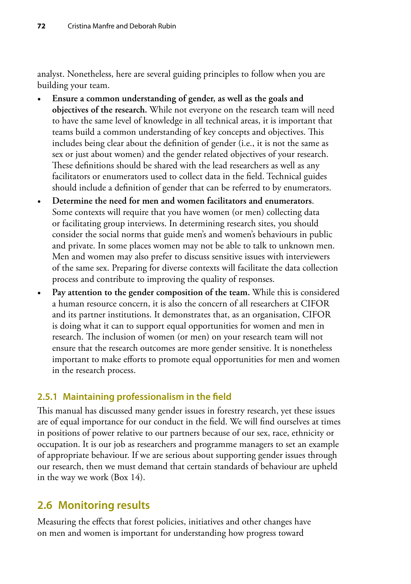analyst. Nonetheless, here are several guiding principles to follow when you are building your team.

- **Ensure a common understanding of gender, as well as the goals and objectives of the research.** While not everyone on the research team will need to have the same level of knowledge in all technical areas, it is important that teams build a common understanding of key concepts and objectives. This includes being clear about the definition of gender (i.e., it is not the same as sex or just about women) and the gender related objectives of your research. These definitions should be shared with the lead researchers as well as any facilitators or enumerators used to collect data in the field. Technical guides should include a definition of gender that can be referred to by enumerators.
- **Determine the need for men and women facilitators and enumerators**. Some contexts will require that you have women (or men) collecting data or facilitating group interviews. In determining research sites, you should consider the social norms that guide men's and women's behaviours in public and private. In some places women may not be able to talk to unknown men. Men and women may also prefer to discuss sensitive issues with interviewers of the same sex. Preparing for diverse contexts will facilitate the data collection process and contribute to improving the quality of responses.
- **Pay attention to the gender composition of the team.** While this is considered a human resource concern, it is also the concern of all researchers at CIFOR and its partner institutions. It demonstrates that, as an organisation, CIFOR is doing what it can to support equal opportunities for women and men in research. The inclusion of women (or men) on your research team will not ensure that the research outcomes are more gender sensitive. It is nonetheless important to make efforts to promote equal opportunities for men and women in the research process.

# **2.5.1 Maintaining professionalism in the field**

This manual has discussed many gender issues in forestry research, yet these issues are of equal importance for our conduct in the field. We will find ourselves at times in positions of power relative to our partners because of our sex, race, ethnicity or occupation. It is our job as researchers and programme managers to set an example of appropriate behaviour. If we are serious about supporting gender issues through our research, then we must demand that certain standards of behaviour are upheld in the way we work (Box 14).

# **2.6 Monitoring results**

Measuring the effects that forest policies, initiatives and other changes have on men and women is important for understanding how progress toward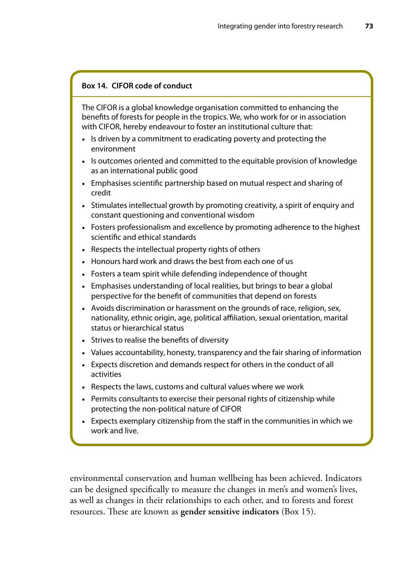#### **Box 14. CIFOR code of conduct**

The CIFOR is a global knowledge organisation committed to enhancing the benefits of forests for people in the tropics. We, who work for or in association with CIFOR, hereby endeavour to foster an institutional culture that:

- Is driven by a commitment to eradicating poverty and protecting the environment
- Is outcomes oriented and committed to the equitable provision of knowledge as an international public good
- Emphasises scientific partnership based on mutual respect and sharing of credit
- Stimulates intellectual growth by promoting creativity, a spirit of enquiry and constant questioning and conventional wisdom
- Fosters professionalism and excellence by promoting adherence to the highest scientific and ethical standards
- Respects the intellectual property rights of others
- Honours hard work and draws the best from each one of us
- Fosters a team spirit while defending independence of thought
- Emphasises understanding of local realities, but brings to bear a global perspective for the benefit of communities that depend on forests
- Avoids discrimination or harassment on the grounds of race, religion, sex, nationality, ethnic origin, age, political affiliation, sexual orientation, marital status or hierarchical status
- Strives to realise the benefits of diversity
- Values accountability, honesty, transparency and the fair sharing of information
- Expects discretion and demands respect for others in the conduct of all activities
- Respects the laws, customs and cultural values where we work
- Permits consultants to exercise their personal rights of citizenship while protecting the non-political nature of CIFOR
- Expects exemplary citizenship from the staff in the communities in which we work and live.

environmental conservation and human wellbeing has been achieved. Indicators can be designed specifically to measure the changes in men's and women's lives, as well as changes in their relationships to each other, and to forests and forest resources. These are known as **gender sensitive indicators** (Box 15).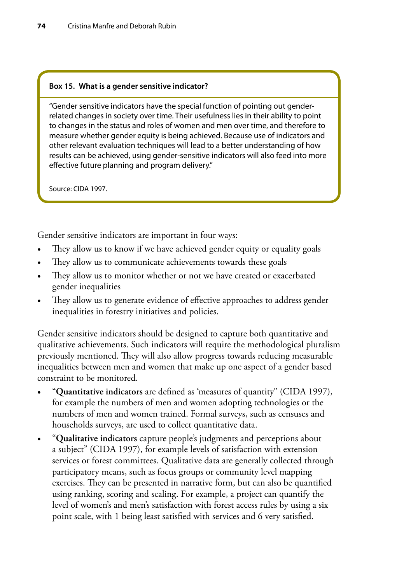#### **Box 15. What is a gender sensitive indicator?**

"Gender sensitive indicators have the special function of pointing out genderrelated changes in society over time. Their usefulness lies in their ability to point to changes in the status and roles of women and men over time, and therefore to measure whether gender equity is being achieved. Because use of indicators and other relevant evaluation techniques will lead to a better understanding of how results can be achieved, using gender-sensitive indicators will also feed into more effective future planning and program delivery."

Source: CIDA 1997.

Gender sensitive indicators are important in four ways:

- They allow us to know if we have achieved gender equity or equality goals
- They allow us to communicate achievements towards these goals
- They allow us to monitor whether or not we have created or exacerbated gender inequalities
- They allow us to generate evidence of effective approaches to address gender inequalities in forestry initiatives and policies.

Gender sensitive indicators should be designed to capture both quantitative and qualitative achievements. Such indicators will require the methodological pluralism previously mentioned. They will also allow progress towards reducing measurable inequalities between men and women that make up one aspect of a gender based constraint to be monitored.

- "**Quantitative indicators** are defined as 'measures of quantity" (CIDA 1997), for example the numbers of men and women adopting technologies or the numbers of men and women trained. Formal surveys, such as censuses and households surveys, are used to collect quantitative data.
- "**Qualitative indicators** capture people's judgments and perceptions about a subject" (CIDA 1997), for example levels of satisfaction with extension services or forest committees. Qualitative data are generally collected through participatory means, such as focus groups or community level mapping exercises. They can be presented in narrative form, but can also be quantified using ranking, scoring and scaling. For example, a project can quantify the level of women's and men's satisfaction with forest access rules by using a six point scale, with 1 being least satisfied with services and 6 very satisfied.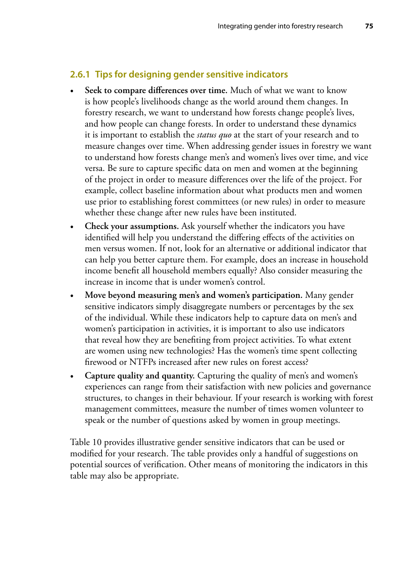# **2.6.1 Tips for designing gender sensitive indicators**

- **Seek to compare differences over time.** Much of what we want to know is how people's livelihoods change as the world around them changes. In forestry research, we want to understand how forests change people's lives, and how people can change forests. In order to understand these dynamics it is important to establish the *status quo* at the start of your research and to measure changes over time. When addressing gender issues in forestry we want to understand how forests change men's and women's lives over time, and vice versa. Be sure to capture specific data on men and women at the beginning of the project in order to measure differences over the life of the project. For example, collect baseline information about what products men and women use prior to establishing forest committees (or new rules) in order to measure whether these change after new rules have been instituted.
- **Check your assumptions.** Ask yourself whether the indicators you have identified will help you understand the differing effects of the activities on men versus women. If not, look for an alternative or additional indicator that can help you better capture them. For example, does an increase in household income benefit all household members equally? Also consider measuring the increase in income that is under women's control.
- **Move beyond measuring men's and women's participation.** Many gender sensitive indicators simply disaggregate numbers or percentages by the sex of the individual. While these indicators help to capture data on men's and women's participation in activities, it is important to also use indicators that reveal how they are benefiting from project activities. To what extent are women using new technologies? Has the women's time spent collecting firewood or NTFPs increased after new rules on forest access?
- **Capture quality and quantity.** Capturing the quality of men's and women's experiences can range from their satisfaction with new policies and governance structures, to changes in their behaviour. If your research is working with forest management committees, measure the number of times women volunteer to speak or the number of questions asked by women in group meetings.

Table 10 provides illustrative gender sensitive indicators that can be used or modified for your research. The table provides only a handful of suggestions on potential sources of verification. Other means of monitoring the indicators in this table may also be appropriate.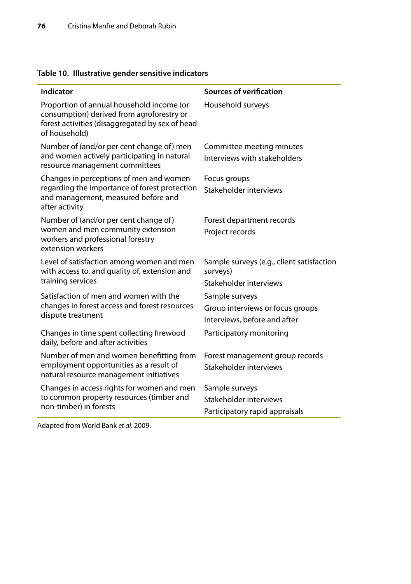#### **Table 10. Illustrative gender sensitive indicators**

| <b>Sources of verification</b>                                                     |
|------------------------------------------------------------------------------------|
| Household surveys                                                                  |
| Committee meeting minutes<br>Interviews with stakeholders                          |
| Focus groups<br>Stakeholder interviews                                             |
| Forest department records<br>Project records                                       |
| Sample surveys (e.g., client satisfaction<br>surveys)<br>Stakeholder interviews    |
| Sample surveys<br>Group interviews or focus groups<br>Interviews, before and after |
| Participatory monitoring                                                           |
| Forest management group records<br>Stakeholder interviews                          |
| Sample surveys<br>Stakeholder interviews<br>Participatory rapid appraisals         |
|                                                                                    |

Adapted from World Bank *et al*. 2009.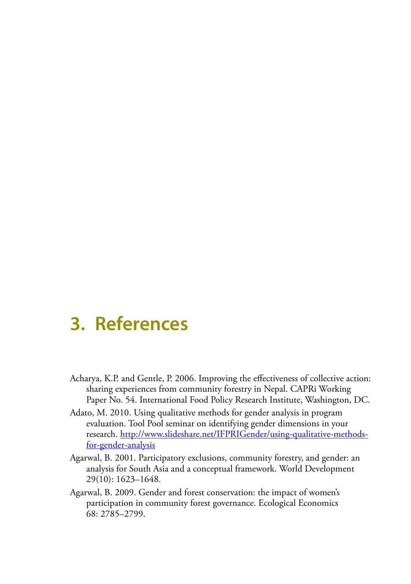# **3. References**

- Acharya, K.P. and Gentle, P. 2006. Improving the effectiveness of collective action: sharing experiences from community forestry in Nepal. CAPRi Working Paper No. 54. International Food Policy Research Institute, Washington, DC.
- Adato, M. 2010. Using qualitative methods for gender analysis in program evaluation. Tool Pool seminar on identifying gender dimensions in your research. http://w[ww](http://www.slideshare.net/IFPRIGender/using-qualitative-methods-for-gender-analysis).slideshare.net/IFPRIGender/using-qualitative-methodsfor-gender-analysis
- Agarwal, B. 2001. Participatory exclusions, community forestry, and gender: an analysis for South Asia and a conceptual framework. World Development 29(10): 1623–1648.
- Agarwal, B. 2009. Gender and forest conservation: the impact of women's participation in community forest governance. Ecological Economics 68: 2785–2799.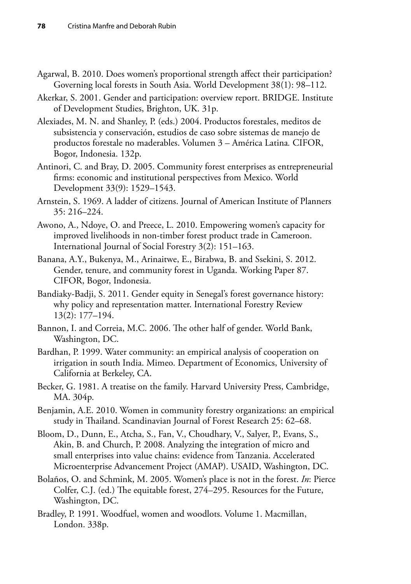- Agarwal, B. 2010. Does women's proportional strength affect their participation? Governing local forests in South Asia. World Development 38(1): 98–112.
- Akerkar, S. 2001. Gender and participation: overview report. BRIDGE. Institute of Development Studies, Brighton, UK. 31p.
- Alexiades, M. N. and Shanley, P. (eds.) 2004. Productos forestales, meditos de subsistencia y conservación, estudios de caso sobre sistemas de manejo de productos forestale no maderables. Volumen 3 – América Latina*.* CIFOR, Bogor, Indonesia. 132p.
- Antinori, C. and Bray, D. 2005. Community forest enterprises as entrepreneurial firms: economic and institutional perspectives from Mexico. World Development 33(9): 1529–1543.
- Arnstein, S. 1969. A ladder of citizens. Journal of American Institute of Planners 35: 216–224.
- Awono, A., Ndoye, O. and Preece, L. 2010. Empowering women's capacity for improved livelihoods in non-timber forest product trade in Cameroon. International Journal of Social Forestry 3(2): 151–163.
- Banana, A.Y., Bukenya, M., Arinaitwe, E., Birabwa, B. and Ssekini, S. 2012. Gender, tenure, and community forest in Uganda. Working Paper 87. CIFOR, Bogor, Indonesia.
- Bandiaky-Badji, S. 2011. Gender equity in Senegal's forest governance history: why policy and representation matter. International Forestry Review 13(2): 177–194.
- Bannon, I. and Correia, M.C. 2006. The other half of gender. World Bank, Washington, DC.
- Bardhan, P. 1999. Water community: an empirical analysis of cooperation on irrigation in south India. Mimeo. Department of Economics, University of California at Berkeley, CA.
- Becker, G. 1981. A treatise on the family. Harvard University Press, Cambridge, MA. 304p.
- Benjamin, A.E. 2010. Women in community forestry organizations: an empirical study in Thailand. Scandinavian Journal of Forest Research 25: 62–68.
- Bloom, D., Dunn, E., Atcha, S., Fan, V., Choudhary, V., Salyer, P., Evans, S., Akin, B. and Church, P. 2008. Analyzing the integration of micro and small enterprises into value chains: evidence from Tanzania. Accelerated Microenterprise Advancement Project (AMAP). USAID, Washington, DC.
- Bolaños, O. and Schmink, M. 2005. Women's place is not in the forest. *In*: Pierce Colfer, C.J. (ed.) The equitable forest, 274–295. Resources for the Future, Washington, DC.
- Bradley, P. 1991. Woodfuel, women and woodlots. Volume 1. Macmillan, London. 338p.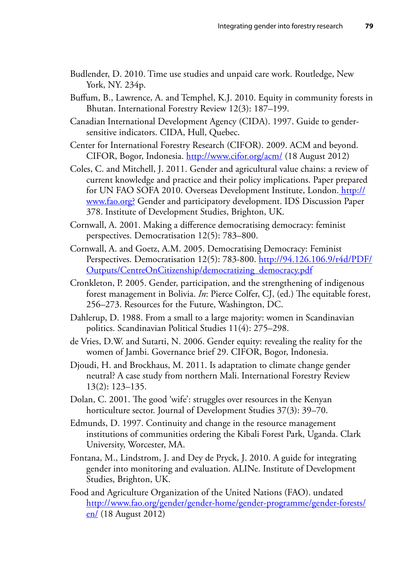- Budlender, D. 2010. Time use studies and unpaid care work. Routledge, New York, NY. 234p.
- Buffum, B., Lawrence, A. and Temphel, K.J. 2010. Equity in community forests in Bhutan. International Forestry Review 12(3): 187–199.
- Canadian International Development Agency (CIDA). 1997. Guide to gendersensitive indicators. CIDA, Hull, Quebec.
- Center for International Forestry Research (CIFOR). 2009. ACM and beyond. CIFOR, Bogor, Indonesia. [http://www.cifor.org/acm/](#h.26in1rg) (18 August 2012)
- Coles, C. and Mitchell, J. 2011. Gender and agricultural value chains: a review of current knowledge and practice and their policy implications. Paper prepared for UN FAO SOFA 2010. Overseas Development Institute, London. http:// www.fao.org? Gender and participatory development. IDS Discussion Paper 378. Institute of Development Studies, Brighton, UK.
- Cornwall, A. 2001. Making a difference democratising democracy: feminist perspectives. Democratisation 12(5): 783–800.
- Cornwall, A. and Goetz, A.M. 2005. Democratising Democracy: Feminist Perspectives. Democratisation 12(5): 783-800. [http://94.126.106.9/r4d/PDF/](http://94.126.106.9/r4d/PDF/Outputs/CentreOnCitizenship/democratizing_democracy.pdf) [Outputs/CentreOnCitizenship/democratizing\\_democracy.pdf](http://94.126.106.9/r4d/PDF/Outputs/CentreOnCitizenship/democratizing_democracy.pdf)
- Cronkleton, P. 2005. Gender, participation, and the strengthening of indigenous forest management in Bolivia. *In*: Pierce Colfer, CJ, (ed.) The equitable forest, 256–273. Resources for the Future, Washington, DC.
- Dahlerup, D. 1988. From a small to a large majority: women in Scandinavian politics. Scandinavian Political Studies 11(4): 275–298.
- de Vries, D.W. and Sutarti, N. 2006. Gender equity: revealing the reality for the women of Jambi. Governance brief 29. CIFOR, Bogor, Indonesia.
- Djoudi, H. and Brockhaus, M. 2011. Is adaptation to climate change gender neutral? A case study from northern Mali. International Forestry Review 13(2): 123–135.
- Dolan, C. 2001. The good 'wife': struggles over resources in the Kenyan horticulture sector. Journal of Development Studies 37(3): 39–70.
- Edmunds, D. 1997. Continuity and change in the resource management institutions of communities ordering the Kibali Forest Park, Uganda. Clark University, Worcester, MA.
- Fontana, M., Lindstrom, J. and Dey de Pryck, J. 2010. A guide for integrating gender into monitoring and evaluation. ALINe. Institute of Development Studies, Brighton, UK.
- Food and Agriculture Organization of the United Nations (FAO). undated [http://www.fao.org/gender/gender-home/gender-programme/gender-forests/](http://www.fao.org/gender/gender-home/gender-programme/gender-forests/en/) [en/](http://www.fao.org/gender/gender-home/gender-programme/gender-forests/en/) (18 August 2012)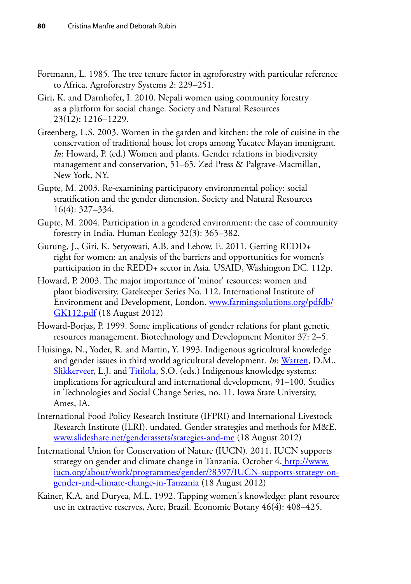- Fortmann, L. 1985. The tree tenure factor in agroforestry with particular reference to Africa. Agroforestry Systems 2: 229–251.
- Giri, K. and Darnhofer, I. 2010. Nepali women using community forestry as a platform for social change. Society and Natural Resources 23(12): 1216–1229.
- Greenberg, L.S. 2003. Women in the garden and kitchen: the role of cuisine in the conservation of traditional house lot crops among Yucatec Mayan immigrant. *In*: Howard, P. (ed.) Women and plants. Gender relations in biodiversity management and conservation, 51–65*.* Zed Press & Palgrave-Macmillan, New York, NY.
- Gupte, M. 2003. Re-examining participatory environmental policy: social stratification and the gender dimension. Society and Natural Resources 16(4): 327–334.
- Gupte, M. 2004. Participation in a gendered environment: the case of community forestry in India. Human Ecology 32(3): 365–382.
- Gurung, J., Giri, K. Setyowati, A.B. and Lebow, E. 2011. Getting REDD+ right for women: an analysis of the barriers and opportunities for women's participation in the REDD+ sector in Asia. USAID, Washington DC. 112p.
- Howard, P. 2003. The major importance of 'minor' resources: women and plant biodiversity. Gatekeeper Series No. 112. International Institute of Environment and Development, London. [www.farmingsolutions.org/pdfdb/](http://www.farmingsolutions.org/pdfdb/GK112.pdf) [GK112.pdf](http://www.farmingsolutions.org/pdfdb/GK112.pdf) (18 August 2012)
- Howard-Borjas, P. 1999. Some implications of gender relations for plant genetic resources management. Biotechnology and Development Monitor 37: 2–5.
- Huisinga, N., Yoder, R. and Martin, Y. 1993. Indigenous agricultural knowledge and gender issues in third world agricultural development. *In*: [Warren](http://www.google.es/search?hl=es&tbo=p&tbm=bks&q=inauthor:%22Dennis+M.+Warren%22), D.M., [Slikkerveer](http://www.google.es/search?hl=es&tbo=p&tbm=bks&q=inauthor:%22Leendert+Jan+Slikkerveer%22), L.J. and [Titilola](http://www.google.es/search?hl=es&tbo=p&tbm=bks&q=inauthor:%22Sunday+O.+Titilola%22), S.O. (eds.) Indigenous knowledge systems: implications for agricultural and international development, 91–100*.* Studies in Technologies and Social Change Series, no. 11. Iowa State University, Ames, IA.
- International Food Policy Research Institute (IFPRI) and International Livestock Research Institute (ILRI). undated. Gender strategies and methods for M&E. [www.slideshare.net/genderassets/srategies-and-me](http://www.slideshare.net/genderassets/srategies-and-me) (18 August 2012)
- International Union for Conservation of Nature (IUCN). 2011. IUCN supports strategy on gender and climate change in Tanzania. October 4. [http://www.](http://www.iucn.org/about/work/programmes/gender/?8397/IUCN-supports-strategy-on-gender-and-climate-change-in-Tanzania) [iucn.org/about/work/programmes/gender/?8397/IUCN-supports-strategy-on](http://www.iucn.org/about/work/programmes/gender/?8397/IUCN-supports-strategy-on-gender-and-climate-change-in-Tanzania)[gender-and-climate-change-in-Tanzania](http://www.iucn.org/about/work/programmes/gender/?8397/IUCN-supports-strategy-on-gender-and-climate-change-in-Tanzania) (18 August 2012)
- Kainer, K.A. and Duryea, M.L. 1992. Tapping women's knowledge: plant resource use in extractive reserves, Acre, Brazil. Economic Botany 46(4): 408–425.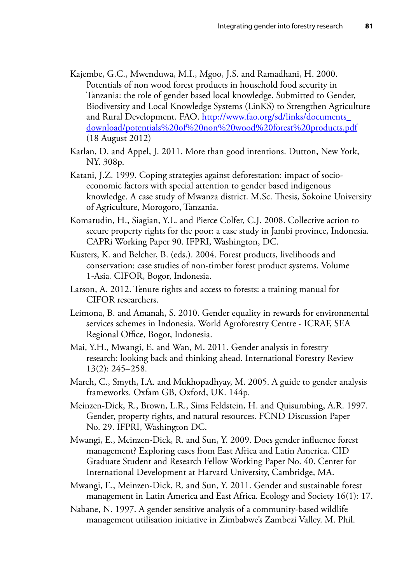- Kajembe, G.C., Mwenduwa, M.I., Mgoo, J.S. and Ramadhani, H. 2000. Potentials of non wood forest products in household food security in Tanzania: the role of gender based local knowledge. Submitted to Gender, Biodiversity and Local Knowledge Systems (LinKS) to Strengthen Agriculture and Rural Development. FAO. http://www.fao.org/sd/links/documents [download/potentials%20of%20non%20wood%20forest%20products.pdf](http://www.fao.org/sd/links/documents_download/potentials%20of%20non%20wood%20forest%20products.pdf) (18 August 2012)
- Karlan, D. and Appel, J. 2011. More than good intentions. Dutton, New York, NY. 308p.
- Katani, J.Z. 1999. Coping strategies against deforestation: impact of socioeconomic factors with special attention to gender based indigenous knowledge. A case study of Mwanza district. M.Sc. Thesis, Sokoine University of Agriculture, Morogoro, Tanzania.
- Komarudin, H., Siagian, Y.L. and Pierce Colfer, C.J. 2008. Collective action to secure property rights for the poor: a case study in Jambi province, Indonesia. CAPRi Working Paper 90. IFPRI, Washington, DC.
- Kusters, K. and Belcher, B. (eds.). 2004. Forest products, livelihoods and conservation: case studies of non-timber forest product systems. Volume 1-Asia*.* CIFOR, Bogor, Indonesia.
- Larson, A. 2012. Tenure rights and access to forests: a training manual for CIFOR researchers.
- Leimona, B. and Amanah, S. 2010. Gender equality in rewards for environmental services schemes in Indonesia. World Agroforestry Centre - ICRAF, SEA Regional Office, Bogor, Indonesia.
- Mai, Y.H., Mwangi, E. and Wan, M. 2011. Gender analysis in forestry research: looking back and thinking ahead. International Forestry Review 13(2): 245–258.
- March, C., Smyth, I.A. and Mukhopadhyay, M. 2005. A guide to gender analysis frameworks*.* Oxfam GB, Oxford, UK. 144p.
- Meinzen-Dick, R., Brown, L.R., Sims Feldstein, H. and Quisumbing, A.R. 1997. Gender, property rights, and natural resources. FCND Discussion Paper No. 29. IFPRI, Washington DC.
- Mwangi, E., Meinzen-Dick, R. and Sun, Y. 2009. Does gender influence forest management? Exploring cases from East Africa and Latin America. CID Graduate Student and Research Fellow Working Paper No. 40. Center for International Development at Harvard University, Cambridge, MA.
- Mwangi, E., Meinzen-Dick, R. and Sun, Y. 2011. Gender and sustainable forest management in Latin America and East Africa. Ecology and Society 16(1): 17.
- Nabane, N. 1997. A gender sensitive analysis of a community-based wildlife management utilisation initiative in Zimbabwe's Zambezi Valley. M. Phil.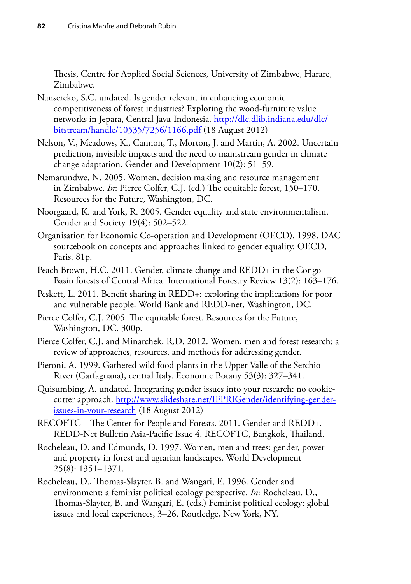Thesis, Centre for Applied Social Sciences, University of Zimbabwe, Harare, Zimbabwe.

- Nansereko, S.C. undated. Is gender relevant in enhancing economic competitiveness of forest industries? Exploring the wood-furniture value networks in Jepara, Central Java-Indonesia. [http://dlc.dlib.indiana.edu/dlc/](http://dlc.dlib.indiana.edu/dlc/bitstream/handle/10535/7256/1166.pdf) [bitstream/handle/10535/7256/1166.pdf](http://dlc.dlib.indiana.edu/dlc/bitstream/handle/10535/7256/1166.pdf) (18 August 2012)
- Nelson, V., Meadows, K., Cannon, T., Morton, J. and Martin, A. 2002. Uncertain prediction, invisible impacts and the need to mainstream gender in climate change adaptation. Gender and Development 10(2): 51–59.
- Nemarundwe, N. 2005. Women, decision making and resource management in Zimbabwe. *In*: Pierce Colfer, C.J. (ed.) The equitable forest, 150–170. Resources for the Future, Washington, DC.
- Noorgaard, K. and York, R. 2005. Gender equality and state environmentalism. Gender and Society 19(4): 502–522.
- Organisation for Economic Co-operation and Development (OECD). 1998. DAC sourcebook on concepts and approaches linked to gender equality. OECD, Paris. 81p.
- Peach Brown, H.C. 2011. Gender, climate change and REDD+ in the Congo Basin forests of Central Africa. International Forestry Review 13(2): 163–176.
- Peskett, L. 2011. Benefit sharing in REDD+: exploring the implications for poor and vulnerable people. World Bank and REDD-net, Washington, DC.
- Pierce Colfer, C.J. 2005. The equitable forest. Resources for the Future, Washington, DC. 300p.
- Pierce Colfer, C.J. and Minarchek, R.D. 2012. Women, men and forest research: a review of approaches, resources, and methods for addressing gender.
- Pieroni, A. 1999. Gathered wild food plants in the Upper Valle of the Serchio River (Garfagnana), central Italy. Economic Botany 53(3): 327–341.
- Quisumbing, A. undated. Integrating gender issues into your research: no cookiecutter approach. [http://www.slideshare.net/IFPRIGender/identifying-gender](http://www.slideshare.net/IFPRIGender/identifying-gender-issues-in-your-research)[issues-in-your-research](http://www.slideshare.net/IFPRIGender/identifying-gender-issues-in-your-research) (18 August 2012)
- RECOFTC The Center for People and Forests. 2011. Gender and REDD+. REDD-Net Bulletin Asia-Pacific Issue 4. RECOFTC, Bangkok, Thailand.
- Rocheleau, D. and Edmunds, D. 1997. Women, men and trees: gender, power and property in forest and agrarian landscapes. World Development 25(8): 1351–1371.
- Rocheleau, D., Thomas-Slayter, B. and Wangari, E. 1996. Gender and environment: a feminist political ecology perspective. *In*: Rocheleau, D., Thomas-Slayter, B. and Wangari, E. (eds.) Feminist political ecology: global issues and local experiences, 3–26. Routledge, New York, NY.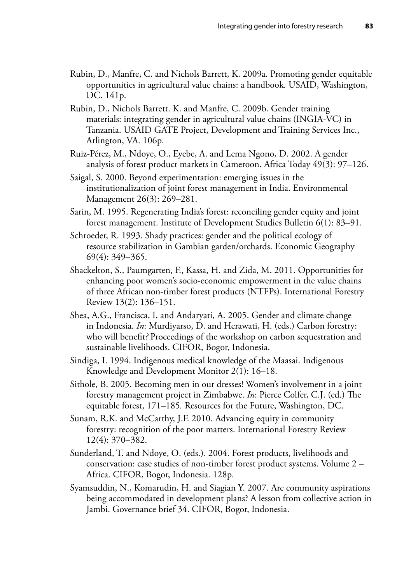- Rubin, D., Manfre, C. and Nichols Barrett, K. 2009a. Promoting gender equitable opportunities in agricultural value chains: a handbook*.* USAID, Washington, DC. 141p.
- Rubin, D., Nichols Barrett. K. and Manfre, C. 2009b. Gender training materials: integrating gender in agricultural value chains (INGIA-VC) in Tanzania. USAID GATE Project, Development and Training Services Inc., Arlington, VA. 106p.
- Ruiz-Pérez, M., Ndoye, O., Eyebe, A. and Lema Ngono, D. 2002. A gender analysis of forest product markets in Cameroon. Africa Today 49(3): 97–126.
- Saigal, S. 2000. Beyond experimentation: emerging issues in the institutionalization of joint forest management in India. Environmental Management 26(3): 269–281.
- Sarin, M. 1995. Regenerating India's forest: reconciling gender equity and joint forest management. Institute of Development Studies Bulletin 6(1): 83–91.
- Schroeder, R. 1993. Shady practices: gender and the political ecology of resource stabilization in Gambian garden/orchards. Economic Geography 69(4): 349–365.
- Shackelton, S., Paumgarten, F., Kassa, H. and Zida, M. 2011. Opportunities for enhancing poor women's socio-economic empowerment in the value chains of three African non-timber forest products (NTFPs). International Forestry Review 13(2): 136–151.
- Shea, A.G., Francisca, I. and Andaryati, A. 2005. Gender and climate change in Indonesia. *In*: Murdiyarso, D. and Herawati, H. (eds.) Carbon forestry: who will benefit*?* Proceedings of the workshop on carbon sequestration and sustainable livelihoods. CIFOR, Bogor, Indonesia.
- Sindiga, I. 1994. Indigenous medical knowledge of the Maasai. Indigenous Knowledge and Development Monitor 2(1): 16–18.
- Sithole, B. 2005. Becoming men in our dresses! Women's involvement in a joint forestry management project in Zimbabwe. *In*: Pierce Colfer, C.J. (ed.) The equitable forest, 171–185*.* Resources for the Future, Washington, DC.
- Sunam, R.K. and McCarthy, J.F. 2010. Advancing equity in community forestry: recognition of the poor matters. International Forestry Review 12(4): 370–382.
- Sunderland, T. and Ndoye, O. (eds.). 2004. Forest products, livelihoods and conservation: case studies of non-timber forest product systems. Volume 2 – Africa. CIFOR, Bogor, Indonesia. 128p.
- Syamsuddin, N., Komarudin, H. and Siagian Y. 2007. Are community aspirations being accommodated in development plans? A lesson from collective action in Jambi. Governance brief 34. CIFOR, Bogor, Indonesia.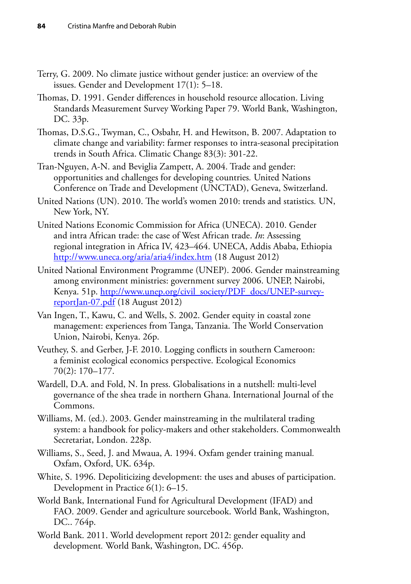- Terry, G. 2009. No climate justice without gender justice: an overview of the issues. Gender and Development 17(1): 5–18.
- Thomas, D. 1991. Gender differences in household resource allocation. Living Standards Measurement Survey Working Paper 79. World Bank, Washington, DC. 33p.
- Thomas, D.S.G., Twyman, C., Osbahr, H. and Hewitson, B. 2007. Adaptation to climate change and variability: farmer responses to intra-seasonal precipitation trends in South Africa. Climatic Change 83(3): 301-22.
- Tran-Nguyen, A-N. and Beviglia Zampett, A. 2004. Trade and gender: opportunities and challenges for developing countries*.* United Nations Conference on Trade and Development (UNCTAD), Geneva, Switzerland.
- United Nations (UN). 2010. The world's women 2010: trends and statistics*.* UN, New York, NY.
- United Nations Economic Commission for Africa (UNECA). 2010. Gender and intra African trade: the case of West African trade. *In*: Assessing regional integration in Africa IV, 423–464. UNECA, Addis Ababa, Ethiopia <http://www.uneca.org/aria/aria4/index.htm>(18 August 2012)
- United National Environment Programme (UNEP). 2006. Gender mainstreaming among environment ministries: government survey 2006. UNEP, Nairobi, Kenya. 51p. [http://www.unep.org/civil\\_society/PDF\\_docs/UNEP-survey](http://www.unep.org/civil_society/PDF_docs/UNEP-survey-reportJan-07.pdf)[reportJan-07.pdf](http://www.unep.org/civil_society/PDF_docs/UNEP-survey-reportJan-07.pdf) (18 August 2012)
- Van Ingen, T., Kawu, C. and Wells, S. 2002. Gender equity in coastal zone management: experiences from Tanga, Tanzania. The World Conservation Union, Nairobi, Kenya. 26p.
- Veuthey, S. and Gerber, J-F. 2010. Logging conflicts in southern Cameroon: a feminist ecological economics perspective. Ecological Economics 70(2): 170–177.
- Wardell, D.A. and Fold, N. In press. Globalisations in a nutshell: multi-level governance of the shea trade in northern Ghana. International Journal of the Commons.
- Williams, M. (ed.). 2003. Gender mainstreaming in the multilateral trading system: a handbook for policy-makers and other stakeholders. Commonwealth Secretariat, London. 228p.
- Williams, S., Seed, J. and Mwaua, A. 1994. Oxfam gender training manual*.* Oxfam, Oxford, UK. 634p.
- White, S. 1996. Depoliticizing development: the uses and abuses of participation. Development in Practice 6(1): 6–15.
- World Bank, International Fund for Agricultural Development (IFAD) and FAO. 2009. Gender and agriculture sourcebook. World Bank, Washington, DC.. 764p.
- World Bank. 2011. World development report 2012: gender equality and development*.* World Bank, Washington, DC. 456p.